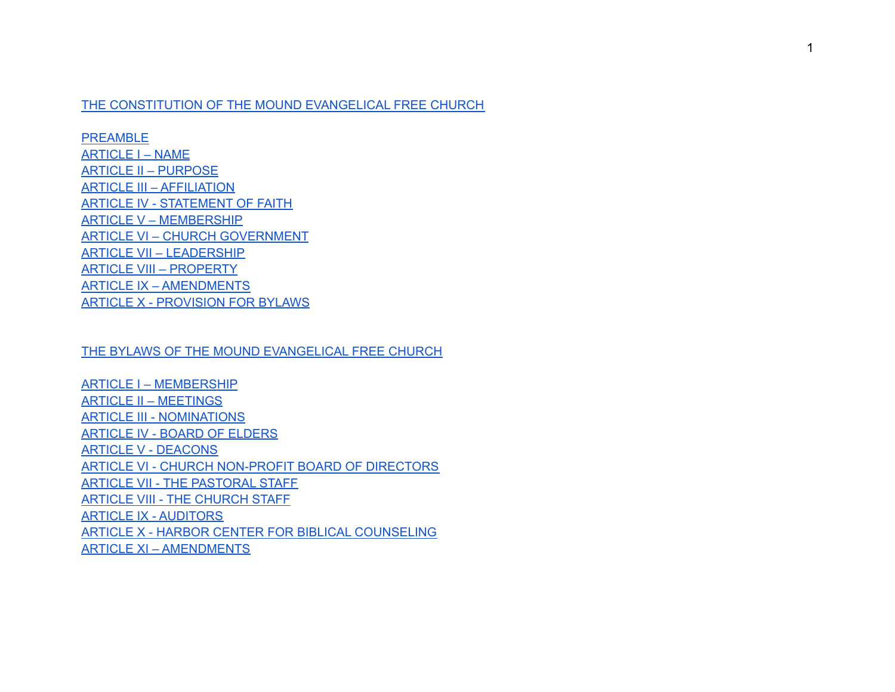#### THE [CONSTITUTION](#page-1-0) OF THE MOUND EVANGELICAL FREE CHURCH

[PREAMBLE](#page-1-1) [ARTICLE](#page-1-2) I – NAME ARTICLE II – [PURPOSE](#page-1-3) ARTICLE III – [AFFILIATION](#page-1-4) ARTICLE IV - [STATEMENT](#page-2-0) OF FAITH ARTICLE V – [MEMBERSHIP](#page-4-0) ARTICLE VI – CHURCH [GOVERNMENT](#page-4-1) ARTICLE VII – [LEADERSHIP](#page-4-2) ARTICLE VIII – [PROPERTY](#page-5-0) ARTICLE IX – [AMENDMENTS](#page-5-1) ARTICLE X - [PROVISION](#page-5-2) FOR BYLAWS

#### THE BYLAWS OF THE MOUND [EVANGELICAL](#page-7-0) FREE CHURCH

ARTICLE I – [MEMBERSHIP](#page-7-1) ARTICLE II – [MEETINGS](#page-15-0) ARTICLE III - [NOMINATIONS](#page-18-0) [ARTICLE](#page-20-0) IV - BOARD OF ELDERS ARTICLE V - [DEACONS](#page-23-0) ARTICLE VI - CHURCH [NON-PROFIT](#page-32-0) BOARD OF DIRECTORS ARTICLE VII - THE [PASTORAL](#page-34-0) STAFF ARTICLE VIII - THE [CHURCH](#page-35-0) STAFF ARTICLE IX - [AUDITORS](#page-36-0) ARTICLE X - HARBOR CENTER FOR BIBLICAL [COUNSELING](#page-37-0) ARTICLE XI – [AMENDMENTS](#page-41-0)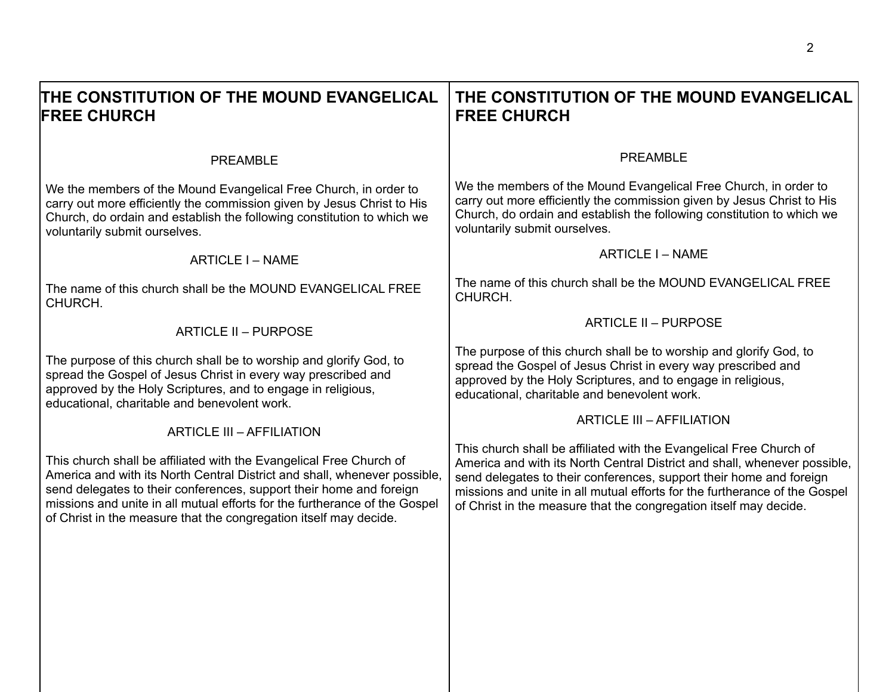<span id="page-1-4"></span><span id="page-1-3"></span><span id="page-1-2"></span><span id="page-1-1"></span><span id="page-1-0"></span>

| THE CONSTITUTION OF THE MOUND EVANGELICAL<br><b>FREE CHURCH</b>                                                                                                                                                                                                                                                                                                            | THE CONSTITUTION OF THE MOUND EVANGELICAL<br><b>FREE CHURCH</b>                                                                                                                                                                                                                                                                                                            |
|----------------------------------------------------------------------------------------------------------------------------------------------------------------------------------------------------------------------------------------------------------------------------------------------------------------------------------------------------------------------------|----------------------------------------------------------------------------------------------------------------------------------------------------------------------------------------------------------------------------------------------------------------------------------------------------------------------------------------------------------------------------|
| <b>PREAMBLE</b>                                                                                                                                                                                                                                                                                                                                                            | <b>PREAMBLE</b>                                                                                                                                                                                                                                                                                                                                                            |
| We the members of the Mound Evangelical Free Church, in order to<br>carry out more efficiently the commission given by Jesus Christ to His<br>Church, do ordain and establish the following constitution to which we<br>voluntarily submit ourselves.                                                                                                                      | We the members of the Mound Evangelical Free Church, in order to<br>carry out more efficiently the commission given by Jesus Christ to His<br>Church, do ordain and establish the following constitution to which we<br>voluntarily submit ourselves.                                                                                                                      |
| ARTICLE I - NAME                                                                                                                                                                                                                                                                                                                                                           | ARTICLE I - NAME                                                                                                                                                                                                                                                                                                                                                           |
| The name of this church shall be the MOUND EVANGELICAL FREE<br>CHURCH.                                                                                                                                                                                                                                                                                                     | The name of this church shall be the MOUND EVANGELICAL FREE<br>CHURCH.                                                                                                                                                                                                                                                                                                     |
| ARTICLE II - PURPOSE                                                                                                                                                                                                                                                                                                                                                       | <b>ARTICLE II - PURPOSE</b>                                                                                                                                                                                                                                                                                                                                                |
| The purpose of this church shall be to worship and glorify God, to<br>spread the Gospel of Jesus Christ in every way prescribed and<br>approved by the Holy Scriptures, and to engage in religious,<br>educational, charitable and benevolent work.                                                                                                                        | The purpose of this church shall be to worship and glorify God, to<br>spread the Gospel of Jesus Christ in every way prescribed and<br>approved by the Holy Scriptures, and to engage in religious,<br>educational, charitable and benevolent work.                                                                                                                        |
| <b>ARTICLE III - AFFILIATION</b>                                                                                                                                                                                                                                                                                                                                           | <b>ARTICLE III - AFFILIATION</b>                                                                                                                                                                                                                                                                                                                                           |
| This church shall be affiliated with the Evangelical Free Church of<br>America and with its North Central District and shall, whenever possible,<br>send delegates to their conferences, support their home and foreign<br>missions and unite in all mutual efforts for the furtherance of the Gospel<br>of Christ in the measure that the congregation itself may decide. | This church shall be affiliated with the Evangelical Free Church of<br>America and with its North Central District and shall, whenever possible,<br>send delegates to their conferences, support their home and foreign<br>missions and unite in all mutual efforts for the furtherance of the Gospel<br>of Christ in the measure that the congregation itself may decide. |
|                                                                                                                                                                                                                                                                                                                                                                            |                                                                                                                                                                                                                                                                                                                                                                            |
|                                                                                                                                                                                                                                                                                                                                                                            |                                                                                                                                                                                                                                                                                                                                                                            |
|                                                                                                                                                                                                                                                                                                                                                                            |                                                                                                                                                                                                                                                                                                                                                                            |
|                                                                                                                                                                                                                                                                                                                                                                            |                                                                                                                                                                                                                                                                                                                                                                            |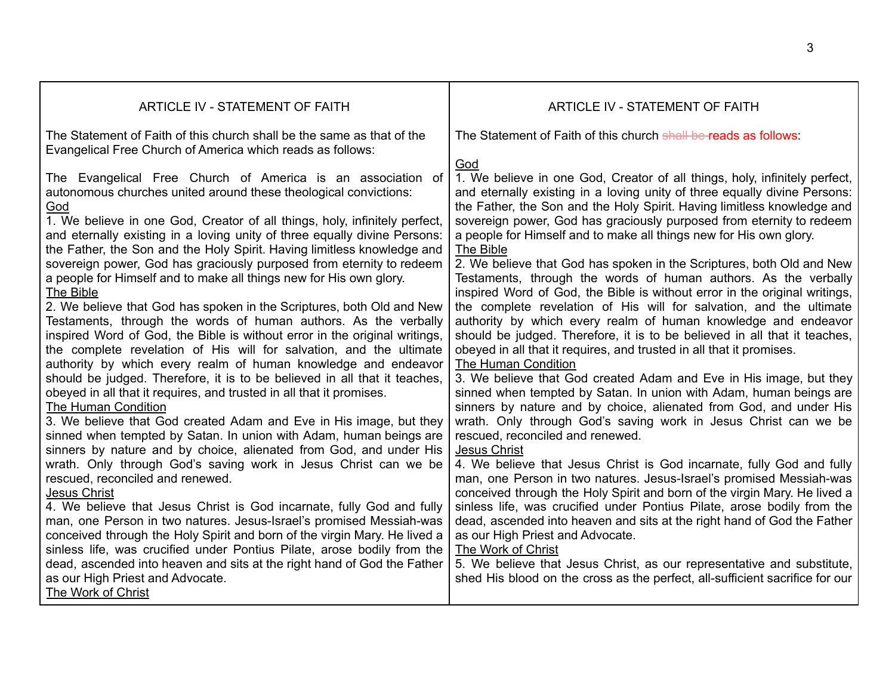<span id="page-2-0"></span>

| ARTICLE IV - STATEMENT OF FAITH                                                                                                                                                                                                                                                                                                                                                                                                                                                                                                                                                                                                                                                                                                                                                                                                                                                                                                                                                                                                                                                                                                                                                                                                                                                                                                                                                                                                                                                                                                                                                        | ARTICLE IV - STATEMENT OF FAITH                                                                                                                                                                                                                                                                                                                                                                                                                                                                                                                                                                                                                                                                                                                                                                                                                                                                                                                                                                                                                                                                                                                                                                                                                                                                                                                                                                                                                                                                                                                                                                                                                                                        |
|----------------------------------------------------------------------------------------------------------------------------------------------------------------------------------------------------------------------------------------------------------------------------------------------------------------------------------------------------------------------------------------------------------------------------------------------------------------------------------------------------------------------------------------------------------------------------------------------------------------------------------------------------------------------------------------------------------------------------------------------------------------------------------------------------------------------------------------------------------------------------------------------------------------------------------------------------------------------------------------------------------------------------------------------------------------------------------------------------------------------------------------------------------------------------------------------------------------------------------------------------------------------------------------------------------------------------------------------------------------------------------------------------------------------------------------------------------------------------------------------------------------------------------------------------------------------------------------|----------------------------------------------------------------------------------------------------------------------------------------------------------------------------------------------------------------------------------------------------------------------------------------------------------------------------------------------------------------------------------------------------------------------------------------------------------------------------------------------------------------------------------------------------------------------------------------------------------------------------------------------------------------------------------------------------------------------------------------------------------------------------------------------------------------------------------------------------------------------------------------------------------------------------------------------------------------------------------------------------------------------------------------------------------------------------------------------------------------------------------------------------------------------------------------------------------------------------------------------------------------------------------------------------------------------------------------------------------------------------------------------------------------------------------------------------------------------------------------------------------------------------------------------------------------------------------------------------------------------------------------------------------------------------------------|
| The Statement of Faith of this church shall be the same as that of the<br>Evangelical Free Church of America which reads as follows:                                                                                                                                                                                                                                                                                                                                                                                                                                                                                                                                                                                                                                                                                                                                                                                                                                                                                                                                                                                                                                                                                                                                                                                                                                                                                                                                                                                                                                                   | The Statement of Faith of this church shall be reads as follows:                                                                                                                                                                                                                                                                                                                                                                                                                                                                                                                                                                                                                                                                                                                                                                                                                                                                                                                                                                                                                                                                                                                                                                                                                                                                                                                                                                                                                                                                                                                                                                                                                       |
| The Evangelical Free Church of America is an association of<br>autonomous churches united around these theological convictions:<br>God<br>1. We believe in one God, Creator of all things, holy, infinitely perfect,<br>and eternally existing in a loving unity of three equally divine Persons:<br>the Father, the Son and the Holy Spirit. Having limitless knowledge and<br>sovereign power, God has graciously purposed from eternity to redeem<br>a people for Himself and to make all things new for His own glory.<br>The Bible<br>2. We believe that God has spoken in the Scriptures, both Old and New<br>Testaments, through the words of human authors. As the verbally<br>inspired Word of God, the Bible is without error in the original writings,<br>the complete revelation of His will for salvation, and the ultimate<br>authority by which every realm of human knowledge and endeavor<br>should be judged. Therefore, it is to be believed in all that it teaches,<br>obeyed in all that it requires, and trusted in all that it promises.<br>The Human Condition<br>3. We believe that God created Adam and Eve in His image, but they<br>sinned when tempted by Satan. In union with Adam, human beings are<br>sinners by nature and by choice, alienated from God, and under His<br>wrath. Only through God's saving work in Jesus Christ can we be<br>rescued, reconciled and renewed.<br><b>Jesus Christ</b><br>4. We believe that Jesus Christ is God incarnate, fully God and fully<br>man, one Person in two natures. Jesus-Israel's promised Messiah-was | God<br>1. We believe in one God, Creator of all things, holy, infinitely perfect,<br>and eternally existing in a loving unity of three equally divine Persons:<br>the Father, the Son and the Holy Spirit. Having limitless knowledge and<br>sovereign power, God has graciously purposed from eternity to redeem<br>a people for Himself and to make all things new for His own glory.<br>The Bible<br>2. We believe that God has spoken in the Scriptures, both Old and New<br>Testaments, through the words of human authors. As the verbally<br>inspired Word of God, the Bible is without error in the original writings,<br>the complete revelation of His will for salvation, and the ultimate<br>authority by which every realm of human knowledge and endeavor<br>should be judged. Therefore, it is to be believed in all that it teaches,<br>obeyed in all that it requires, and trusted in all that it promises.<br>The Human Condition<br>3. We believe that God created Adam and Eve in His image, but they<br>sinned when tempted by Satan. In union with Adam, human beings are<br>sinners by nature and by choice, alienated from God, and under His<br>wrath. Only through God's saving work in Jesus Christ can we be<br>rescued, reconciled and renewed.<br><b>Jesus Christ</b><br>4. We believe that Jesus Christ is God incarnate, fully God and fully<br>man, one Person in two natures. Jesus-Israel's promised Messiah-was<br>conceived through the Holy Spirit and born of the virgin Mary. He lived a<br>sinless life, was crucified under Pontius Pilate, arose bodily from the<br>dead, ascended into heaven and sits at the right hand of God the Father |
| conceived through the Holy Spirit and born of the virgin Mary. He lived a<br>sinless life, was crucified under Pontius Pilate, arose bodily from the                                                                                                                                                                                                                                                                                                                                                                                                                                                                                                                                                                                                                                                                                                                                                                                                                                                                                                                                                                                                                                                                                                                                                                                                                                                                                                                                                                                                                                   | as our High Priest and Advocate.<br>The Work of Christ                                                                                                                                                                                                                                                                                                                                                                                                                                                                                                                                                                                                                                                                                                                                                                                                                                                                                                                                                                                                                                                                                                                                                                                                                                                                                                                                                                                                                                                                                                                                                                                                                                 |
| dead, ascended into heaven and sits at the right hand of God the Father<br>as our High Priest and Advocate.                                                                                                                                                                                                                                                                                                                                                                                                                                                                                                                                                                                                                                                                                                                                                                                                                                                                                                                                                                                                                                                                                                                                                                                                                                                                                                                                                                                                                                                                            | 5. We believe that Jesus Christ, as our representative and substitute,<br>shed His blood on the cross as the perfect, all-sufficient sacrifice for our                                                                                                                                                                                                                                                                                                                                                                                                                                                                                                                                                                                                                                                                                                                                                                                                                                                                                                                                                                                                                                                                                                                                                                                                                                                                                                                                                                                                                                                                                                                                 |
| The Work of Christ                                                                                                                                                                                                                                                                                                                                                                                                                                                                                                                                                                                                                                                                                                                                                                                                                                                                                                                                                                                                                                                                                                                                                                                                                                                                                                                                                                                                                                                                                                                                                                     |                                                                                                                                                                                                                                                                                                                                                                                                                                                                                                                                                                                                                                                                                                                                                                                                                                                                                                                                                                                                                                                                                                                                                                                                                                                                                                                                                                                                                                                                                                                                                                                                                                                                                        |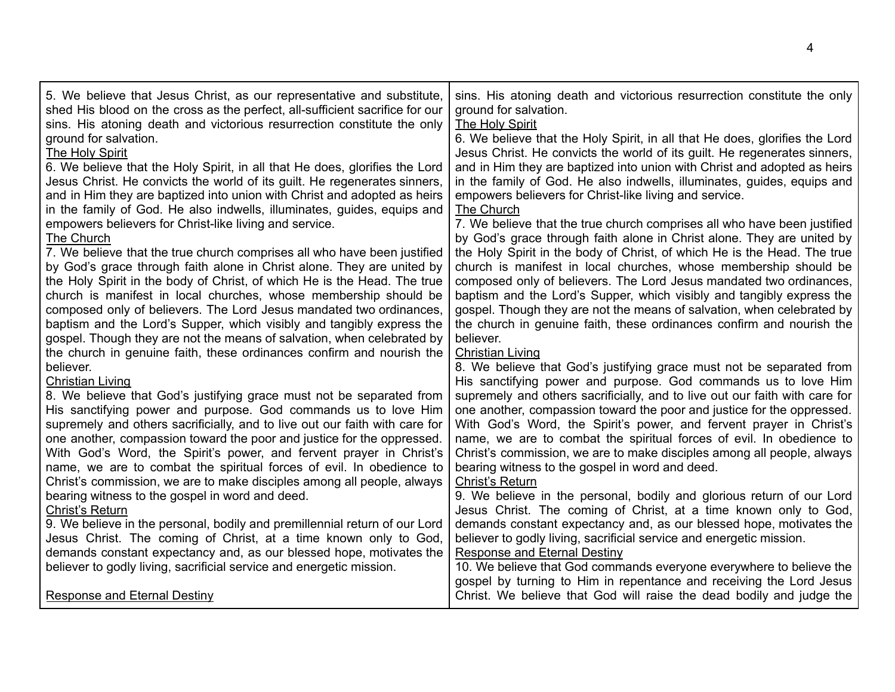| 5. We believe that Jesus Christ, as our representative and substitute,                                                                      | sins. His atoning death and victorious resurrection constitute the only                                                                                                           |
|---------------------------------------------------------------------------------------------------------------------------------------------|-----------------------------------------------------------------------------------------------------------------------------------------------------------------------------------|
| shed His blood on the cross as the perfect, all-sufficient sacrifice for our                                                                | ground for salvation.                                                                                                                                                             |
| sins. His atoning death and victorious resurrection constitute the only                                                                     | <b>The Holy Spirit</b>                                                                                                                                                            |
| ground for salvation.                                                                                                                       | 6. We believe that the Holy Spirit, in all that He does, glorifies the Lord                                                                                                       |
| The Holy Spirit                                                                                                                             | Jesus Christ. He convicts the world of its guilt. He regenerates sinners,                                                                                                         |
| 6. We believe that the Holy Spirit, in all that He does, glorifies the Lord                                                                 | and in Him they are baptized into union with Christ and adopted as heirs                                                                                                          |
| Jesus Christ. He convicts the world of its guilt. He regenerates sinners,                                                                   | in the family of God. He also indwells, illuminates, guides, equips and                                                                                                           |
| and in Him they are baptized into union with Christ and adopted as heirs                                                                    | empowers believers for Christ-like living and service.                                                                                                                            |
| in the family of God. He also indwells, illuminates, guides, equips and                                                                     | <b>The Church</b>                                                                                                                                                                 |
| empowers believers for Christ-like living and service.                                                                                      | 7. We believe that the true church comprises all who have been justified                                                                                                          |
| The Church                                                                                                                                  | by God's grace through faith alone in Christ alone. They are united by                                                                                                            |
| 7. We believe that the true church comprises all who have been justified                                                                    | the Holy Spirit in the body of Christ, of which He is the Head. The true                                                                                                          |
| by God's grace through faith alone in Christ alone. They are united by                                                                      | church is manifest in local churches, whose membership should be                                                                                                                  |
| the Holy Spirit in the body of Christ, of which He is the Head. The true                                                                    | composed only of believers. The Lord Jesus mandated two ordinances,                                                                                                               |
| church is manifest in local churches, whose membership should be                                                                            | baptism and the Lord's Supper, which visibly and tangibly express the                                                                                                             |
| composed only of believers. The Lord Jesus mandated two ordinances,                                                                         | gospel. Though they are not the means of salvation, when celebrated by                                                                                                            |
| baptism and the Lord's Supper, which visibly and tangibly express the                                                                       | the church in genuine faith, these ordinances confirm and nourish the                                                                                                             |
| gospel. Though they are not the means of salvation, when celebrated by                                                                      | believer.                                                                                                                                                                         |
| the church in genuine faith, these ordinances confirm and nourish the                                                                       | <b>Christian Living</b>                                                                                                                                                           |
| believer.                                                                                                                                   | 8. We believe that God's justifying grace must not be separated from                                                                                                              |
| <b>Christian Living</b>                                                                                                                     | His sanctifying power and purpose. God commands us to love Him                                                                                                                    |
| 8. We believe that God's justifying grace must not be separated from                                                                        | supremely and others sacrificially, and to live out our faith with care for                                                                                                       |
| His sanctifying power and purpose. God commands us to love Him                                                                              | one another, compassion toward the poor and justice for the oppressed.                                                                                                            |
| supremely and others sacrificially, and to live out our faith with care for                                                                 | With God's Word, the Spirit's power, and fervent prayer in Christ's                                                                                                               |
| one another, compassion toward the poor and justice for the oppressed.                                                                      | name, we are to combat the spiritual forces of evil. In obedience to                                                                                                              |
| With God's Word, the Spirit's power, and fervent prayer in Christ's                                                                         | Christ's commission, we are to make disciples among all people, always                                                                                                            |
| name, we are to combat the spiritual forces of evil. In obedience to                                                                        | bearing witness to the gospel in word and deed.                                                                                                                                   |
| Christ's commission, we are to make disciples among all people, always                                                                      | Christ's Return                                                                                                                                                                   |
| bearing witness to the gospel in word and deed.                                                                                             | 9. We believe in the personal, bodily and glorious return of our Lord                                                                                                             |
| Christ's Return                                                                                                                             | Jesus Christ. The coming of Christ, at a time known only to God,                                                                                                                  |
| 9. We believe in the personal, bodily and premillennial return of our Lord                                                                  | demands constant expectancy and, as our blessed hope, motivates the                                                                                                               |
| Jesus Christ. The coming of Christ, at a time known only to God,                                                                            | believer to godly living, sacrificial service and energetic mission.                                                                                                              |
| demands constant expectancy and, as our blessed hope, motivates the<br>believer to godly living, sacrificial service and energetic mission. | <b>Response and Eternal Destiny</b><br>10. We believe that God commands everyone everywhere to believe the<br>gospel by turning to Him in repentance and receiving the Lord Jesus |
| <b>Response and Eternal Destiny</b>                                                                                                         | Christ. We believe that God will raise the dead bodily and judge the                                                                                                              |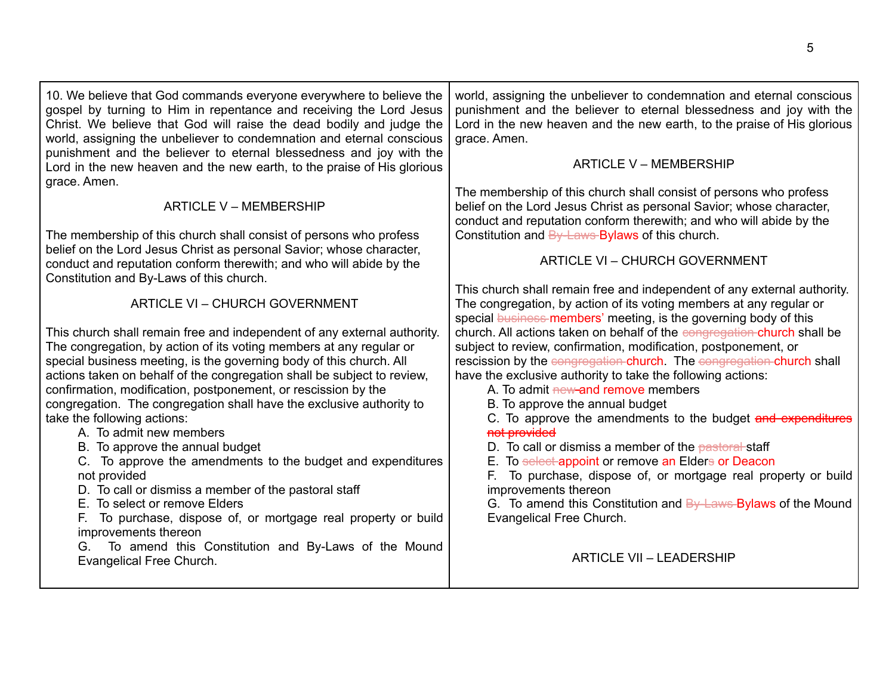<span id="page-4-2"></span><span id="page-4-1"></span><span id="page-4-0"></span>

| 10. We believe that God commands everyone everywhere to believe the<br>gospel by turning to Him in repentance and receiving the Lord Jesus<br>Christ. We believe that God will raise the dead bodily and judge the<br>world, assigning the unbeliever to condemnation and eternal conscious                                                                                                                                                                                                                                                                                                                                                                                                                                                                                                                                                                                                            | world, assigning the unbeliever to condemnation and eternal conscious<br>punishment and the believer to eternal blessedness and joy with the<br>Lord in the new heaven and the new earth, to the praise of His glorious<br>grace. Amen.                                                                                                                                                                                                                                                                                                                                                                                                                                                                                                                                           |
|--------------------------------------------------------------------------------------------------------------------------------------------------------------------------------------------------------------------------------------------------------------------------------------------------------------------------------------------------------------------------------------------------------------------------------------------------------------------------------------------------------------------------------------------------------------------------------------------------------------------------------------------------------------------------------------------------------------------------------------------------------------------------------------------------------------------------------------------------------------------------------------------------------|-----------------------------------------------------------------------------------------------------------------------------------------------------------------------------------------------------------------------------------------------------------------------------------------------------------------------------------------------------------------------------------------------------------------------------------------------------------------------------------------------------------------------------------------------------------------------------------------------------------------------------------------------------------------------------------------------------------------------------------------------------------------------------------|
| punishment and the believer to eternal blessedness and joy with the<br>Lord in the new heaven and the new earth, to the praise of His glorious<br>grace. Amen.                                                                                                                                                                                                                                                                                                                                                                                                                                                                                                                                                                                                                                                                                                                                         | <b>ARTICLE V - MEMBERSHIP</b>                                                                                                                                                                                                                                                                                                                                                                                                                                                                                                                                                                                                                                                                                                                                                     |
| <b>ARTICLE V - MEMBERSHIP</b>                                                                                                                                                                                                                                                                                                                                                                                                                                                                                                                                                                                                                                                                                                                                                                                                                                                                          | The membership of this church shall consist of persons who profess<br>belief on the Lord Jesus Christ as personal Savior; whose character,<br>conduct and reputation conform therewith; and who will abide by the                                                                                                                                                                                                                                                                                                                                                                                                                                                                                                                                                                 |
| The membership of this church shall consist of persons who profess<br>belief on the Lord Jesus Christ as personal Savior; whose character,                                                                                                                                                                                                                                                                                                                                                                                                                                                                                                                                                                                                                                                                                                                                                             | Constitution and By-Laws-Bylaws of this church.                                                                                                                                                                                                                                                                                                                                                                                                                                                                                                                                                                                                                                                                                                                                   |
| conduct and reputation conform therewith; and who will abide by the<br>Constitution and By-Laws of this church.                                                                                                                                                                                                                                                                                                                                                                                                                                                                                                                                                                                                                                                                                                                                                                                        | <b>ARTICLE VI - CHURCH GOVERNMENT</b>                                                                                                                                                                                                                                                                                                                                                                                                                                                                                                                                                                                                                                                                                                                                             |
| <b>ARTICLE VI - CHURCH GOVERNMENT</b>                                                                                                                                                                                                                                                                                                                                                                                                                                                                                                                                                                                                                                                                                                                                                                                                                                                                  | This church shall remain free and independent of any external authority.<br>The congregation, by action of its voting members at any regular or<br>special business members' meeting, is the governing body of this                                                                                                                                                                                                                                                                                                                                                                                                                                                                                                                                                               |
| This church shall remain free and independent of any external authority.<br>The congregation, by action of its voting members at any regular or<br>special business meeting, is the governing body of this church. All<br>actions taken on behalf of the congregation shall be subject to review,<br>confirmation, modification, postponement, or rescission by the<br>congregation. The congregation shall have the exclusive authority to<br>take the following actions:<br>A. To admit new members<br>B. To approve the annual budget<br>C. To approve the amendments to the budget and expenditures<br>not provided<br>D. To call or dismiss a member of the pastoral staff<br>E. To select or remove Elders<br>To purchase, dispose of, or mortgage real property or build<br>F.<br>improvements thereon<br>To amend this Constitution and By-Laws of the Mound<br>G.<br>Evangelical Free Church. | church. All actions taken on behalf of the congregation church shall be<br>subject to review, confirmation, modification, postponement, or<br>rescission by the congregation-church. The congregation-church shall<br>have the exclusive authority to take the following actions:<br>A. To admit new-and remove members<br>B. To approve the annual budget<br>C. To approve the amendments to the budget and expenditures<br>not provided<br>D. To call or dismiss a member of the pastoral staff<br>E. To select-appoint or remove an Elders or Deacon<br>F. To purchase, dispose of, or mortgage real property or build<br>improvements thereon<br>G. To amend this Constitution and By-Laws Bylaws of the Mound<br>Evangelical Free Church.<br><b>ARTICLE VII - LEADERSHIP</b> |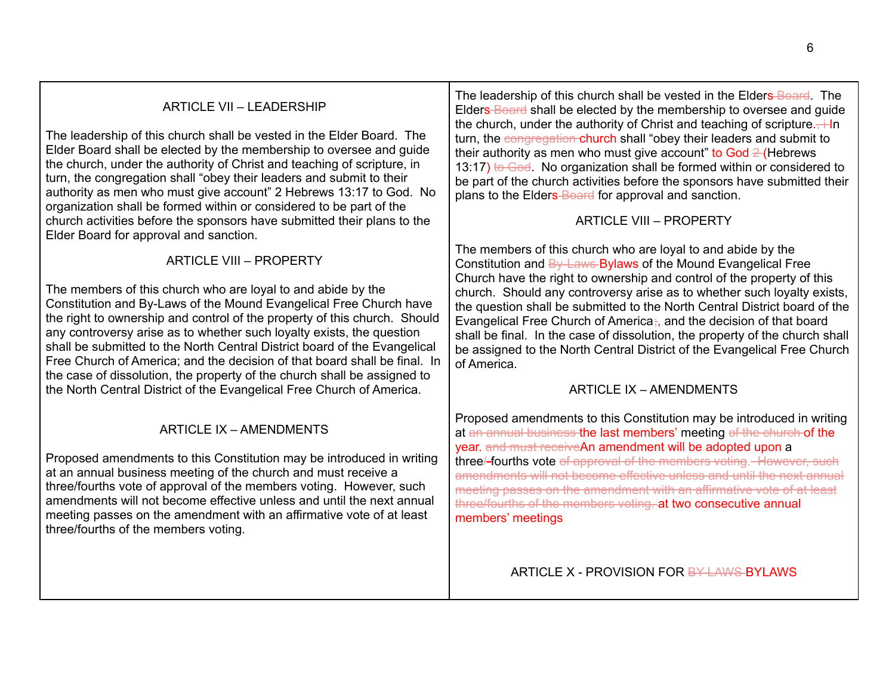## ARTICLE VII – LEADERSHIP

The leadership of this church shall be vested in the Elder Board. The Elder Board shall be elected by the membership to oversee and guide the church, under the authority of Christ and teaching of scripture, in turn, the congregation shall "obey their leaders and submit to their authority as men who must give account" 2 Hebrews 13:17 to God. No organization shall be formed within or considered to be part of the church activities before the sponsors have submitted their plans to the Elder Board for approval and sanction.

ARTICLE VIII – PROPERTY

The members of this church who are loyal to and abide by the Constitution and By-Laws of the Mound Evangelical Free Church have the right to ownership and control of the property of this church. Should any controversy arise as to whether such loyalty exists, the question shall be submitted to the North Central District board of the Evangelical Free Church of America; and the decision of that board shall be final. In the case of dissolution, the property of the church shall be assigned to the North Central District of the Evangelical Free Church of America.

## ARTICLE IX – AMENDMENTS

Proposed amendments to this Constitution may be introduced in writing at an annual business meeting of the church and must receive a three/fourths vote of approval of the members voting. However, such amendments will not become effective unless and until the next annual meeting passes on the amendment with an affirmative vote of at least three/fourths of the members voting.

The leadership of this church shall be vested in the Elders Board. The Elders Board shall be elected by the membership to oversee and guide the church, under the authority of Christ and teaching of scripture. $\div$ In turn, the congregation church shall "obey their leaders and submit to their authority as men who must give account" to God  $2$  (Hebrews 13:17) to God. No organization shall be formed within or considered to be part of the church activities before the sponsors have submitted their plans to the Elders-Board for approval and sanction.

#### ARTICLE VIII – PROPERTY

<span id="page-5-0"></span>The members of this church who are loyal to and abide by the Constitution and By Laws Bylaws of the Mound Evangelical Free Church have the right to ownership and control of the property of this church. Should any controversy arise as to whether such loyalty exists, the question shall be submitted to the North Central District board of the Evangelical Free Church of America; and the decision of that board shall be final. In the case of dissolution, the property of the church shall be assigned to the North Central District of the Evangelical Free Church of America.

## ARTICLE IX – AMENDMENTS

<span id="page-5-1"></span>Proposed amendments to this Constitution may be introduced in writing at an annual business the last members' meeting of the church of the year. and must receiveAn amendment will be adopted upon a three/-fourths vote of approval of the members voting. However, such amendments will not become effective unless and until the next annual meeting passes on the amendment with an affirmative vote of at least three/fourths of the members voting. at two consecutive annual members' meetings

#### <span id="page-5-2"></span>ARTICLE X - PROVISION FOR BY LAWS-BYLAWS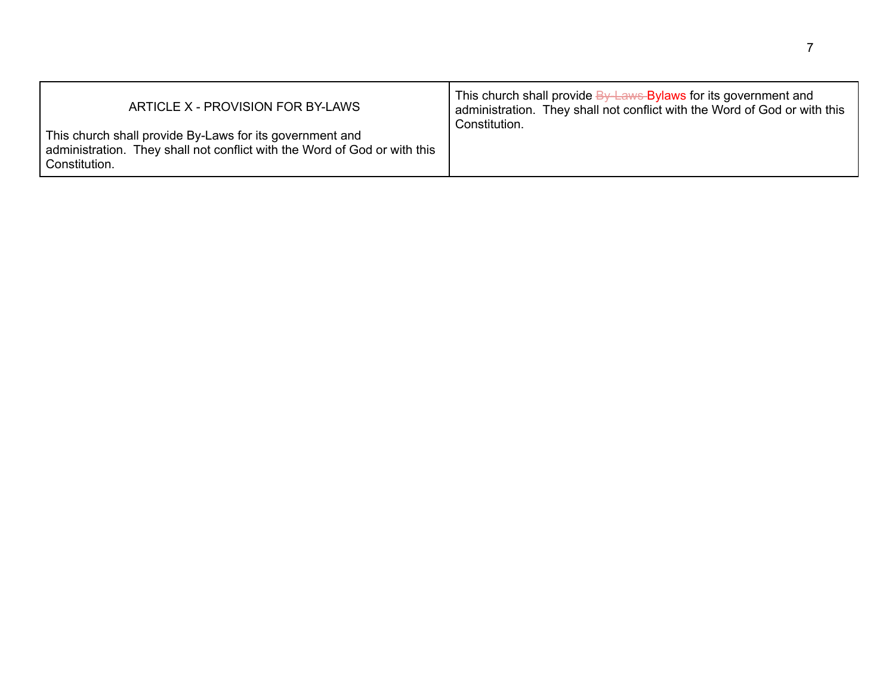| ARTICLE X - PROVISION FOR BY-LAWS                                                                                                                      | This church shall provide By Laws Bylaws for its government and<br>administration. They shall not conflict with the Word of God or with this |
|--------------------------------------------------------------------------------------------------------------------------------------------------------|----------------------------------------------------------------------------------------------------------------------------------------------|
| This church shall provide By-Laws for its government and<br>administration. They shall not conflict with the Word of God or with this<br>Constitution. | Constitution.                                                                                                                                |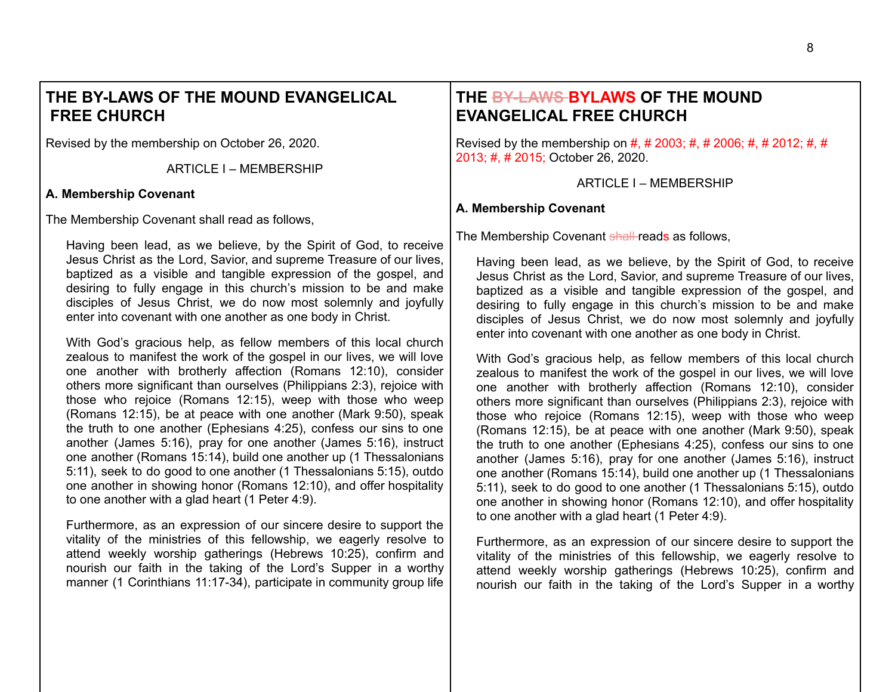# **THE BY-LAWS OF THE MOUND EVANGELICAL FREE CHURCH**

Revised by the membership on October 26, 2020.

ARTICLE I – MEMBERSHIP

#### **A. Membership Covenant**

The Membership Covenant shall read as follows,

Having been lead, as we believe, by the Spirit of God, to receive Jesus Christ as the Lord, Savior, and supreme Treasure of our lives, baptized as a visible and tangible expression of the gospel, and desiring to fully engage in this church's mission to be and make disciples of Jesus Christ, we do now most solemnly and joyfully enter into covenant with one another as one body in Christ.

With God's gracious help, as fellow members of this local church zealous to manifest the work of the gospel in our lives, we will love one another with brotherly affection (Romans 12:10), consider others more significant than ourselves (Philippians 2:3), rejoice with those who rejoice (Romans 12:15), weep with those who weep (Romans 12:15), be at peace with one another (Mark 9:50), speak the truth to one another (Ephesians 4:25), confess our sins to one another (James 5:16), pray for one another (James 5:16), instruct one another (Romans 15:14), build one another up (1 Thessalonians 5:11), seek to do good to one another (1 Thessalonians 5:15), outdo one another in showing honor (Romans 12:10), and offer hospitality to one another with a glad heart (1 Peter 4:9).

Furthermore, as an expression of our sincere desire to support the vitality of the ministries of this fellowship, we eagerly resolve to attend weekly worship gatherings (Hebrews 10:25), confirm and nourish our faith in the taking of the Lord's Supper in a worthy manner (1 Corinthians 11:17-34), participate in community group life

# <span id="page-7-0"></span>**THE BY-LAWS BYLAWS OF THE MOUND EVANGELICAL FREE CHURCH**

<span id="page-7-1"></span>Revised by the membership on #, # 2003; #, # 2006; #, # 2012; #, # 2013; #, # 2015; October 26, 2020.

ARTICLE I – MEMBERSHIP

#### **A. Membership Covenant**

The Membership Covenant shall reads as follows.

Having been lead, as we believe, by the Spirit of God, to receive Jesus Christ as the Lord, Savior, and supreme Treasure of our lives, baptized as a visible and tangible expression of the gospel, and desiring to fully engage in this church's mission to be and make disciples of Jesus Christ, we do now most solemnly and joyfully enter into covenant with one another as one body in Christ.

With God's gracious help, as fellow members of this local church zealous to manifest the work of the gospel in our lives, we will love one another with brotherly affection (Romans 12:10), consider others more significant than ourselves (Philippians 2:3), rejoice with those who rejoice (Romans 12:15), weep with those who weep (Romans 12:15), be at peace with one another (Mark 9:50), speak the truth to one another (Ephesians 4:25), confess our sins to one another (James 5:16), pray for one another (James 5:16), instruct one another (Romans 15:14), build one another up (1 Thessalonians 5:11), seek to do good to one another (1 Thessalonians 5:15), outdo one another in showing honor (Romans 12:10), and offer hospitality to one another with a glad heart (1 Peter 4:9).

Furthermore, as an expression of our sincere desire to support the vitality of the ministries of this fellowship, we eagerly resolve to attend weekly worship gatherings (Hebrews 10:25), confirm and nourish our faith in the taking of the Lord's Supper in a worthy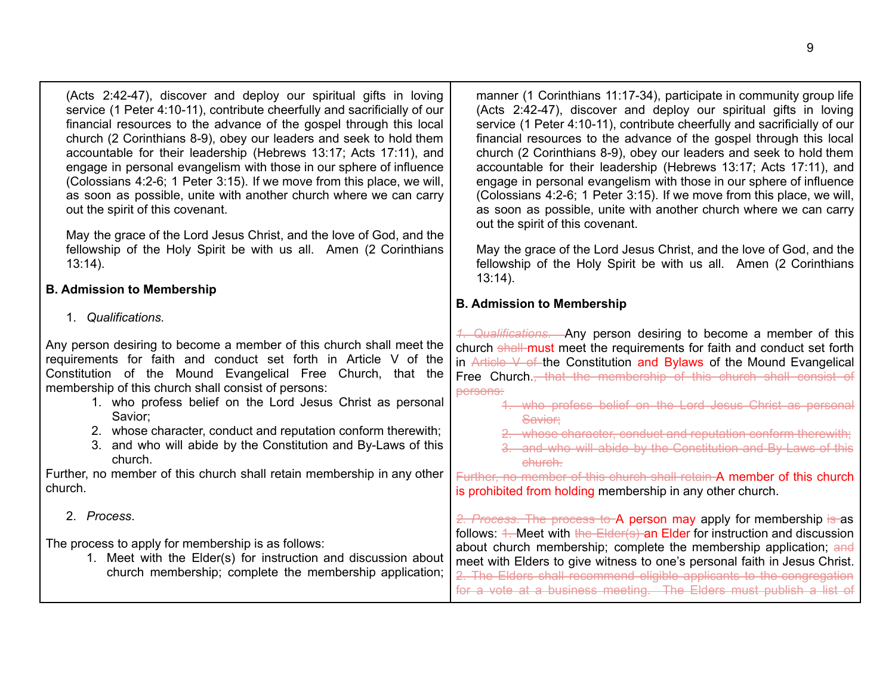| service (1 Peter 4:10-11), contribute cheerfully and sacrificially of our<br>financial resources to the advance of the gospel through this local<br>church (2 Corinthians 8-9), obey our leaders and seek to hold them<br>accountable for their leadership (Hebrews 13:17; Acts 17:11), and<br>engage in personal evangelism with those in our sphere of influence<br>(Colossians 4:2-6; 1 Peter 3:15). If we move from this place, we will,<br>as soon as possible, unite with another church where we can carry<br>out the spirit of this covenant.<br>May the grace of the Lord Jesus Christ, and the love of God, and the<br>fellowship of the Holy Spirit be with us all. Amen (2 Corinthians<br>$13:14$ ). | (Acts 2:42-47), discover and deploy our spiritual gifts in loving<br>service (1 Peter 4:10-11), contribute cheerfully and sacrificially of our<br>financial resources to the advance of the gospel through this local<br>church (2 Corinthians 8-9), obey our leaders and seek to hold them<br>accountable for their leadership (Hebrews 13:17; Acts 17:11), and<br>engage in personal evangelism with those in our sphere of influence<br>(Colossians 4:2-6; 1 Peter 3:15). If we move from this place, we will,<br>as soon as possible, unite with another church where we can carry<br>out the spirit of this covenant.<br>May the grace of the Lord Jesus Christ, and the love of God, and the<br>fellowship of the Holy Spirit be with us all. Amen (2 Corinthians |
|------------------------------------------------------------------------------------------------------------------------------------------------------------------------------------------------------------------------------------------------------------------------------------------------------------------------------------------------------------------------------------------------------------------------------------------------------------------------------------------------------------------------------------------------------------------------------------------------------------------------------------------------------------------------------------------------------------------|-------------------------------------------------------------------------------------------------------------------------------------------------------------------------------------------------------------------------------------------------------------------------------------------------------------------------------------------------------------------------------------------------------------------------------------------------------------------------------------------------------------------------------------------------------------------------------------------------------------------------------------------------------------------------------------------------------------------------------------------------------------------------|
|                                                                                                                                                                                                                                                                                                                                                                                                                                                                                                                                                                                                                                                                                                                  | $13:14$ ).                                                                                                                                                                                                                                                                                                                                                                                                                                                                                                                                                                                                                                                                                                                                                              |
| <b>B. Admission to Membership</b><br>1. Qualifications.                                                                                                                                                                                                                                                                                                                                                                                                                                                                                                                                                                                                                                                          | <b>B. Admission to Membership</b>                                                                                                                                                                                                                                                                                                                                                                                                                                                                                                                                                                                                                                                                                                                                       |
| Any person desiring to become a member of this church shall meet the<br>requirements for faith and conduct set forth in Article V of the<br>Constitution of the Mound Evangelical Free Church, that the<br>membership of this church shall consist of persons:<br>1. who profess belief on the Lord Jesus Christ as personal<br>Savior;<br>2. whose character, conduct and reputation conform therewith;<br>3. and who will abide by the Constitution and By-Laws of this<br>church.<br>Further, no member of this church shall retain membership in any other<br>church.                                                                                                                                        | 4. Qualifications. Any person desiring to become a member of this<br>church shall must meet the requirements for faith and conduct set forth<br>in Article V of the Constitution and Bylaws of the Mound Evangelical<br>Free Church. <del>, that the membership of this church shall consist of</del><br>persons:<br>4. who profess belief on the Lord Jesus Christ as personal<br>Savior;<br>2. whose character, conduct and reputation conform therewith;<br>3. and who will abide by the Constitution and By Laws of this<br>ehureh.<br>Further, no member of this church shall retain A member of this church<br>is prohibited from holding membership in any other church.                                                                                         |
| 2. Process.                                                                                                                                                                                                                                                                                                                                                                                                                                                                                                                                                                                                                                                                                                      | 2. Process. The process to A person may apply for membership is as                                                                                                                                                                                                                                                                                                                                                                                                                                                                                                                                                                                                                                                                                                      |
| The process to apply for membership is as follows:<br>1. Meet with the Elder(s) for instruction and discussion about<br>church membership; complete the membership application;                                                                                                                                                                                                                                                                                                                                                                                                                                                                                                                                  | follows: 4. Meet with the Elder(s) an Elder for instruction and discussion<br>about church membership; complete the membership application; and<br>meet with Elders to give witness to one's personal faith in Jesus Christ.<br>2. The Elders shall recommend eligible applicants to the congregation<br>for a vote at a business meeting. The Elders must publish a list of                                                                                                                                                                                                                                                                                                                                                                                            |

(Acts 2:42-47), discover and deploy our spiritual gifts in loving

manner (1 Corinthians 11:17-34), participate in community group life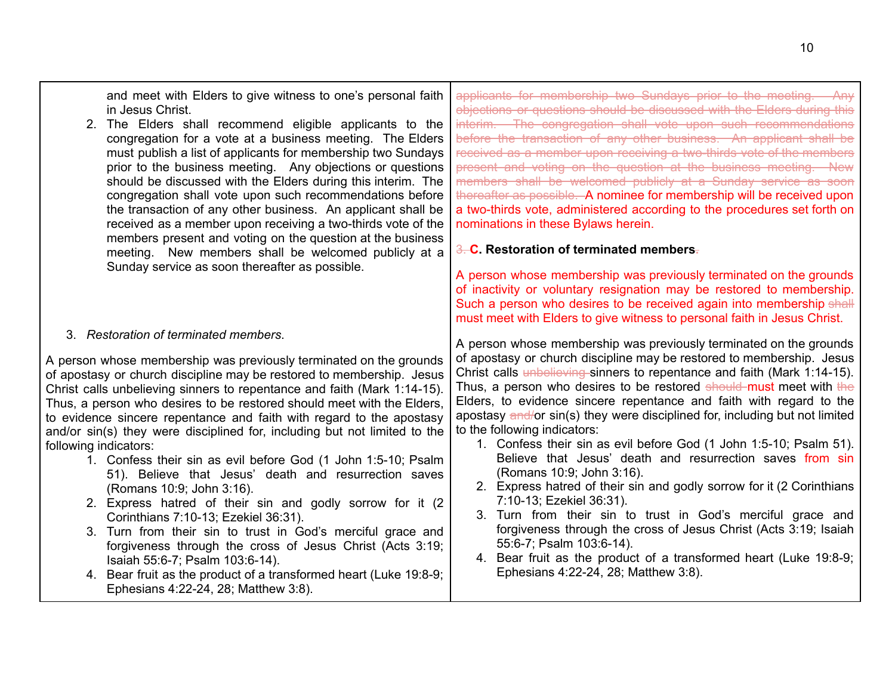and meet with Elders to give witness to one's personal faith in Jesus Christ. 2. The Elders shall recommend eligible applicants to the congregation for a vote at a business meeting. The Elders must publish a list of applicants for membership two Sundays prior to the business meeting. Any objections or questions should be discussed with the Elders during this interim. The congregation shall vote upon such recommendations before the transaction of any other business. An applicant shall be received as a member upon receiving a two-thirds vote of the members present and voting on the question at the business meeting. New members shall be welcomed publicly at a Sunday service as soon thereafter as possible. 3. *Restoration of terminated members*. A person whose membership was previously terminated on the grounds of apostasy or church discipline may be restored to membership. Jesus Christ calls unbelieving sinners to repentance and faith (Mark 1:14-15). Thus, a person who desires to be restored should meet with the Elders, to evidence sincere repentance and faith with regard to the apostasy and/or sin(s) they were disciplined for, including but not limited to the following indicators: 1. Confess their sin as evil before God (1 John 1:5-10; Psalm 51). Believe that Jesus' death and resurrection saves (Romans 10:9; John 3:16). 2. Express hatred of their sin and godly sorrow for it (2 Corinthians 7:10-13; Ezekiel 36:31). 3. Turn from their sin to trust in God's merciful grace and forgiveness through the cross of Jesus Christ (Acts 3:19; Isaiah 55:6-7; Psalm 103:6-14). applicants for membership two Sundays prior to the meeting. Any objections or questions should be discussed with the Elders during this interim. The congregation shall vote upon such recommendations before the transaction of any other business. An applicant shall be received as a member upon receiving a two-thirds vote of the members present and voting on the question at the business meeting. New members shall be welcomed publicly at a Sunday service as soon thereafter as possible. A nominee for membership will be received upon a two-thirds vote, administered according to the procedures set forth on nominations in these Bylaws herein. 3. **C. Restoration of terminated members.** A person whose membership was previously terminated on the grounds of inactivity or voluntary resignation may be restored to membership. Such a person who desires to be received again into membership shall must meet with Elders to give witness to personal faith in Jesus Christ. A person whose membership was previously terminated on the grounds of apostasy or church discipline may be restored to membership. Jesus Christ calls unbelieving sinners to repentance and faith (Mark 1:14-15). Thus, a person who desires to be restored should must meet with the Elders, to evidence sincere repentance and faith with regard to the apostasy and/or sin(s) they were disciplined for, including but not limited to the following indicators: 1. Confess their sin as evil before God (1 John 1:5-10; Psalm 51). Believe that Jesus' death and resurrection saves from sin (Romans 10:9; John 3:16). 2. Express hatred of their sin and godly sorrow for it (2 Corinthians 7:10-13; Ezekiel 36:31). 3. Turn from their sin to trust in God's merciful grace and forgiveness through the cross of Jesus Christ (Acts 3:19; Isaiah 55:6-7; Psalm 103:6-14). 4. Bear fruit as the product of a transformed heart (Luke 19:8-9; Ephesians 4:22-24, 28; Matthew 3:8).

4. Bear fruit as the product of a transformed heart (Luke 19:8-9; Ephesians 4:22-24, 28; Matthew 3:8).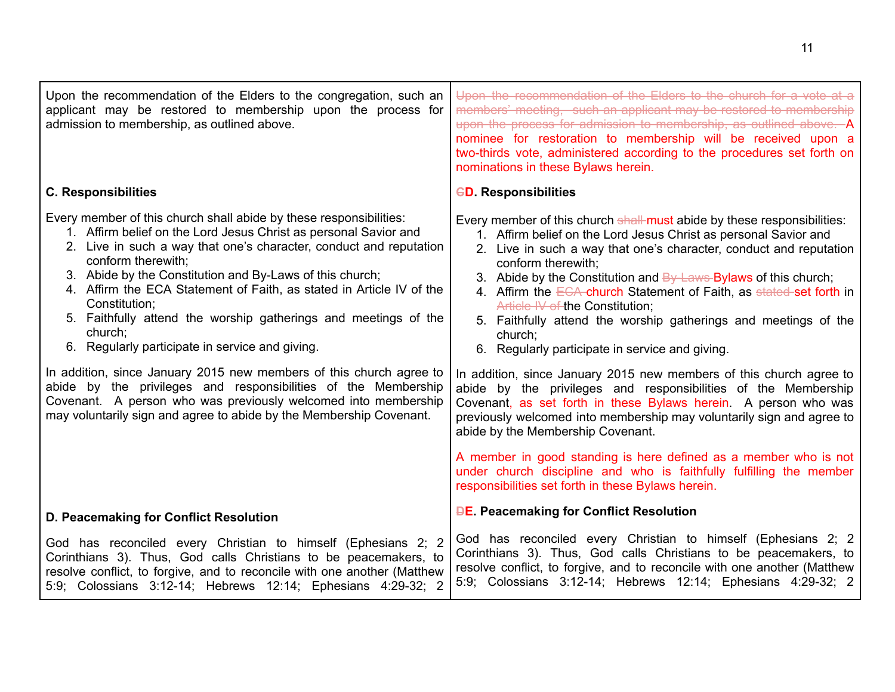| Upon the recommendation of the Elders to the congregation, such an<br>applicant may be restored to membership upon the process for<br>admission to membership, as outlined above.                                                                                                                                                                                                                                                                                                                                                                                                                                                                                                                                                                                                                          | Upon the recommendation of the Elders to the church for a vote at a<br>members' meeting, such an applicant may be restored to membership<br>upon the process for admission to membership, as outlined above. A<br>nominee for restoration to membership will be received upon a<br>two-thirds vote, administered according to the procedures set forth on<br>nominations in these Bylaws herein.                                                                                                                                                                                                                                                                                                                                                                                                                                                                                                      |
|------------------------------------------------------------------------------------------------------------------------------------------------------------------------------------------------------------------------------------------------------------------------------------------------------------------------------------------------------------------------------------------------------------------------------------------------------------------------------------------------------------------------------------------------------------------------------------------------------------------------------------------------------------------------------------------------------------------------------------------------------------------------------------------------------------|-------------------------------------------------------------------------------------------------------------------------------------------------------------------------------------------------------------------------------------------------------------------------------------------------------------------------------------------------------------------------------------------------------------------------------------------------------------------------------------------------------------------------------------------------------------------------------------------------------------------------------------------------------------------------------------------------------------------------------------------------------------------------------------------------------------------------------------------------------------------------------------------------------|
| <b>C. Responsibilities</b>                                                                                                                                                                                                                                                                                                                                                                                                                                                                                                                                                                                                                                                                                                                                                                                 | <b>GD. Responsibilities</b>                                                                                                                                                                                                                                                                                                                                                                                                                                                                                                                                                                                                                                                                                                                                                                                                                                                                           |
| Every member of this church shall abide by these responsibilities:<br>1. Affirm belief on the Lord Jesus Christ as personal Savior and<br>2. Live in such a way that one's character, conduct and reputation<br>conform therewith;<br>3. Abide by the Constitution and By-Laws of this church;<br>4. Affirm the ECA Statement of Faith, as stated in Article IV of the<br>Constitution;<br>5. Faithfully attend the worship gatherings and meetings of the<br>church:<br>6. Regularly participate in service and giving.<br>In addition, since January 2015 new members of this church agree to<br>abide by the privileges and responsibilities of the Membership<br>Covenant. A person who was previously welcomed into membership<br>may voluntarily sign and agree to abide by the Membership Covenant. | Every member of this church shall must abide by these responsibilities:<br>1. Affirm belief on the Lord Jesus Christ as personal Savior and<br>2. Live in such a way that one's character, conduct and reputation<br>conform therewith;<br>3. Abide by the Constitution and $\frac{By \text{ Laws}}{By}$ By laws of this church;<br>4. Affirm the ECA church Statement of Faith, as stated set forth in<br>Article IV of the Constitution;<br>5. Faithfully attend the worship gatherings and meetings of the<br>church;<br>6. Regularly participate in service and giving.<br>In addition, since January 2015 new members of this church agree to<br>abide by the privileges and responsibilities of the Membership<br>Covenant, as set forth in these Bylaws herein. A person who was<br>previously welcomed into membership may voluntarily sign and agree to<br>abide by the Membership Covenant. |
|                                                                                                                                                                                                                                                                                                                                                                                                                                                                                                                                                                                                                                                                                                                                                                                                            | A member in good standing is here defined as a member who is not<br>under church discipline and who is faithfully fulfilling the member<br>responsibilities set forth in these Bylaws herein.                                                                                                                                                                                                                                                                                                                                                                                                                                                                                                                                                                                                                                                                                                         |
| D. Peacemaking for Conflict Resolution                                                                                                                                                                                                                                                                                                                                                                                                                                                                                                                                                                                                                                                                                                                                                                     | <b>DE. Peacemaking for Conflict Resolution</b>                                                                                                                                                                                                                                                                                                                                                                                                                                                                                                                                                                                                                                                                                                                                                                                                                                                        |
| God has reconciled every Christian to himself (Ephesians 2; 2<br>Corinthians 3). Thus, God calls Christians to be peacemakers, to<br>resolve conflict, to forgive, and to reconcile with one another (Matthew<br>5:9; Colossians 3:12-14; Hebrews 12:14; Ephesians 4:29-32; 2                                                                                                                                                                                                                                                                                                                                                                                                                                                                                                                              | God has reconciled every Christian to himself (Ephesians 2; 2<br>Corinthians 3). Thus, God calls Christians to be peacemakers, to<br>resolve conflict, to forgive, and to reconcile with one another (Matthew<br>5:9; Colossians 3:12-14; Hebrews 12:14; Ephesians 4:29-32; 2                                                                                                                                                                                                                                                                                                                                                                                                                                                                                                                                                                                                                         |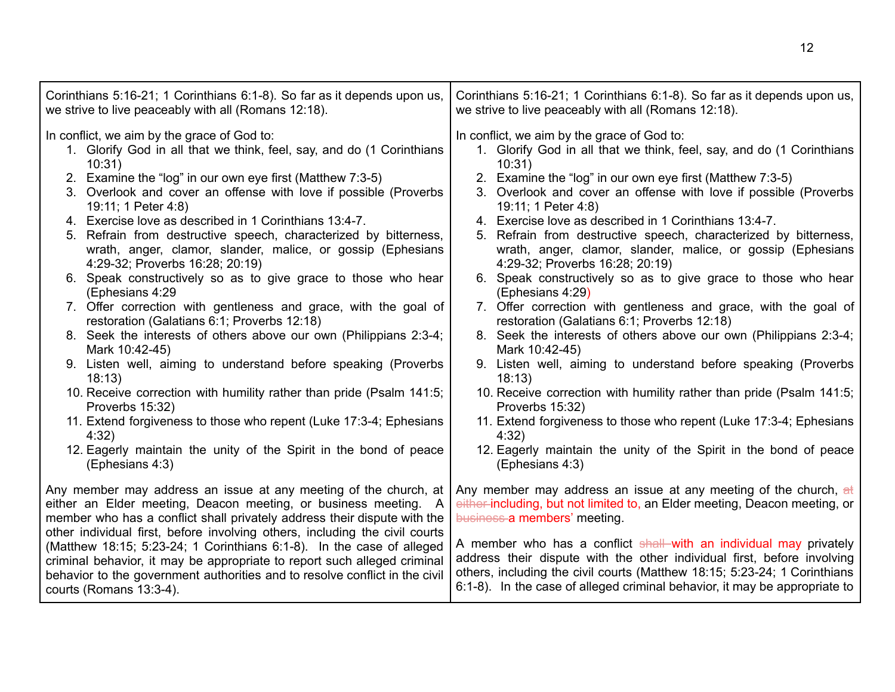| Corinthians 5:16-21; 1 Corinthians 6:1-8). So far as it depends upon us,                                                                                                                                                                                                                                                                   | Corinthians 5:16-21; 1 Corinthians 6:1-8). So far as it depends upon us,                                                                                                                                                                                                                                 |
|--------------------------------------------------------------------------------------------------------------------------------------------------------------------------------------------------------------------------------------------------------------------------------------------------------------------------------------------|----------------------------------------------------------------------------------------------------------------------------------------------------------------------------------------------------------------------------------------------------------------------------------------------------------|
| we strive to live peaceably with all (Romans 12:18).                                                                                                                                                                                                                                                                                       | we strive to live peaceably with all (Romans 12:18).                                                                                                                                                                                                                                                     |
| In conflict, we aim by the grace of God to:                                                                                                                                                                                                                                                                                                | In conflict, we aim by the grace of God to:                                                                                                                                                                                                                                                              |
| 1. Glorify God in all that we think, feel, say, and do (1 Corinthians                                                                                                                                                                                                                                                                      | 1. Glorify God in all that we think, feel, say, and do (1 Corinthians                                                                                                                                                                                                                                    |
| 10:31)                                                                                                                                                                                                                                                                                                                                     | 10:31)                                                                                                                                                                                                                                                                                                   |
| 2. Examine the "log" in our own eye first (Matthew 7:3-5)                                                                                                                                                                                                                                                                                  | 2. Examine the "log" in our own eye first (Matthew 7:3-5)                                                                                                                                                                                                                                                |
| 3. Overlook and cover an offense with love if possible (Proverbs                                                                                                                                                                                                                                                                           | 3. Overlook and cover an offense with love if possible (Proverbs                                                                                                                                                                                                                                         |
| 19:11; 1 Peter 4:8)                                                                                                                                                                                                                                                                                                                        | 19:11; 1 Peter 4:8)                                                                                                                                                                                                                                                                                      |
| 4. Exercise love as described in 1 Corinthians 13:4-7.                                                                                                                                                                                                                                                                                     | 4. Exercise love as described in 1 Corinthians 13:4-7.                                                                                                                                                                                                                                                   |
| 5. Refrain from destructive speech, characterized by bitterness,                                                                                                                                                                                                                                                                           | 5. Refrain from destructive speech, characterized by bitterness,                                                                                                                                                                                                                                         |
| wrath, anger, clamor, slander, malice, or gossip (Ephesians                                                                                                                                                                                                                                                                                | wrath, anger, clamor, slander, malice, or gossip (Ephesians                                                                                                                                                                                                                                              |
| 4:29-32; Proverbs 16:28; 20:19)                                                                                                                                                                                                                                                                                                            | 4:29-32; Proverbs 16:28; 20:19)                                                                                                                                                                                                                                                                          |
| 6. Speak constructively so as to give grace to those who hear                                                                                                                                                                                                                                                                              | 6. Speak constructively so as to give grace to those who hear                                                                                                                                                                                                                                            |
| (Ephesians 4:29                                                                                                                                                                                                                                                                                                                            | (Ephesians 4:29)                                                                                                                                                                                                                                                                                         |
| 7. Offer correction with gentleness and grace, with the goal of                                                                                                                                                                                                                                                                            | 7. Offer correction with gentleness and grace, with the goal of                                                                                                                                                                                                                                          |
| restoration (Galatians 6:1; Proverbs 12:18)                                                                                                                                                                                                                                                                                                | restoration (Galatians 6:1; Proverbs 12:18)                                                                                                                                                                                                                                                              |
| 8. Seek the interests of others above our own (Philippians 2:3-4;                                                                                                                                                                                                                                                                          | 8. Seek the interests of others above our own (Philippians 2:3-4;                                                                                                                                                                                                                                        |
| Mark 10:42-45)                                                                                                                                                                                                                                                                                                                             | Mark 10:42-45)                                                                                                                                                                                                                                                                                           |
| 9. Listen well, aiming to understand before speaking (Proverbs                                                                                                                                                                                                                                                                             | 9. Listen well, aiming to understand before speaking (Proverbs                                                                                                                                                                                                                                           |
| 18:13                                                                                                                                                                                                                                                                                                                                      | 18:13                                                                                                                                                                                                                                                                                                    |
| 10. Receive correction with humility rather than pride (Psalm 141:5;                                                                                                                                                                                                                                                                       | 10. Receive correction with humility rather than pride (Psalm 141:5;                                                                                                                                                                                                                                     |
| Proverbs 15:32)                                                                                                                                                                                                                                                                                                                            | Proverbs 15:32)                                                                                                                                                                                                                                                                                          |
| 11. Extend forgiveness to those who repent (Luke 17:3-4; Ephesians                                                                                                                                                                                                                                                                         | 11. Extend forgiveness to those who repent (Luke 17:3-4; Ephesians                                                                                                                                                                                                                                       |
| 4:32)                                                                                                                                                                                                                                                                                                                                      | 4:32)                                                                                                                                                                                                                                                                                                    |
| 12. Eagerly maintain the unity of the Spirit in the bond of peace                                                                                                                                                                                                                                                                          | 12. Eagerly maintain the unity of the Spirit in the bond of peace                                                                                                                                                                                                                                        |
| (Ephesians 4:3)                                                                                                                                                                                                                                                                                                                            | (Ephesians 4:3)                                                                                                                                                                                                                                                                                          |
| Any member may address an issue at any meeting of the church, at                                                                                                                                                                                                                                                                           | Any member may address an issue at any meeting of the church, at                                                                                                                                                                                                                                         |
| either an Elder meeting, Deacon meeting, or business meeting. A                                                                                                                                                                                                                                                                            | either-including, but not limited to, an Elder meeting, Deacon meeting, or                                                                                                                                                                                                                               |
| member who has a conflict shall privately address their dispute with the                                                                                                                                                                                                                                                                   | business a members' meeting.                                                                                                                                                                                                                                                                             |
| other individual first, before involving others, including the civil courts<br>(Matthew 18:15; 5:23-24; 1 Corinthians 6:1-8). In the case of alleged<br>criminal behavior, it may be appropriate to report such alleged criminal<br>behavior to the government authorities and to resolve conflict in the civil<br>courts (Romans 13:3-4). | A member who has a conflict shall with an individual may privately<br>address their dispute with the other individual first, before involving<br>others, including the civil courts (Matthew 18:15; 5:23-24; 1 Corinthians<br>6:1-8). In the case of alleged criminal behavior, it may be appropriate to |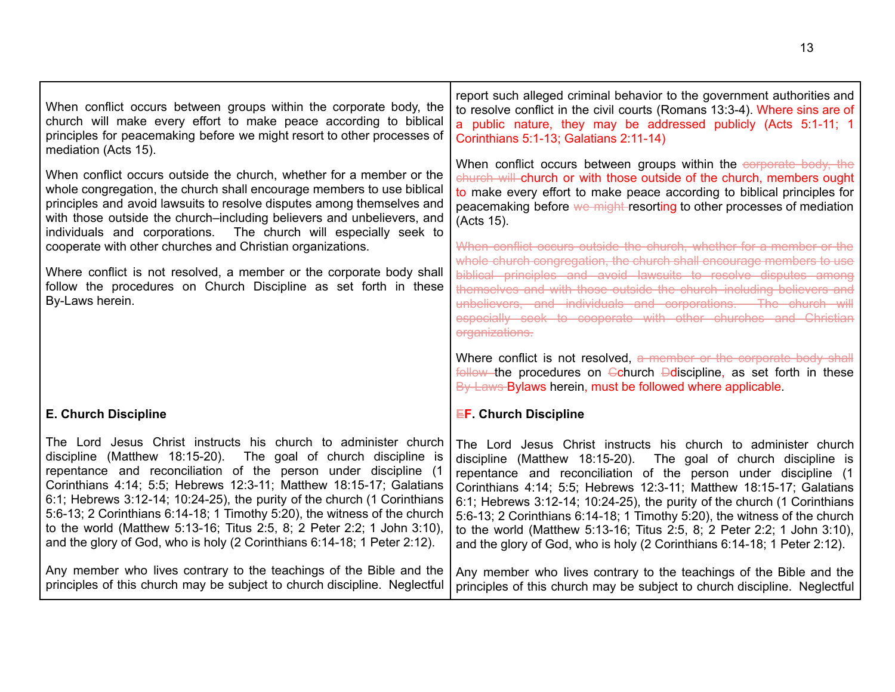| When conflict occurs between groups within the corporate body, the<br>church will make every effort to make peace according to biblical<br>principles for peacemaking before we might resort to other processes of<br>mediation (Acts 15).<br>When conflict occurs outside the church, whether for a member or the<br>whole congregation, the church shall encourage members to use biblical<br>principles and avoid lawsuits to resolve disputes among themselves and<br>with those outside the church-including believers and unbelievers, and<br>individuals and corporations. The church will especially seek to<br>cooperate with other churches and Christian organizations.<br>Where conflict is not resolved, a member or the corporate body shall<br>follow the procedures on Church Discipline as set forth in these<br>By-Laws herein. | report such alleged criminal behavior to the government authorities and<br>to resolve conflict in the civil courts (Romans 13:3-4). Where sins are of<br>a public nature, they may be addressed publicly (Acts 5:1-11; 1)<br>Corinthians 5:1-13; Galatians 2:11-14)<br>When conflict occurs between groups within the corporate body, the<br>church will church or with those outside of the church, members ought<br>to make every effort to make peace according to biblical principles for<br>peacemaking before we might resorting to other processes of mediation<br>(Acts 15).<br>When conflict occurs outside the church, whether for a member or the<br>whole church congregation, the church shall encourage members to use<br>biblical principles and avoid lawsuits to resolve disputes among<br>themselves and with those outside the church-including believers and<br>unbelievers, and individuals and corporations. The church will<br>especially seek to cooperate with other churches and Christian<br>organizations. |
|---------------------------------------------------------------------------------------------------------------------------------------------------------------------------------------------------------------------------------------------------------------------------------------------------------------------------------------------------------------------------------------------------------------------------------------------------------------------------------------------------------------------------------------------------------------------------------------------------------------------------------------------------------------------------------------------------------------------------------------------------------------------------------------------------------------------------------------------------|----------------------------------------------------------------------------------------------------------------------------------------------------------------------------------------------------------------------------------------------------------------------------------------------------------------------------------------------------------------------------------------------------------------------------------------------------------------------------------------------------------------------------------------------------------------------------------------------------------------------------------------------------------------------------------------------------------------------------------------------------------------------------------------------------------------------------------------------------------------------------------------------------------------------------------------------------------------------------------------------------------------------------------------|
|                                                                                                                                                                                                                                                                                                                                                                                                                                                                                                                                                                                                                                                                                                                                                                                                                                                   | Where conflict is not resolved, a member or the corporate body shall<br>follow the procedures on $\ominus$ church $\ominus$ discipline, as set forth in these<br>By-Laws-Bylaws herein, must be followed where applicable.                                                                                                                                                                                                                                                                                                                                                                                                                                                                                                                                                                                                                                                                                                                                                                                                             |
| <b>E. Church Discipline</b>                                                                                                                                                                                                                                                                                                                                                                                                                                                                                                                                                                                                                                                                                                                                                                                                                       | <b>EF. Church Discipline</b>                                                                                                                                                                                                                                                                                                                                                                                                                                                                                                                                                                                                                                                                                                                                                                                                                                                                                                                                                                                                           |
| The Lord Jesus Christ instructs his church to administer church<br>discipline (Matthew 18:15-20). The goal of church discipline is<br>repentance and reconciliation of the person under discipline (1<br>Corinthians 4:14; 5:5; Hebrews 12:3-11; Matthew 18:15-17; Galatians<br>$6:1$ ; Hebrews $3:12-14$ ; $10:24-25$ ), the purity of the church (1 Corinthians<br>5:6-13; 2 Corinthians 6:14-18; 1 Timothy 5:20), the witness of the church<br>to the world (Matthew 5:13-16; Titus 2:5, 8; 2 Peter 2:2; 1 John 3:10),<br>and the glory of God, who is holy (2 Corinthians 6:14-18; 1 Peter 2:12).                                                                                                                                                                                                                                             | The Lord Jesus Christ instructs his church to administer church<br>discipline (Matthew 18:15-20).<br>The goal of church discipline is<br>repentance and reconciliation of the person under discipline (1)<br>Corinthians 4:14; 5:5; Hebrews 12:3-11; Matthew 18:15-17; Galatians<br>6:1; Hebrews 3:12-14; 10:24-25), the purity of the church (1 Corinthians<br>5:6-13; 2 Corinthians 6:14-18; 1 Timothy 5:20), the witness of the church<br>to the world (Matthew 5:13-16; Titus 2:5, 8; 2 Peter 2:2; 1 John 3:10),<br>and the glory of God, who is holy (2 Corinthians 6:14-18; 1 Peter 2:12).                                                                                                                                                                                                                                                                                                                                                                                                                                       |
| Any member who lives contrary to the teachings of the Bible and the<br>principles of this church may be subject to church discipline. Neglectful                                                                                                                                                                                                                                                                                                                                                                                                                                                                                                                                                                                                                                                                                                  | Any member who lives contrary to the teachings of the Bible and the<br>principles of this church may be subject to church discipline. Neglectful                                                                                                                                                                                                                                                                                                                                                                                                                                                                                                                                                                                                                                                                                                                                                                                                                                                                                       |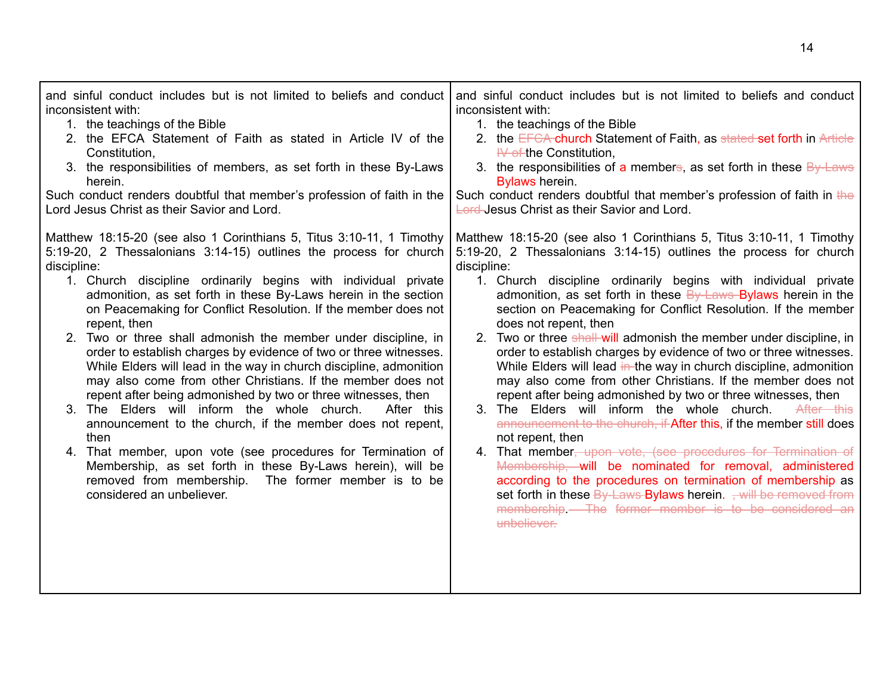| and sinful conduct includes but is not limited to beliefs and conduct                                                                                                                                                                                                                                                                                                                                                                                                                                                                                                                                                                                                                                                                                                                                                                                                                                                                                                                                                                                                                | and sinful conduct includes but is not limited to beliefs and conduct                                                                                                                                                                                                                                                                                                                                                                                                                                                                                                                                                                                                                                                                                                                                                                                                                                                                                                                                                                                                                                                                                                                                                                                    |
|--------------------------------------------------------------------------------------------------------------------------------------------------------------------------------------------------------------------------------------------------------------------------------------------------------------------------------------------------------------------------------------------------------------------------------------------------------------------------------------------------------------------------------------------------------------------------------------------------------------------------------------------------------------------------------------------------------------------------------------------------------------------------------------------------------------------------------------------------------------------------------------------------------------------------------------------------------------------------------------------------------------------------------------------------------------------------------------|----------------------------------------------------------------------------------------------------------------------------------------------------------------------------------------------------------------------------------------------------------------------------------------------------------------------------------------------------------------------------------------------------------------------------------------------------------------------------------------------------------------------------------------------------------------------------------------------------------------------------------------------------------------------------------------------------------------------------------------------------------------------------------------------------------------------------------------------------------------------------------------------------------------------------------------------------------------------------------------------------------------------------------------------------------------------------------------------------------------------------------------------------------------------------------------------------------------------------------------------------------|
| inconsistent with:                                                                                                                                                                                                                                                                                                                                                                                                                                                                                                                                                                                                                                                                                                                                                                                                                                                                                                                                                                                                                                                                   | inconsistent with:                                                                                                                                                                                                                                                                                                                                                                                                                                                                                                                                                                                                                                                                                                                                                                                                                                                                                                                                                                                                                                                                                                                                                                                                                                       |
| 1. the teachings of the Bible                                                                                                                                                                                                                                                                                                                                                                                                                                                                                                                                                                                                                                                                                                                                                                                                                                                                                                                                                                                                                                                        | 1. the teachings of the Bible                                                                                                                                                                                                                                                                                                                                                                                                                                                                                                                                                                                                                                                                                                                                                                                                                                                                                                                                                                                                                                                                                                                                                                                                                            |
| 2. the EFCA Statement of Faith as stated in Article IV of the                                                                                                                                                                                                                                                                                                                                                                                                                                                                                                                                                                                                                                                                                                                                                                                                                                                                                                                                                                                                                        | 2. the EFCA-church Statement of Faith, as stated set forth in Article                                                                                                                                                                                                                                                                                                                                                                                                                                                                                                                                                                                                                                                                                                                                                                                                                                                                                                                                                                                                                                                                                                                                                                                    |
| Constitution,                                                                                                                                                                                                                                                                                                                                                                                                                                                                                                                                                                                                                                                                                                                                                                                                                                                                                                                                                                                                                                                                        | $H\rightarrow$ of the Constitution,                                                                                                                                                                                                                                                                                                                                                                                                                                                                                                                                                                                                                                                                                                                                                                                                                                                                                                                                                                                                                                                                                                                                                                                                                      |
| 3. the responsibilities of members, as set forth in these By-Laws                                                                                                                                                                                                                                                                                                                                                                                                                                                                                                                                                                                                                                                                                                                                                                                                                                                                                                                                                                                                                    | 3. the responsibilities of a members, as set forth in these $\frac{By\text{ Laws}}{By\text{ days}}$                                                                                                                                                                                                                                                                                                                                                                                                                                                                                                                                                                                                                                                                                                                                                                                                                                                                                                                                                                                                                                                                                                                                                      |
| herein.                                                                                                                                                                                                                                                                                                                                                                                                                                                                                                                                                                                                                                                                                                                                                                                                                                                                                                                                                                                                                                                                              | Bylaws herein.                                                                                                                                                                                                                                                                                                                                                                                                                                                                                                                                                                                                                                                                                                                                                                                                                                                                                                                                                                                                                                                                                                                                                                                                                                           |
| Such conduct renders doubtful that member's profession of faith in the                                                                                                                                                                                                                                                                                                                                                                                                                                                                                                                                                                                                                                                                                                                                                                                                                                                                                                                                                                                                               | Such conduct renders doubtful that member's profession of faith in the                                                                                                                                                                                                                                                                                                                                                                                                                                                                                                                                                                                                                                                                                                                                                                                                                                                                                                                                                                                                                                                                                                                                                                                   |
| Lord Jesus Christ as their Savior and Lord.                                                                                                                                                                                                                                                                                                                                                                                                                                                                                                                                                                                                                                                                                                                                                                                                                                                                                                                                                                                                                                          | <b>Lord-Jesus Christ as their Savior and Lord.</b>                                                                                                                                                                                                                                                                                                                                                                                                                                                                                                                                                                                                                                                                                                                                                                                                                                                                                                                                                                                                                                                                                                                                                                                                       |
| Matthew 18:15-20 (see also 1 Corinthians 5, Titus 3:10-11, 1 Timothy<br>5:19-20, 2 Thessalonians 3:14-15) outlines the process for church<br>discipline:<br>1. Church discipline ordinarily begins with individual private<br>admonition, as set forth in these By-Laws herein in the section<br>on Peacemaking for Conflict Resolution. If the member does not<br>repent, then<br>2. Two or three shall admonish the member under discipline, in<br>order to establish charges by evidence of two or three witnesses.<br>While Elders will lead in the way in church discipline, admonition<br>may also come from other Christians. If the member does not<br>repent after being admonished by two or three witnesses, then<br>3. The Elders will inform the whole church.<br>After this<br>announcement to the church, if the member does not repent,<br>then<br>4. That member, upon vote (see procedures for Termination of<br>Membership, as set forth in these By-Laws herein), will be<br>removed from membership.<br>The former member is to be<br>considered an unbeliever. | Matthew 18:15-20 (see also 1 Corinthians 5, Titus 3:10-11, 1 Timothy<br>5:19-20, 2 Thessalonians 3:14-15) outlines the process for church<br>discipline:<br>1. Church discipline ordinarily begins with individual private<br>admonition, as set forth in these $By-Laws$ Bylaws herein in the<br>section on Peacemaking for Conflict Resolution. If the member<br>does not repent, then<br>2. Two or three shall will admonish the member under discipline, in<br>order to establish charges by evidence of two or three witnesses.<br>While Elders will lead in the way in church discipline, admonition<br>may also come from other Christians. If the member does not<br>repent after being admonished by two or three witnesses, then<br>3. The Elders will inform the whole church.<br>After this<br>announcement to the church, if After this, if the member still does<br>not repent, then<br>4. That member, upon vote, (see procedures for Termination of<br>Membership, will be nominated for removal, administered<br>according to the procedures on termination of membership as<br>set forth in these $By$ -Laws-Bylaws herein. $\frac{1}{2}$ will be removed from<br>membership - The former member is to be considered an<br>unbeliever. |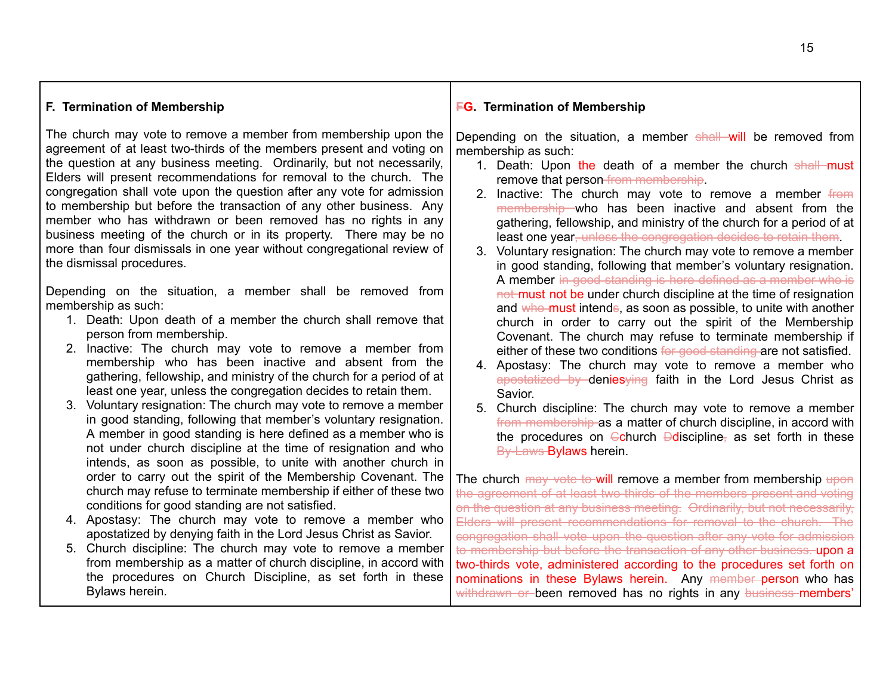#### **F. Termination of Membership**

The church may vote to remove a member from membership upon the agreement of at least two-thirds of the members present and voting on the question at any business meeting. Ordinarily, but not necessarily, Elders will present recommendations for removal to the church. The congregation shall vote upon the question after any vote for admission to membership but before the transaction of any other business. Any member who has withdrawn or been removed has no rights in any business meeting of the church or in its property. There may be no more than four dismissals in one year without congregational review of the dismissal procedures.

Depending on the situation, a member shall be removed from membership as such:

- 1. Death: Upon death of a member the church shall remove that person from membership.
- 2. Inactive: The church may vote to remove a member from membership who has been inactive and absent from the gathering, fellowship, and ministry of the church for a period of at least one year, unless the congregation decides to retain them.
- 3. Voluntary resignation: The church may vote to remove a member in good standing, following that member's voluntary resignation. A member in good standing is here defined as a member who is not under church discipline at the time of resignation and who intends, as soon as possible, to unite with another church in order to carry out the spirit of the Membership Covenant. The church may refuse to terminate membership if either of these two conditions for good standing are not satisfied.
- 4. Apostasy: The church may vote to remove a member who apostatized by denying faith in the Lord Jesus Christ as Savior.
- 5. Church discipline: The church may vote to remove a member from membership as a matter of church discipline, in accord with the procedures on Church Discipline, as set forth in these Bylaws herein.

#### **FG. Termination of Membership**

Depending on the situation, a member shall will be removed from membership as such:

- 1. Death: Upon the death of a member the church shall must remove that person-from membership.
- 2. Inactive: The church may vote to remove a member from membership who has been inactive and absent from the gathering, fellowship, and ministry of the church for a period of at least one year, unless the congregation decides to retain them.
- 3. Voluntary resignation: The church may vote to remove a member in good standing, following that member's voluntary resignation. A member in good standing is here defined as a member who is not must not be under church discipline at the time of resignation and who must intends, as soon as possible, to unite with another church in order to carry out the spirit of the Membership Covenant. The church may refuse to terminate membership if either of these two conditions for good standing are not satisfied.
- 4. Apostasy: The church may vote to remove a member who apostatized by denies ving faith in the Lord Jesus Christ as Savior.
- 5. Church discipline: The church may vote to remove a member from membership as a matter of church discipline, in accord with the procedures on  $\ominus$ church  $\ominus$ discipline, as set forth in these By-Laws Bylaws herein.

The church may vote to will remove a member from membership upon the agreement of at least two-thirds of the members present and voting on the question at any business meeting. Ordinarily, but not necessarily, Elders will present recommendations for removal to the church. The congregation shall vote upon the question after any vote for admission to membership but before the transaction of any other business. upon a two-thirds vote, administered according to the procedures set forth on nominations in these Bylaws herein. Any member person who has withdrawn or been removed has no rights in any business members'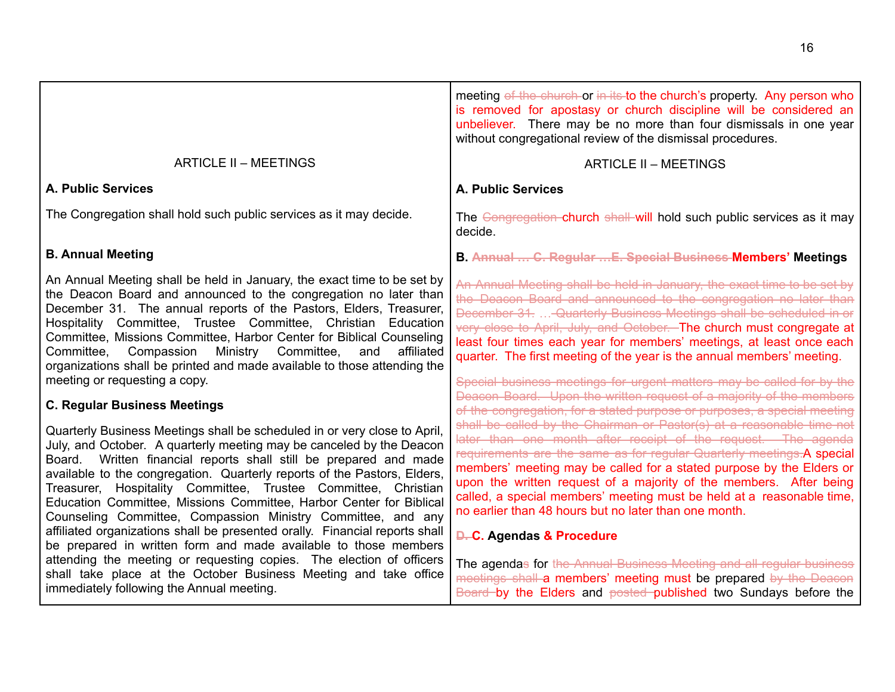<span id="page-15-0"></span>

|                                                                                                                                                                                                                                                                                                                                                                                                                                                                                                                                                                                                                                                               | meeting of the church or in its to the church's property. Any person who<br>is removed for apostasy or church discipline will be considered an<br>unbeliever. There may be no more than four dismissals in one year<br>without congregational review of the dismissal procedures.                                                                                                                                                                                                                                                      |
|---------------------------------------------------------------------------------------------------------------------------------------------------------------------------------------------------------------------------------------------------------------------------------------------------------------------------------------------------------------------------------------------------------------------------------------------------------------------------------------------------------------------------------------------------------------------------------------------------------------------------------------------------------------|----------------------------------------------------------------------------------------------------------------------------------------------------------------------------------------------------------------------------------------------------------------------------------------------------------------------------------------------------------------------------------------------------------------------------------------------------------------------------------------------------------------------------------------|
| <b>ARTICLE II - MEETINGS</b>                                                                                                                                                                                                                                                                                                                                                                                                                                                                                                                                                                                                                                  | <b>ARTICLE II - MEETINGS</b>                                                                                                                                                                                                                                                                                                                                                                                                                                                                                                           |
| <b>A. Public Services</b>                                                                                                                                                                                                                                                                                                                                                                                                                                                                                                                                                                                                                                     | <b>A. Public Services</b>                                                                                                                                                                                                                                                                                                                                                                                                                                                                                                              |
| The Congregation shall hold such public services as it may decide.                                                                                                                                                                                                                                                                                                                                                                                                                                                                                                                                                                                            | The Congregation-church shall-will hold such public services as it may<br>decide.                                                                                                                                                                                                                                                                                                                                                                                                                                                      |
| <b>B. Annual Meeting</b>                                                                                                                                                                                                                                                                                                                                                                                                                                                                                                                                                                                                                                      | <b>B. Annual  C. Regular  E. Special Business Members' Meetings</b>                                                                                                                                                                                                                                                                                                                                                                                                                                                                    |
| An Annual Meeting shall be held in January, the exact time to be set by<br>the Deacon Board and announced to the congregation no later than<br>December 31. The annual reports of the Pastors, Elders, Treasurer,<br>Hospitality Committee, Trustee Committee, Christian Education<br>Committee, Missions Committee, Harbor Center for Biblical Counseling<br>Committee, Compassion<br>Ministry Committee,<br>and<br>affiliated<br>organizations shall be printed and made available to those attending the<br>meeting or requesting a copy.                                                                                                                  | An Annual Meeting shall be held in January, the exact time to be set by<br>the Deacon Board and announced to the congregation no later than<br>December 31.  Quarterly Business Meetings shall be scheduled in or<br>very close to April, July, and October. The church must congregate at<br>least four times each year for members' meetings, at least once each<br>quarter. The first meeting of the year is the annual members' meeting.<br>Special business meetings for urgent matters may be called for by the                  |
| <b>C. Regular Business Meetings</b>                                                                                                                                                                                                                                                                                                                                                                                                                                                                                                                                                                                                                           | Deacon Board. Upon the written request of a majority of the members<br>of the congregation, for a stated purpose or purposes, a special meeting                                                                                                                                                                                                                                                                                                                                                                                        |
| Quarterly Business Meetings shall be scheduled in or very close to April,<br>July, and October. A quarterly meeting may be canceled by the Deacon<br>Board. Written financial reports shall still be prepared and made<br>available to the congregation. Quarterly reports of the Pastors, Elders,<br>Treasurer, Hospitality Committee, Trustee Committee, Christian<br>Education Committee, Missions Committee, Harbor Center for Biblical<br>Counseling Committee, Compassion Ministry Committee, and any<br>affiliated organizations shall be presented orally. Financial reports shall<br>be prepared in written form and made available to those members | shall be called by the Chairman or Pastor(s) at a reasonable time not<br>later than one month after receipt of the request. The agenda<br>requirements are the same as for regular Quarterly meetings.A special<br>members' meeting may be called for a stated purpose by the Elders or<br>upon the written request of a majority of the members. After being<br>called, a special members' meeting must be held at a reasonable time,<br>no earlier than 48 hours but no later than one month.<br><b>D.C. Agendas &amp; Procedure</b> |
| attending the meeting or requesting copies. The election of officers<br>shall take place at the October Business Meeting and take office<br>immediately following the Annual meeting.                                                                                                                                                                                                                                                                                                                                                                                                                                                                         | The agendas for the Annual Business Meeting and all regular business<br>meetings shall a members' meeting must be prepared by the Deacon<br>Board by the Elders and posted published two Sundays before the                                                                                                                                                                                                                                                                                                                            |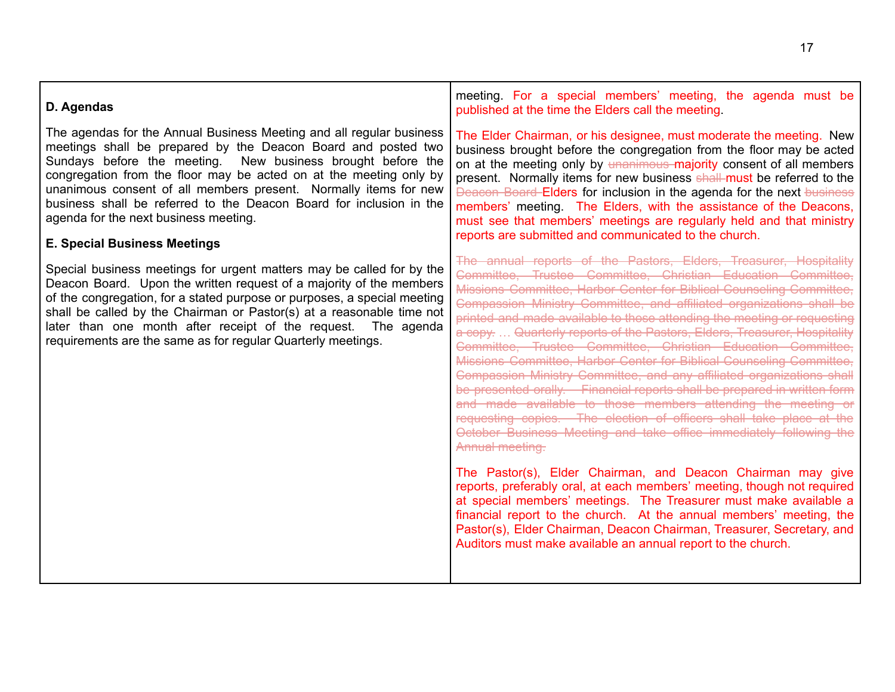| D. Agendas                                                                                                                                                                                                                                                                                                                                                                                                                                                                                            | meeting. For a special members' meeting, the agenda must be<br>published at the time the Elders call the meeting.                                                                                                                                                                                                                                                                                                                                                                                                                                                                                                                                                                                                                                                                                                                                                                                                                                                                                                                                                                                                                                                                                                                                                                                                                                                                                     |
|-------------------------------------------------------------------------------------------------------------------------------------------------------------------------------------------------------------------------------------------------------------------------------------------------------------------------------------------------------------------------------------------------------------------------------------------------------------------------------------------------------|-------------------------------------------------------------------------------------------------------------------------------------------------------------------------------------------------------------------------------------------------------------------------------------------------------------------------------------------------------------------------------------------------------------------------------------------------------------------------------------------------------------------------------------------------------------------------------------------------------------------------------------------------------------------------------------------------------------------------------------------------------------------------------------------------------------------------------------------------------------------------------------------------------------------------------------------------------------------------------------------------------------------------------------------------------------------------------------------------------------------------------------------------------------------------------------------------------------------------------------------------------------------------------------------------------------------------------------------------------------------------------------------------------|
| The agendas for the Annual Business Meeting and all regular business<br>meetings shall be prepared by the Deacon Board and posted two<br>Sundays before the meeting. New business brought before the<br>congregation from the floor may be acted on at the meeting only by<br>unanimous consent of all members present. Normally items for new<br>business shall be referred to the Deacon Board for inclusion in the<br>agenda for the next business meeting.<br><b>E. Special Business Meetings</b> | The Elder Chairman, or his designee, must moderate the meeting. New<br>business brought before the congregation from the floor may be acted<br>on at the meeting only by unanimous majority consent of all members<br>present. Normally items for new business shall must be referred to the<br><b>Deacon Board Elders for inclusion in the agenda for the next business</b><br>members' meeting. The Elders, with the assistance of the Deacons,<br>must see that members' meetings are regularly held and that ministry<br>reports are submitted and communicated to the church.                                                                                                                                                                                                                                                                                                                                                                                                                                                                                                                                                                                                                                                                                                                                                                                                                    |
| Special business meetings for urgent matters may be called for by the<br>Deacon Board. Upon the written request of a majority of the members<br>of the congregation, for a stated purpose or purposes, a special meeting<br>shall be called by the Chairman or Pastor(s) at a reasonable time not<br>later than one month after receipt of the request. The agenda<br>requirements are the same as for regular Quarterly meetings.                                                                    | The annual reports of the Pastors, Elders, Treasurer, Hospitality<br>Committee, Trustee Committee, Christian Education Committee,<br>Missions Committee, Harbor Center for Biblical Counseling Committee,<br>Compassion Ministry Committee, and affiliated organizations shall be<br>printed and made available to those attending the meeting or requesting<br>a copy.  Quarterly reports of the Pastors, Elders, Treasurer, Hospitality<br>Committee, Trustee Committee, Christian Education Committee,<br>Missions Committee, Harbor Center for Biblical Counseling Committee,<br>Compassion Ministry Committee, and any affiliated organizations shall<br>be presented orally. Financial reports shall be prepared in written form<br>and made available to those members attending the meeting or<br>requesting copies. The election of officers shall take place at the<br>October Business Meeting and take office immediately following the<br>Annual meeting.<br>The Pastor(s), Elder Chairman, and Deacon Chairman may give<br>reports, preferably oral, at each members' meeting, though not required<br>at special members' meetings. The Treasurer must make available a<br>financial report to the church. At the annual members' meeting, the<br>Pastor(s), Elder Chairman, Deacon Chairman, Treasurer, Secretary, and<br>Auditors must make available an annual report to the church. |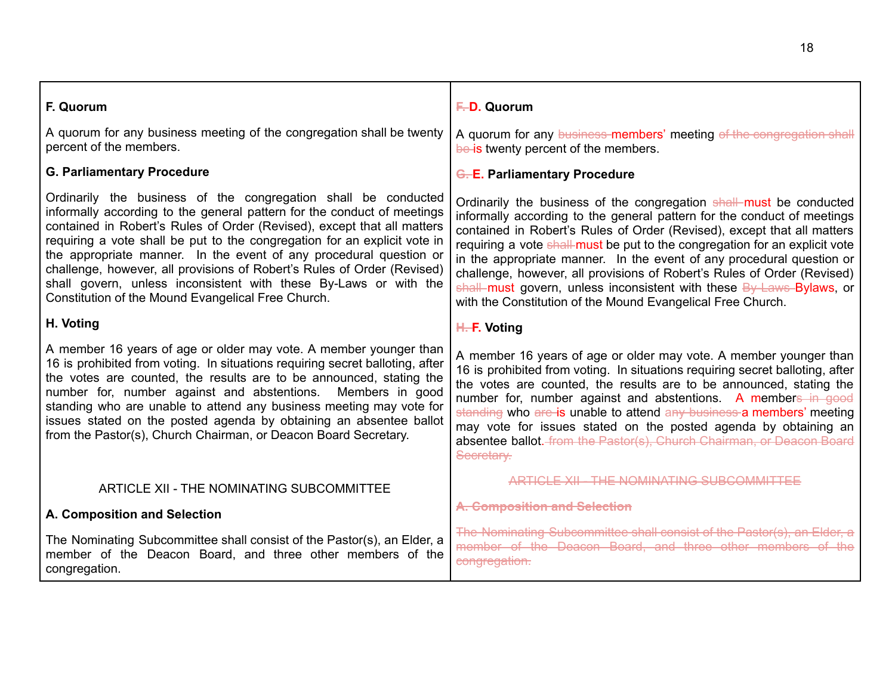| F. Quorum                                                                                                                                                                                                                                                                                                                                                                                                                                                                                                                                                                    | F.D. Quorum                                                                                                                                                                                                                                                                                                                                                                                                                                                                                                                                                                                         |
|------------------------------------------------------------------------------------------------------------------------------------------------------------------------------------------------------------------------------------------------------------------------------------------------------------------------------------------------------------------------------------------------------------------------------------------------------------------------------------------------------------------------------------------------------------------------------|-----------------------------------------------------------------------------------------------------------------------------------------------------------------------------------------------------------------------------------------------------------------------------------------------------------------------------------------------------------------------------------------------------------------------------------------------------------------------------------------------------------------------------------------------------------------------------------------------------|
| A quorum for any business meeting of the congregation shall be twenty<br>percent of the members.                                                                                                                                                                                                                                                                                                                                                                                                                                                                             | A quorum for any business-members' meeting of the congregation shall<br>be is twenty percent of the members.                                                                                                                                                                                                                                                                                                                                                                                                                                                                                        |
| <b>G. Parliamentary Procedure</b>                                                                                                                                                                                                                                                                                                                                                                                                                                                                                                                                            | <b>G.E. Parliamentary Procedure</b>                                                                                                                                                                                                                                                                                                                                                                                                                                                                                                                                                                 |
| Ordinarily the business of the congregation shall be conducted<br>informally according to the general pattern for the conduct of meetings<br>contained in Robert's Rules of Order (Revised), except that all matters<br>requiring a vote shall be put to the congregation for an explicit vote in<br>the appropriate manner. In the event of any procedural question or<br>challenge, however, all provisions of Robert's Rules of Order (Revised)<br>shall govern, unless inconsistent with these By-Laws or with the<br>Constitution of the Mound Evangelical Free Church. | Ordinarily the business of the congregation shall must be conducted<br>informally according to the general pattern for the conduct of meetings<br>contained in Robert's Rules of Order (Revised), except that all matters<br>requiring a vote shall must be put to the congregation for an explicit vote<br>in the appropriate manner. In the event of any procedural question or<br>challenge, however, all provisions of Robert's Rules of Order (Revised)<br>shall must govern, unless inconsistent with these By Laws Bylaws, or<br>with the Constitution of the Mound Evangelical Free Church. |
| H. Voting                                                                                                                                                                                                                                                                                                                                                                                                                                                                                                                                                                    | H.-F. Voting                                                                                                                                                                                                                                                                                                                                                                                                                                                                                                                                                                                        |
| A member 16 years of age or older may vote. A member younger than<br>16 is prohibited from voting. In situations requiring secret balloting, after<br>the votes are counted, the results are to be announced, stating the<br>number for, number against and abstentions. Members in good<br>standing who are unable to attend any business meeting may vote for<br>issues stated on the posted agenda by obtaining an absentee ballot<br>from the Pastor(s), Church Chairman, or Deacon Board Secretary.                                                                     | A member 16 years of age or older may vote. A member younger than<br>16 is prohibited from voting. In situations requiring secret balloting, after<br>the votes are counted, the results are to be announced, stating the<br>number for, number against and abstentions. A members in good<br>standing who are is unable to attend any business a members' meeting<br>may vote for issues stated on the posted agenda by obtaining an<br>absentee ballot. from the Pastor(s), Church Chairman, or Deacon Board<br>Secretary.                                                                        |
| ARTICLE XII - THE NOMINATING SUBCOMMITTEE                                                                                                                                                                                                                                                                                                                                                                                                                                                                                                                                    | <b>ARTICLE XII - THE NOMINATING SUBCOMMITTEE</b>                                                                                                                                                                                                                                                                                                                                                                                                                                                                                                                                                    |
| A. Composition and Selection                                                                                                                                                                                                                                                                                                                                                                                                                                                                                                                                                 | A. Composition and Selection                                                                                                                                                                                                                                                                                                                                                                                                                                                                                                                                                                        |
| The Nominating Subcommittee shall consist of the Pastor(s), an Elder, a<br>member of the Deacon Board, and three other members of the<br>congregation.                                                                                                                                                                                                                                                                                                                                                                                                                       | The Nominating Subcommittee shall consist of the Pastor(s), an Elder, a<br>member of the Deacon Board, and three other members of the<br>congregation.                                                                                                                                                                                                                                                                                                                                                                                                                                              |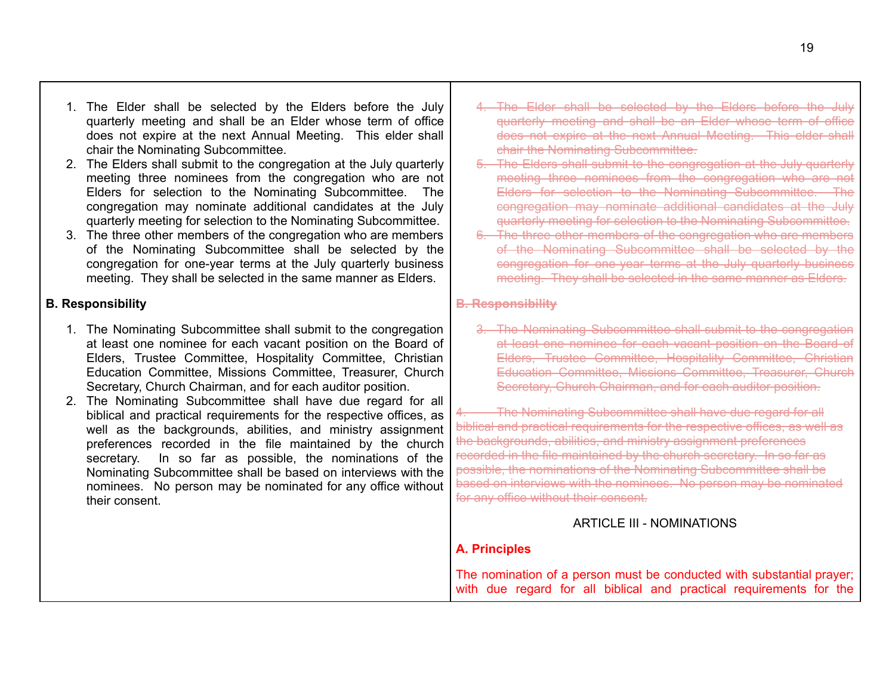- 1. The Elder shall be selected by the Elders before the July quarterly meeting and shall be an Elder whose term of office does not expire at the next Annual Meeting. This elder shall chair the Nominating Subcommittee.
- 2. The Elders shall submit to the congregation at the July quarterly meeting three nominees from the congregation who are not Elders for selection to the Nominating Subcommittee. The congregation may nominate additional candidates at the July quarterly meeting for selection to the Nominating Subcommittee.
- 3. The three other members of the congregation who are members of the Nominating Subcommittee shall be selected by the congregation for one-year terms at the July quarterly business meeting. They shall be selected in the same manner as Elders.

## **B. Responsibility**

- 1. The Nominating Subcommittee shall submit to the congregation at least one nominee for each vacant position on the Board of Elders, Trustee Committee, Hospitality Committee, Christian Education Committee, Missions Committee, Treasurer, Church Secretary, Church Chairman, and for each auditor position.
- 2. The Nominating Subcommittee shall have due regard for all biblical and practical requirements for the respective offices, as well as the backgrounds, abilities, and ministry assignment preferences recorded in the file maintained by the church secretary. In so far as possible, the nominations of the Nominating Subcommittee shall be based on interviews with the nominees. No person may be nominated for any office without their consent.
- 4. The Elder shall be selected by the Elders before the July quarterly meeting and shall be an Elder whose term of office does not expire at the next Annual Meeting. This elder shall chair the Nominating Subcommittee.
- 5. The Elders shall submit to the congregation at the July quarterly meeting three nominees from the congregation who are not Elders for selection to the Nominating Subcommittee. The congregation may nominate additional candidates at the July quarterly meeting for selection to the Nominating Subcommittee.
- 6. The three other members of the congregation who are members of the Nominating Subcommittee shall be selected by the congregation for one-year terms at the July quarterly business meeting. They shall be selected in the same manner as Elders.

## **B. Responsibility**

3. The Nominating Subcommittee shall submit to the congregation at least one nominee for each vacant position on the Board of Elders, Trustee Committee, Hospitality Committee, Christian Education Committee, Missions Committee, Treasurer, Church Secretary, Church Chairman, and for each auditor position.

The Nominating Subcommittee shall have due regard for all biblical and practical requirements for the respective offices, as well as the backgrounds, abilities, and ministry assignment preferences recorded in the file maintained by the church secretary. In so far as possible, the nominations of the Nominating Subcommittee shall be based on interviews with the nominees. No person may be nominated for any office without their consent.

# ARTICLE III - NOMINATIONS

## <span id="page-18-0"></span>**A. Principles**

The nomination of a person must be conducted with substantial prayer; with due regard for all biblical and practical requirements for the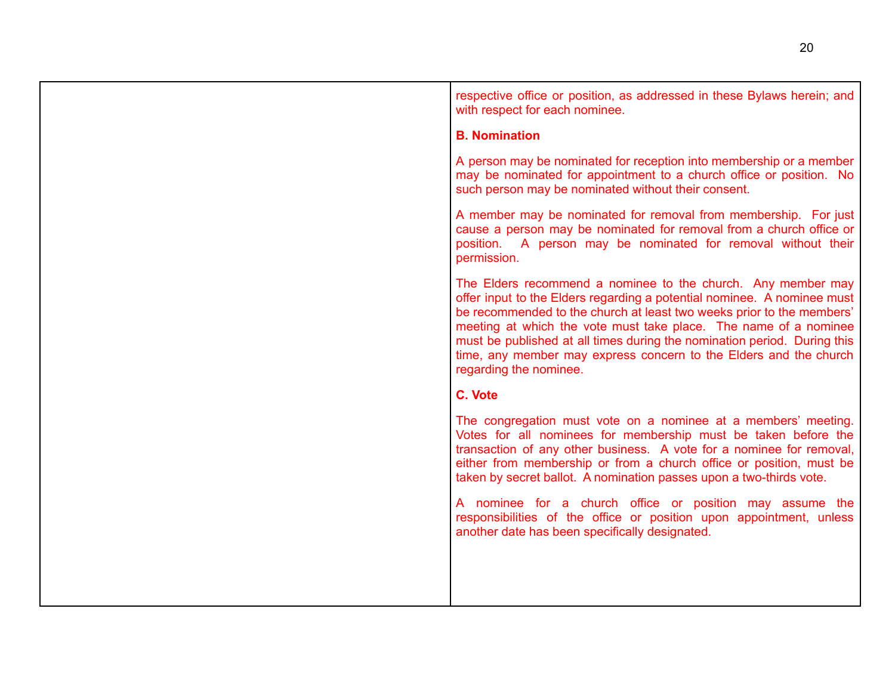| respective office or position, as addressed in these Bylaws herein; and<br>with respect for each nominee.                                                                                                                                                                                                                                                                                                                                                       |
|-----------------------------------------------------------------------------------------------------------------------------------------------------------------------------------------------------------------------------------------------------------------------------------------------------------------------------------------------------------------------------------------------------------------------------------------------------------------|
| <b>B. Nomination</b>                                                                                                                                                                                                                                                                                                                                                                                                                                            |
| A person may be nominated for reception into membership or a member<br>may be nominated for appointment to a church office or position. No<br>such person may be nominated without their consent.                                                                                                                                                                                                                                                               |
| A member may be nominated for removal from membership. For just<br>cause a person may be nominated for removal from a church office or<br>position. A person may be nominated for removal without their<br>permission.                                                                                                                                                                                                                                          |
| The Elders recommend a nominee to the church. Any member may<br>offer input to the Elders regarding a potential nominee. A nominee must<br>be recommended to the church at least two weeks prior to the members'<br>meeting at which the vote must take place. The name of a nominee<br>must be published at all times during the nomination period. During this<br>time, any member may express concern to the Elders and the church<br>regarding the nominee. |
| C. Vote                                                                                                                                                                                                                                                                                                                                                                                                                                                         |
| The congregation must vote on a nominee at a members' meeting.<br>Votes for all nominees for membership must be taken before the<br>transaction of any other business. A vote for a nominee for removal,<br>either from membership or from a church office or position, must be<br>taken by secret ballot. A nomination passes upon a two-thirds vote.                                                                                                          |
| A nominee for a church office or position may assume the<br>responsibilities of the office or position upon appointment, unless<br>another date has been specifically designated.                                                                                                                                                                                                                                                                               |
|                                                                                                                                                                                                                                                                                                                                                                                                                                                                 |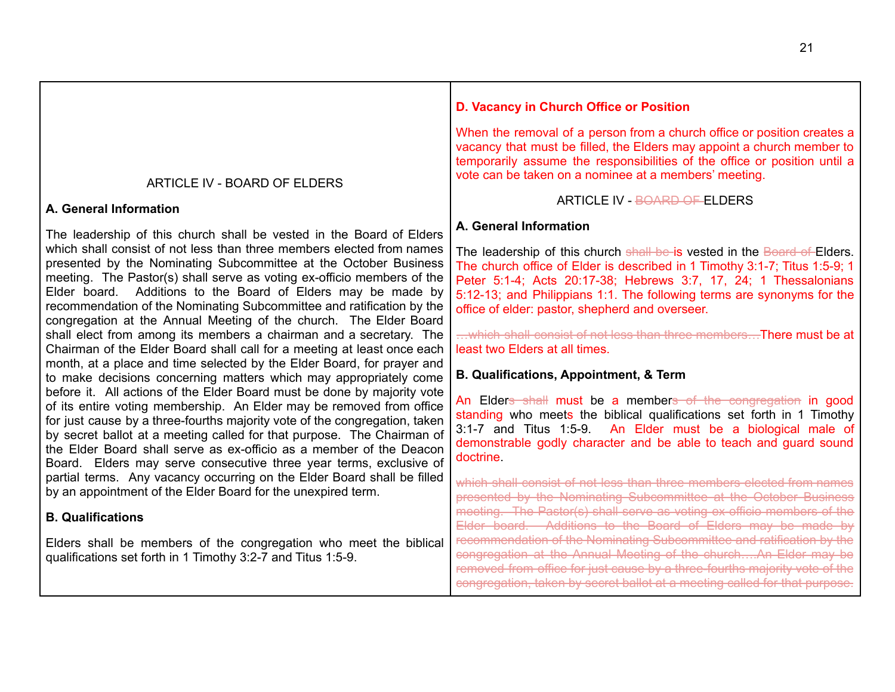#### ARTICLE IV - BOARD OF ELDERS **A. General Information** The leadership of this church shall be vested in the Board of Elders which shall consist of not less than three members elected from names presented by the Nominating Subcommittee at the October Business meeting. The Pastor(s) shall serve as voting ex-officio members of the Elder board. Additions to the Board of Elders may be made by recommendation of the Nominating Subcommittee and ratification by the congregation at the Annual Meeting of the church. The Elder Board shall elect from among its members a chairman and a secretary. The Chairman of the Elder Board shall call for a meeting at least once each month, at a place and time selected by the Elder Board, for prayer and to make decisions concerning matters which may appropriately come before it. All actions of the Elder Board must be done by majority vote of its entire voting membership. An Elder may be removed from office for just cause by a three-fourths majority vote of the congregation, taken by secret ballot at a meeting called for that purpose. The Chairman of the Elder Board shall serve as ex-officio as a member of the Deacon Board. Elders may serve consecutive three year terms, exclusive of partial terms. Any vacancy occurring on the Elder Board shall be filled by an appointment of the Elder Board for the unexpired term. **B. Qualifications** Elders shall be members of the congregation who meet the biblical qualifications set forth in 1 Timothy 3:2-7 and Titus 1:5-9. vacancy that must be filled, the Elders may appoint a church member to temporarily assume the responsibilities of the office or position until a vote can be taken on a nominee at a members' meeting. ARTICLE IV - BOARD OF ELDERS **A. General Information** The leadership of this church shall be is vested in the Board of Elders. The church office of Elder is described in 1 Timothy 3:1-7; Titus 1:5-9; 1 Peter 5:1-4; Acts 20:17-38; Hebrews 3:7, 17, 24; 1 Thessalonians 5:12-13; and Philippians 1:1. The following terms are synonyms for the office of elder: pastor, shepherd and overseer. ... which shall consist of not less than three members... There must be at least two Elders at all times. **B. Qualifications, Appointment, & Term** An Elders shall must be a members of the congregation in good standing who meets the biblical qualifications set forth in 1 Timothy 3:1-7 and Titus 1:5-9. An Elder must be a biological male of demonstrable godly character and be able to teach and guard sound doctrine. which shall consist of not less than three members elected from names presented by the Nominating Subcommittee at the October Business meeting. The Pastor(s) shall serve as voting ex-officio members of the Elder board. Additions to the Board of Elders may be made by recommendation of the Nominating Subcommittee and ratification by the congregation at the Annual Meeting of the church….An Elder may be removed from office for just cause by a three-fourths majority vote of the congregation, taken by secret ballot at a meeting called for that purpose.

**D. Vacancy in Church Office or Position**

<span id="page-20-0"></span>When the removal of a person from a church office or position creates a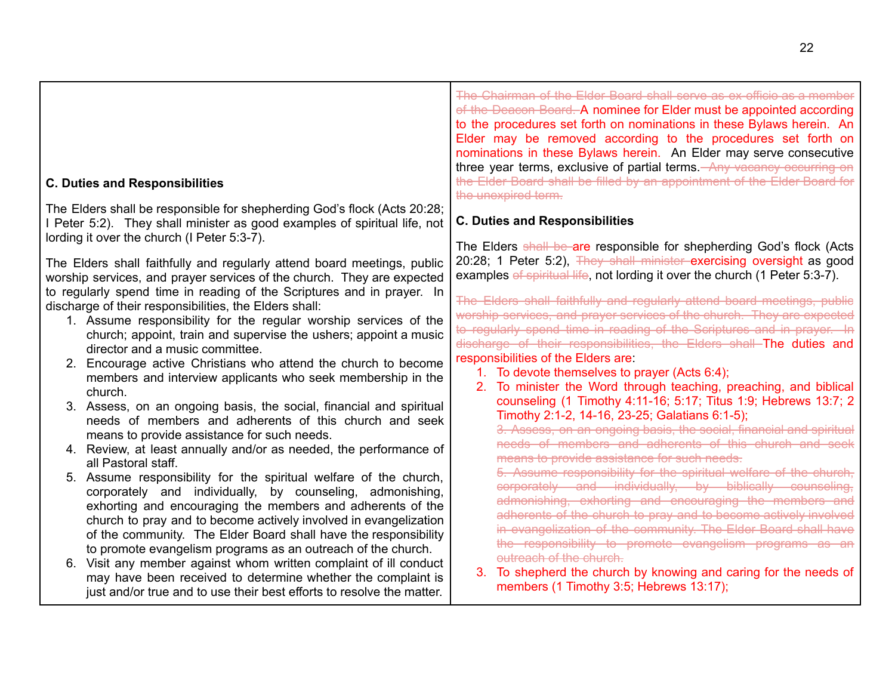| <b>C. Duties and Responsibilities</b>                                                                                                                                                                                                                                                                                                                                                                                                                                                                                                                                                                                                                                                                                                                                                                                                                                                                                                                                                                                                                                                                                                                        |                                                                                                                                                                                                                                                                                                                                                                                                                                                                                                                                                                                                                                                                                                                                                                                                                                                                                                                                                                                                                                                                                                                                                                                                                                                                        | The Chairman of the Elder Board shall serve as ex-officio as a member<br>of the Deacon Board. A nominee for Elder must be appointed according<br>to the procedures set forth on nominations in these Bylaws herein. An<br>Elder may be removed according to the procedures set forth on<br>nominations in these Bylaws herein. An Elder may serve consecutive<br>three year terms, exclusive of partial terms. Any vacancy occurring on<br>the Elder Board shall be filled by an appointment of the Elder Board for<br>the unexpired term. |
|--------------------------------------------------------------------------------------------------------------------------------------------------------------------------------------------------------------------------------------------------------------------------------------------------------------------------------------------------------------------------------------------------------------------------------------------------------------------------------------------------------------------------------------------------------------------------------------------------------------------------------------------------------------------------------------------------------------------------------------------------------------------------------------------------------------------------------------------------------------------------------------------------------------------------------------------------------------------------------------------------------------------------------------------------------------------------------------------------------------------------------------------------------------|------------------------------------------------------------------------------------------------------------------------------------------------------------------------------------------------------------------------------------------------------------------------------------------------------------------------------------------------------------------------------------------------------------------------------------------------------------------------------------------------------------------------------------------------------------------------------------------------------------------------------------------------------------------------------------------------------------------------------------------------------------------------------------------------------------------------------------------------------------------------------------------------------------------------------------------------------------------------------------------------------------------------------------------------------------------------------------------------------------------------------------------------------------------------------------------------------------------------------------------------------------------------|--------------------------------------------------------------------------------------------------------------------------------------------------------------------------------------------------------------------------------------------------------------------------------------------------------------------------------------------------------------------------------------------------------------------------------------------------------------------------------------------------------------------------------------------|
| The Elders shall be responsible for shepherding God's flock (Acts 20:28;<br>I Peter 5:2). They shall minister as good examples of spiritual life, not<br>lording it over the church (I Peter 5:3-7).                                                                                                                                                                                                                                                                                                                                                                                                                                                                                                                                                                                                                                                                                                                                                                                                                                                                                                                                                         |                                                                                                                                                                                                                                                                                                                                                                                                                                                                                                                                                                                                                                                                                                                                                                                                                                                                                                                                                                                                                                                                                                                                                                                                                                                                        | <b>C. Duties and Responsibilities</b>                                                                                                                                                                                                                                                                                                                                                                                                                                                                                                      |
| The Elders shall faithfully and regularly attend board meetings, public<br>worship services, and prayer services of the church. They are expected<br>to regularly spend time in reading of the Scriptures and in prayer. In<br>discharge of their responsibilities, the Elders shall:<br>1. Assume responsibility for the regular worship services of the<br>church; appoint, train and supervise the ushers; appoint a music<br>director and a music committee.<br>2. Encourage active Christians who attend the church to become<br>members and interview applicants who seek membership in the<br>church.<br>3. Assess, on an ongoing basis, the social, financial and spiritual<br>needs of members and adherents of this church and seek<br>means to provide assistance for such needs.<br>4. Review, at least annually and/or as needed, the performance of<br>all Pastoral staff.<br>5. Assume responsibility for the spiritual welfare of the church,<br>corporately and individually, by counseling, admonishing,<br>exhorting and encouraging the members and adherents of the<br>church to pray and to become actively involved in evangelization | The Elders shall be are responsible for shepherding God's flock (Acts<br>20:28; 1 Peter 5:2), They shall minister exercising oversight as good<br>examples of spiritual life, not lording it over the church (1 Peter 5:3-7).<br>The Elders shall faithfully and regularly attend board meetings, public<br>worship services, and prayer services of the church. They are expected<br>to regularly spend time in reading of the Scriptures and in prayer. In<br>discharge of their responsibilities, the Elders shall The duties and<br>responsibilities of the Elders are:<br>1. To devote themselves to prayer (Acts 6:4);<br>To minister the Word through teaching, preaching, and biblical<br>2.<br>counseling (1 Timothy 4:11-16; 5:17; Titus 1:9; Hebrews 13:7; 2<br>Timothy 2:1-2, 14-16, 23-25; Galatians 6:1-5);<br>3. Assess, on an ongoing basis, the social, financial and spiritual<br>needs of members and adherents of this church and seek<br>means to provide assistance for such needs.<br>5. Assume responsibility for the spiritual welfare of the church,<br>corporately and individually, by biblically counseling,<br>admonishing, exhorting and encouraging the members and<br>adherents of the church to pray and to become actively involved |                                                                                                                                                                                                                                                                                                                                                                                                                                                                                                                                            |
| of the community. The Elder Board shall have the responsibility<br>to promote evangelism programs as an outreach of the church.<br>6. Visit any member against whom written complaint of ill conduct<br>may have been received to determine whether the complaint is<br>just and/or true and to use their best efforts to resolve the matter.                                                                                                                                                                                                                                                                                                                                                                                                                                                                                                                                                                                                                                                                                                                                                                                                                |                                                                                                                                                                                                                                                                                                                                                                                                                                                                                                                                                                                                                                                                                                                                                                                                                                                                                                                                                                                                                                                                                                                                                                                                                                                                        | in evangelization of the community. The Elder Board shall have<br>the responsibility to promote evangelism programs as an<br>outreach of the church.<br>To shepherd the church by knowing and caring for the needs of<br>members (1 Timothy 3:5; Hebrews 13:17);                                                                                                                                                                                                                                                                           |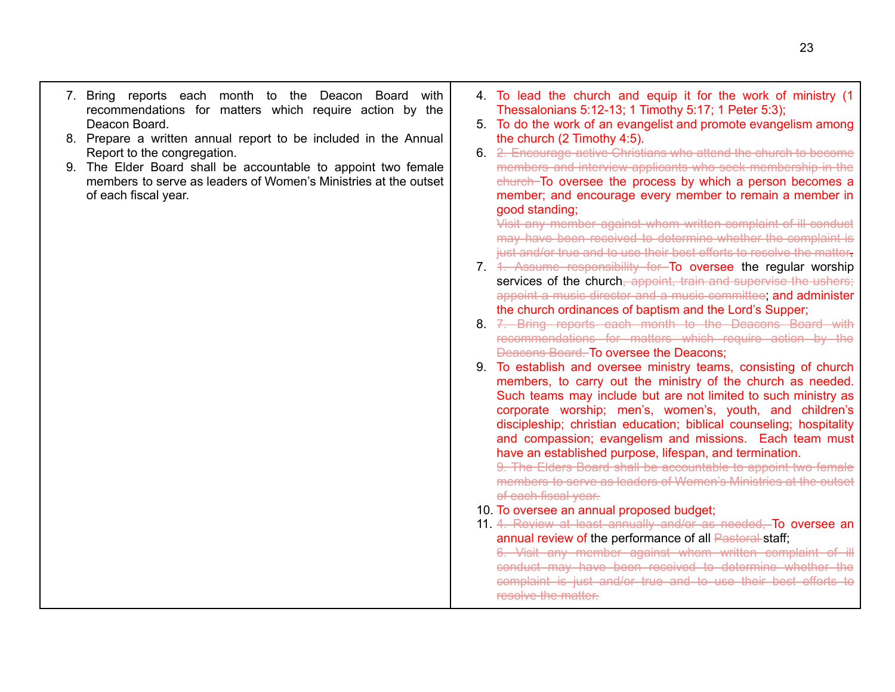- 7. Bring reports each month to the Deacon Board with recommendations for matters which require action by the Deacon Board.
- 8. Prepare a written annual report to be included in the Annual Report to the congregation.
- 9. The Elder Board shall be accountable to appoint two female members to serve as leaders of Women's Ministries at the outset of each fiscal year.
- 4. To lead the church and equip it for the work of ministry (1 Thessalonians 5:12-13; 1 Timothy 5:17; 1 Peter 5:3);
- 5. To do the work of an evangelist and promote evangelism among the church (2 Timothy 4:5).
- 6. 2. Encourage active Christians who attend the church to become members and interview applicants who seek membership in the church To oversee the process by which a person becomes a member; and encourage every member to remain a member in good standing;

Visit any member against whom written complaint of ill conduct may have been received to determine whether the complaint is just and/or true and to use their best efforts to resolve the matter.

- 7. 1. Assume responsibility for To oversee the regular worship services of the church, appoint, train and supervise the ushers; appoint a music director and a music committee; and administer the church ordinances of baptism and the Lord's Supper;
- 8. 7. Bring reports each month to the Deacons Board with recommendations for matters which require action by the Deacons Board. To oversee the Deacons;
- 9. To establish and oversee ministry teams, consisting of church members, to carry out the ministry of the church as needed. Such teams may include but are not limited to such ministry as corporate worship; men's, women's, youth, and children's discipleship; christian education; biblical counseling; hospitality and compassion; evangelism and missions. Each team must have an established purpose, lifespan, and termination.

9. The Elders Board shall be accountable to appoint two female members to serve as leaders of Women's Ministries at the outset of each fiscal year.

- 10. To oversee an annual proposed budget;
- 11. 4. Review at least annually and/or as needed, To oversee an annual review of the performance of all Pastoral staff;

6. Visit any member against whom written complaint of ill conduct may have been received to determine whether the complaint is just and/or true and to use their best efforts to resolve the matter.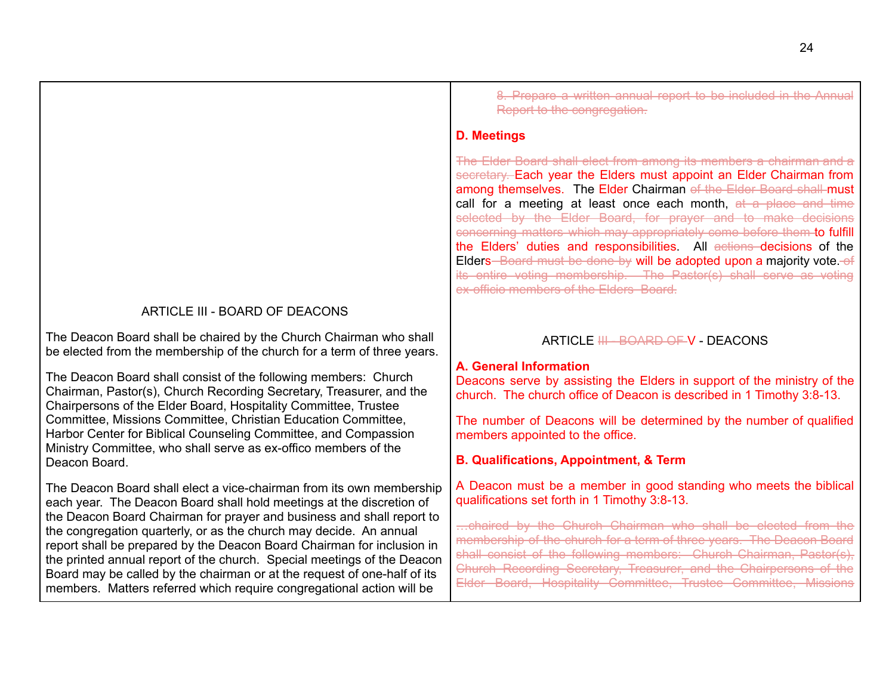## ARTICLE III - BOARD OF DEACONS

The Deacon Board shall be chaired by the Church Chairman who shall be elected from the membership of the church for a term of three years.

The Deacon Board shall consist of the following members: Church Chairman, Pastor(s), Church Recording Secretary, Treasurer, and the Chairpersons of the Elder Board, Hospitality Committee, Trustee Committee, Missions Committee, Christian Education Committee, Harbor Center for Biblical Counseling Committee, and Compassion Ministry Committee, who shall serve as ex-offico members of the Deacon Board.

The Deacon Board shall elect a vice-chairman from its own membership each year. The Deacon Board shall hold meetings at the discretion of the Deacon Board Chairman for prayer and business and shall report to the congregation quarterly, or as the church may decide. An annual report shall be prepared by the Deacon Board Chairman for inclusion in the printed annual report of the church. Special meetings of the Deacon Board may be called by the chairman or at the request of one-half of its members. Matters referred which require congregational action will be

8. Prepare a written annual report to be included in the Annual Report to the congregation.

#### **D. Meetings**

The Elder Board shall elect from among its members a chairman and a secretary. Each year the Elders must appoint an Elder Chairman from among themselves. The Elder Chairman of the Elder Board shall must call for a meeting at least once each month, at a place and time selected by the Elder Board, for prayer and to make decisions concerning matters which may appropriately come before them to fulfill the Elders' duties and responsibilities. All actions decisions of the Elders-Board must be done by will be adopted upon a majority vote. of its entire voting membership. The Pastor(s) shall serve as voting ex-officio members of the Elders Board.

#### ARTICLE <del>III - BOARD OF V</del> - DEACONS

## <span id="page-23-0"></span>**A. General Information**

Deacons serve by assisting the Elders in support of the ministry of the church. The church office of Deacon is described in 1 Timothy 3:8-13.

The number of Deacons will be determined by the number of qualified members appointed to the office.

## **B. Qualifications, Appointment, & Term**

A Deacon must be a member in good standing who meets the biblical qualifications set forth in 1 Timothy 3:8-13.

…chaired by the Church Chairman who shall be elected from the membership of the church for a term of three years. The Deacon Board shall consist of the following members: Church Chairman, Pastor(s). Church Recording Secretary, Treasurer, and the Chairpersons of the Elder Board, Hospitality Committee, Trustee Committee, Missions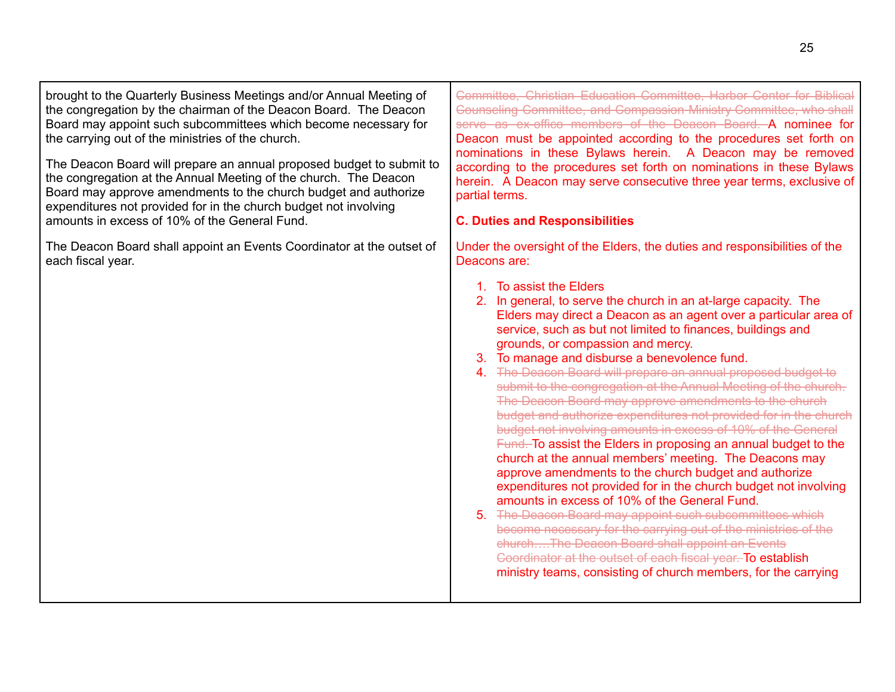| brought to the Quarterly Business Meetings and/or Annual Meeting of<br>the congregation by the chairman of the Deacon Board. The Deacon<br>Board may appoint such subcommittees which become necessary for<br>the carrying out of the ministries of the church.<br>The Deacon Board will prepare an annual proposed budget to submit to<br>the congregation at the Annual Meeting of the church. The Deacon<br>Board may approve amendments to the church budget and authorize<br>expenditures not provided for in the church budget not involving<br>amounts in excess of 10% of the General Fund.<br>The Deacon Board shall appoint an Events Coordinator at the outset of<br>each fiscal year. | Committee, Christian Education Committee, Harbor Center for Biblical<br>Counseling Committee, and Compassion Ministry Committee, who shall<br>serve as ex-office members of the Deacon Board. A nominee for<br>Deacon must be appointed according to the procedures set forth on<br>nominations in these Bylaws herein. A Deacon may be removed<br>according to the procedures set forth on nominations in these Bylaws<br>herein. A Deacon may serve consecutive three year terms, exclusive of<br>partial terms.<br><b>C. Duties and Responsibilities</b><br>Under the oversight of the Elders, the duties and responsibilities of the<br>Deacons are:<br>1. To assist the Elders<br>2. In general, to serve the church in an at-large capacity. The<br>Elders may direct a Deacon as an agent over a particular area of<br>service, such as but not limited to finances, buildings and<br>grounds, or compassion and mercy.<br>3. To manage and disburse a benevolence fund.<br>4. The Deacon Board will prepare an annual proposed budget to<br>submit to the congregation at the Annual Meeting of the church.<br>The Deacon Board may approve amendments to the church<br>budget and authorize expenditures not provided for in the church<br>budget not involving amounts in excess of 10% of the General<br>Fund. To assist the Elders in proposing an annual budget to the<br>church at the annual members' meeting. The Deacons may<br>approve amendments to the church budget and authorize<br>expenditures not provided for in the church budget not involving<br>amounts in excess of 10% of the General Fund.<br>5. The Deacon Board may appoint such subcommittees which<br>become necessary for the carrying out of the ministries of the<br>churchThe Deacon Board shall appoint an Events |
|---------------------------------------------------------------------------------------------------------------------------------------------------------------------------------------------------------------------------------------------------------------------------------------------------------------------------------------------------------------------------------------------------------------------------------------------------------------------------------------------------------------------------------------------------------------------------------------------------------------------------------------------------------------------------------------------------|-------------------------------------------------------------------------------------------------------------------------------------------------------------------------------------------------------------------------------------------------------------------------------------------------------------------------------------------------------------------------------------------------------------------------------------------------------------------------------------------------------------------------------------------------------------------------------------------------------------------------------------------------------------------------------------------------------------------------------------------------------------------------------------------------------------------------------------------------------------------------------------------------------------------------------------------------------------------------------------------------------------------------------------------------------------------------------------------------------------------------------------------------------------------------------------------------------------------------------------------------------------------------------------------------------------------------------------------------------------------------------------------------------------------------------------------------------------------------------------------------------------------------------------------------------------------------------------------------------------------------------------------------------------------------------------------------------------------------------------------------------------------------------------------------------------|
|                                                                                                                                                                                                                                                                                                                                                                                                                                                                                                                                                                                                                                                                                                   | Goordinator at the outset of each fiscal year. To establish<br>ministry teams, consisting of church members, for the carrying                                                                                                                                                                                                                                                                                                                                                                                                                                                                                                                                                                                                                                                                                                                                                                                                                                                                                                                                                                                                                                                                                                                                                                                                                                                                                                                                                                                                                                                                                                                                                                                                                                                                               |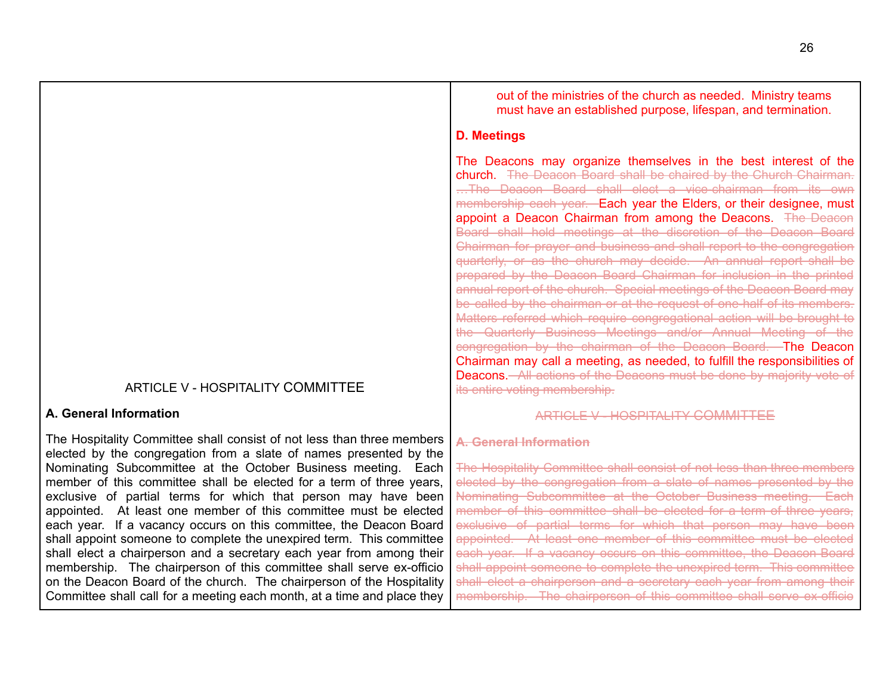#### ARTICLE V - HOSPITALITY COMMITTEE

#### **A. General Information**

The Hospitality Committee shall consist of not less than three members elected by the congregation from a slate of names presented by the Nominating Subcommittee at the October Business meeting. Each member of this committee shall be elected for a term of three years, exclusive of partial terms for which that person may have been appointed. At least one member of this committee must be elected each year. If a vacancy occurs on this committee, the Deacon Board shall appoint someone to complete the unexpired term. This committee shall elect a chairperson and a secretary each year from among their membership. The chairperson of this committee shall serve ex-officio on the Deacon Board of the church. The chairperson of the Hospitality Committee shall call for a meeting each month, at a time and place they

out of the ministries of the church as needed. Ministry teams must have an established purpose, lifespan, and termination.

#### **D. Meetings**

The Deacons may organize themselves in the best interest of the church. The Deacon Board shall be chaired by the Church Chairman. …The Deacon Board shall elect a vice-chairman from its own membership each year. Each year the Elders, or their designee, must appoint a Deacon Chairman from among the Deacons. The Deacon Board shall hold meetings at the discretion of the Deacon Board Chairman for prayer and business and shall report to the congregation quarterly, or as the church may decide. An annual report shall be prepared by the Deacon Board Chairman for inclusion in the printed annual report of the church. Special meetings of the Deacon Board may be called by the chairman or at the request of one-half of its members. Matters referred which require congregational action will be brought to the Quarterly Business Meetings and/or Annual Meeting of the congregation by the chairman of the Deacon Board. The Deacon Chairman may call a meeting, as needed, to fulfill the responsibilities of Deacons. All actions of the Deacons must be done by majority vote of its entire voting membership.

#### ARTICLE V - HOSPITALITY COMMITTEE

#### **A. General Information**

The Hospitality Committee shall consist of not less than three members elected by the congregation from a slate of names presented by the Nominating Subcommittee at the October Business meeting. Each member of this committee shall be elected for a term of three years, exclusive of partial terms for which that person may have been appointed. At least one member of this committee must be elected each year. If a vacancy occurs on this committee, the Deacon Board shall appoint someone to complete the unexpired term. This committee shall elect a chairperson and a secretary each year from among their membership. The chairperson of this committee shall serve ex-officio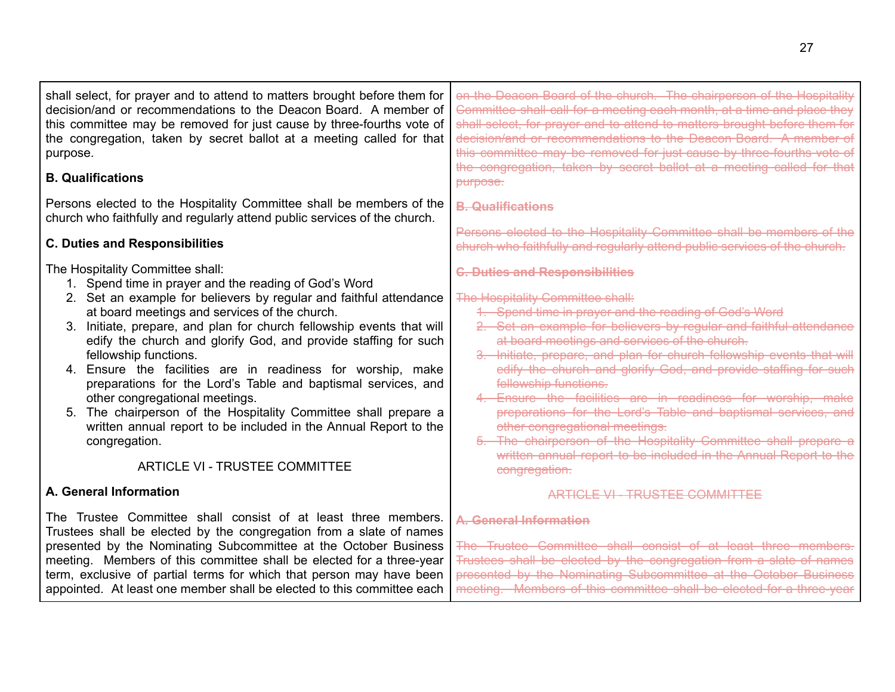| shall select, for prayer and to attend to matters brought before them for<br>decision/and or recommendations to the Deacon Board. A member of<br>this committee may be removed for just cause by three-fourths vote of<br>the congregation, taken by secret ballot at a meeting called for that<br>purpose.                                                                                                                                                                                                                                                                                                                                                                                                                                              | on the Deacon Board of the church. The chairperson of the Hospitality<br>Committee shall call for a meeting each month, at a time and place they<br>shall select, for prayer and to attend to matters brought before them for<br>decision/and or recommendations to the Deacon Board. A member of<br>this committee may be removed for just cause by three-fourths vote of<br>the congregation, taken by secret ballot at a meeting called for that                                                                                                                                                                                                                                                                                                      |
|----------------------------------------------------------------------------------------------------------------------------------------------------------------------------------------------------------------------------------------------------------------------------------------------------------------------------------------------------------------------------------------------------------------------------------------------------------------------------------------------------------------------------------------------------------------------------------------------------------------------------------------------------------------------------------------------------------------------------------------------------------|----------------------------------------------------------------------------------------------------------------------------------------------------------------------------------------------------------------------------------------------------------------------------------------------------------------------------------------------------------------------------------------------------------------------------------------------------------------------------------------------------------------------------------------------------------------------------------------------------------------------------------------------------------------------------------------------------------------------------------------------------------|
| <b>B. Qualifications</b>                                                                                                                                                                                                                                                                                                                                                                                                                                                                                                                                                                                                                                                                                                                                 | purpose.                                                                                                                                                                                                                                                                                                                                                                                                                                                                                                                                                                                                                                                                                                                                                 |
| Persons elected to the Hospitality Committee shall be members of the<br>church who faithfully and regularly attend public services of the church.                                                                                                                                                                                                                                                                                                                                                                                                                                                                                                                                                                                                        | <b>B.</b> Qualifications                                                                                                                                                                                                                                                                                                                                                                                                                                                                                                                                                                                                                                                                                                                                 |
| <b>C. Duties and Responsibilities</b>                                                                                                                                                                                                                                                                                                                                                                                                                                                                                                                                                                                                                                                                                                                    | Persons elected to the Hospitality Committee shall be members of the<br>church who faithfully and regularly attend public services of the church.                                                                                                                                                                                                                                                                                                                                                                                                                                                                                                                                                                                                        |
| The Hospitality Committee shall:<br>1. Spend time in prayer and the reading of God's Word<br>2. Set an example for believers by regular and faithful attendance<br>at board meetings and services of the church.<br>Initiate, prepare, and plan for church fellowship events that will<br>edify the church and glorify God, and provide staffing for such<br>fellowship functions.<br>4. Ensure the facilities are in readiness for worship, make<br>preparations for the Lord's Table and baptismal services, and<br>other congregational meetings.<br>The chairperson of the Hospitality Committee shall prepare a<br>5.<br>written annual report to be included in the Annual Report to the<br>congregation.<br><b>ARTICLE VI - TRUSTEE COMMITTEE</b> | <b>C. Duties and Responsibilities</b><br>The Hospitality Committee shall:<br>1. Spend time in prayer and the reading of God's Word<br>2. Set an example for believers by regular and faithful attendance<br>at board meetings and services of the church.<br>3. Initiate, prepare, and plan for church fellowship events that will<br>edify the church and glorify God, and provide staffing for such<br>fellowship functions.<br>4. Ensure the facilities are in readiness for worship, make<br>preparations for the Lord's Table and baptismal services, and<br>other congregational meetings.<br>5. The chairperson of the Hospitality Committee shall prepare a<br>written annual report to be included in the Annual Report to the<br>congregation. |
| A. General Information                                                                                                                                                                                                                                                                                                                                                                                                                                                                                                                                                                                                                                                                                                                                   | <b>ARTICLE VI - TRUSTEE COMMITTEE</b>                                                                                                                                                                                                                                                                                                                                                                                                                                                                                                                                                                                                                                                                                                                    |
| The Trustee Committee shall consist of at least three members.<br>Trustees shall be elected by the congregation from a slate of names<br>presented by the Nominating Subcommittee at the October Business<br>meeting. Members of this committee shall be elected for a three-year<br>term, exclusive of partial terms for which that person may have been<br>appointed. At least one member shall be elected to this committee each                                                                                                                                                                                                                                                                                                                      | A. General Information<br>The Trustee Committee shall consist of at least three members.<br>Trustees shall be elected by the congregation from a slate of names<br>presented by the Nominating Subcommittee at the October Business<br>meeting. Members of this committee shall be elected for a three-vear                                                                                                                                                                                                                                                                                                                                                                                                                                              |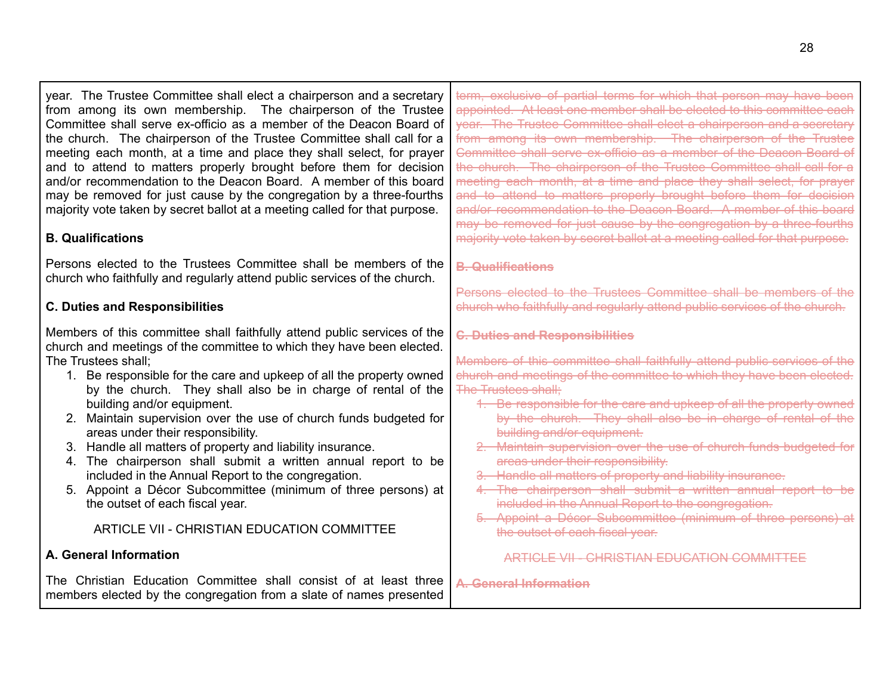year. The Trustee Committee shall elect a chairperson and a secretary from among its own membership. The chairperson of the Trustee Committee shall serve ex-officio as a member of the Deacon Board of the church. The chairperson of the Trustee Committee shall call for a meeting each month, at a time and place they shall select, for prayer and to attend to matters properly brought before them for decision and/or recommendation to the Deacon Board. A member of this board may be removed for just cause by the congregation by a three-fourths majority vote taken by secret ballot at a meeting called for that purpose.

## **B. Qualifications**

Persons elected to the Trustees Committee shall be members of the church who faithfully and regularly attend public services of the church.

## **C. Duties and Responsibilities**

Members of this committee shall faithfully attend public services of the church and meetings of the committee to which they have been elected. The Trustees shall;

- 1. Be responsible for the care and upkeep of all the property owned by the church. They shall also be in charge of rental of the building and/or equipment.
- 2. Maintain supervision over the use of church funds budgeted for areas under their responsibility.
- 3. Handle all matters of property and liability insurance.
- 4. The chairperson shall submit a written annual report to be included in the Annual Report to the congregation.
- 5. Appoint a Décor Subcommittee (minimum of three persons) at the outset of each fiscal year.

## ARTICLE VII - CHRISTIAN EDUCATION COMMITTEE

## **A. General Information**

The Christian Education Committee shall consist of at least three members elected by the congregation from a slate of names presented

term, exclusive of partial terms for which that person may have been appointed. At least one member shall be elected to this committee each year. The Trustee Committee shall elect a chairperson and a secretary from among its own membership. The chairperson of the Trustee Committee shall serve ex-officio as a member of the Deacon Board of the church. The chairperson of the Trustee Committee shall call for a meeting each month, at a time and place they shall select, for prayer and to attend to matters properly brought before them for decision and/or recommendation to the Deacon Board. A member of this board may be removed for just cause by the congregation by a three-fourths majority vote taken by secret ballot at a meeting called for that purpose.

#### **B. Qualifications**

Persons elected to the Trustees Committee shall be members of the church who faithfully and regularly attend public services of the church.

## **C. Duties and Responsibilities**

Members of this committee shall faithfully attend public services of the church and meetings of the committee to which they have been elected. The Trustees shall;

- 1. Be responsible for the care and upkeep of all the property owned by the church. They shall also be in charge of rental of the building and/or equipment.
- 2. Maintain supervision over the use of church funds budgeted for areas under their responsibility.
- 3. Handle all matters of property and liability insurance.
- 4. The chairperson shall submit a written annual report to be included in the Annual Report to the congregation.
- 5. Appoint a Décor Subcommittee (minimum of three persons) at the outset of each fiscal year.

ARTICLE VII - CHRISTIAN EDUCATION COMMITTEE

**A. General Information**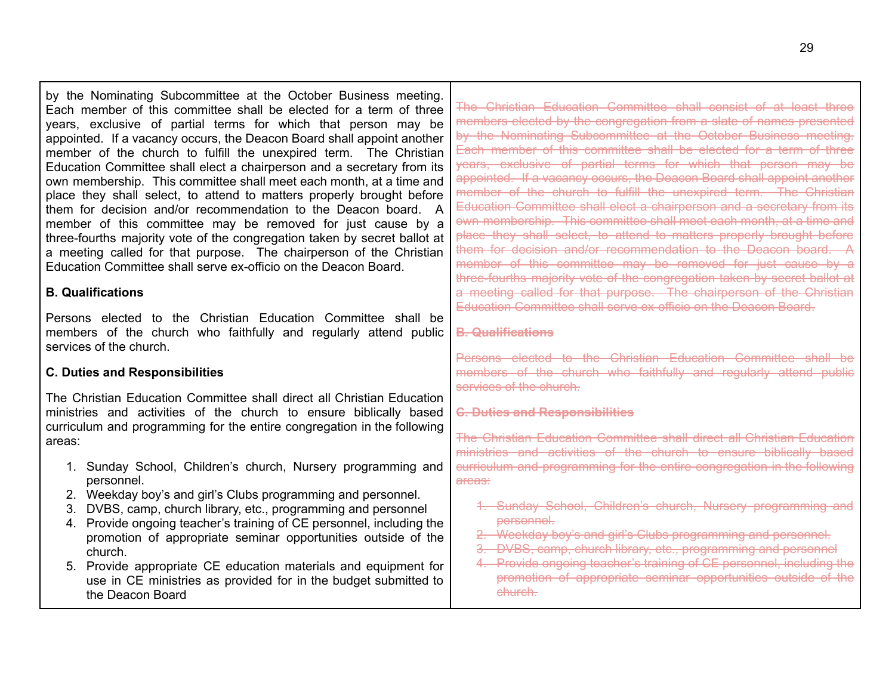by the Nominating Subcommittee at the October Business meeting. Each member of this committee shall be elected for a term of three years, exclusive of partial terms for which that person may be appointed. If a vacancy occurs, the Deacon Board shall appoint another member of the church to fulfill the unexpired term. The Christian Education Committee shall elect a chairperson and a secretary from its own membership. This committee shall meet each month, at a time and place they shall select, to attend to matters properly brought before them for decision and/or recommendation to the Deacon board. A member of this committee may be removed for just cause by a three-fourths majority vote of the congregation taken by secret ballot at a meeting called for that purpose. The chairperson of the Christian Education Committee shall serve ex-officio on the Deacon Board.

## **B. Qualifications**

Persons elected to the Christian Education Committee shall be members of the church who faithfully and regularly attend public services of the church.

## **C. Duties and Responsibilities**

The Christian Education Committee shall direct all Christian Education ministries and activities of the church to ensure biblically based curriculum and programming for the entire congregation in the following areas:

- 1. Sunday School, Children's church, Nursery programming and personnel.
- 2. Weekday boy's and girl's Clubs programming and personnel.
- 3. DVBS, camp, church library, etc., programming and personnel
- 4. Provide ongoing teacher's training of CE personnel, including the promotion of appropriate seminar opportunities outside of the church.
- 5. Provide appropriate CE education materials and equipment for use in CE ministries as provided for in the budget submitted to the Deacon Board

The Christian Education Committee shall consist of at least three members elected by the congregation from a slate of names presented by the Nominating Subcommittee at the October Business meeting. Each member of this committee shall be elected for a term of three years, exclusive of partial terms for which that person may be appointed. If a vacancy occurs, the Deacon Board shall appoint another member of the church to fulfill the unexpired term. The Christian Education Committee shall elect a chairperson and a secretary from its own membership. This committee shall meet each month, at a time and place they shall select, to attend to matters properly brought before them for decision and/or recommendation to the Deacon board. A member of this committee may be removed for just cause by a three-fourths majority vote of the congregation taken by secret ballot at a meeting called for that purpose. The chairperson of the Christian Education Committee shall serve ex-officio on the Deacon Board.

## **B. Qualifications**

Persons elected to the Christian Education Committee shall be members of the church who faithfully and regularly attend public services of the church.

## **C. Duties and Responsibilities**

The Christian Education Committee shall direct all Christian Education ministries and activities of the church to ensure biblically based curriculum and programming for the entire congregation in the following areas:

- 1. Sunday School, Children's church, Nursery programming and personnel.
- 2. Weekday boy's and girl's Clubs programming and personnel.
- 3. DVBS, camp, church library, etc., programming and personnel
- 4. Provide ongoing teacher's training of CE personnel, including the promotion of appropriate seminar opportunities outside of the church.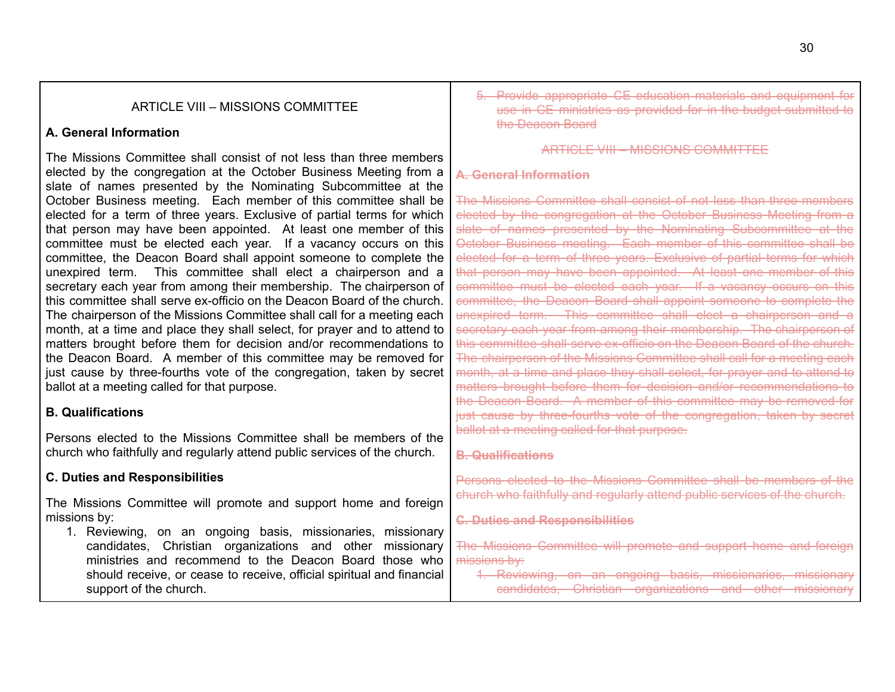## ARTICLE VIII – MISSIONS COMMITTEE

## **A. General Information**

The Missions Committee shall consist of not less than three members elected by the congregation at the October Business Meeting from a slate of names presented by the Nominating Subcommittee at the October Business meeting. Each member of this committee shall be elected for a term of three years. Exclusive of partial terms for which that person may have been appointed. At least one member of this committee must be elected each year. If a vacancy occurs on this committee, the Deacon Board shall appoint someone to complete the unexpired term. This committee shall elect a chairperson and a secretary each year from among their membership. The chairperson of this committee shall serve ex-officio on the Deacon Board of the church. The chairperson of the Missions Committee shall call for a meeting each month, at a time and place they shall select, for prayer and to attend to matters brought before them for decision and/or recommendations to the Deacon Board. A member of this committee may be removed for just cause by three-fourths vote of the congregation, taken by secret ballot at a meeting called for that purpose.

## **B. Qualifications**

Persons elected to the Missions Committee shall be members of the church who faithfully and regularly attend public services of the church.

## **C. Duties and Responsibilities**

The Missions Committee will promote and support home and foreign missions by:

1. Reviewing, on an ongoing basis, missionaries, missionary candidates, Christian organizations and other missionary ministries and recommend to the Deacon Board those who should receive, or cease to receive, official spiritual and financial support of the church.

5. Provide appropriate CE education materials and equipment for use in CE ministries as provided for in the budget submitted to the Deacon Board

ARTICLE VIII – MISSIONS COMMITTEE

## **A. General Information**

The Missions Committee shall consist of not less than three members elected by the congregation at the October Business Meeting from a slate of names presented by the Nominating Subcommittee at the October Business meeting. Each member of this committee shall be elected for a term of three years. Exclusive of partial terms for which that person may have been appointed. At least one member of this committee must be elected each year. If a vacancy occurs on this committee, the Deacon Board shall appoint someone to complete the unexpired term. This committee shall elect a chairperson and a secretary each year from among their membership. The chairperson of this committee shall serve ex-officio on the Deacon Board of the church. The chairperson of the Missions Committee shall call for a meeting each month, at a time and place they shall select, for prayer and to attend to matters brought before them for decision and/or recommendations to the Deacon Board. A member of this committee may be removed for just cause by three-fourths vote of the congregation, taken by secret ballot at a meeting called for that purpose.

## **B. Qualifications**

Persons elected to the Missions Committee shall be members of the church who faithfully and regularly attend public services of the church.

**C. Duties and Responsibilities**

The Missions Committee will promote and support home and foreign missions by:

1. Reviewing, on an ongoing basis, missionaries, missionary candidates, Christian organizations and other missionary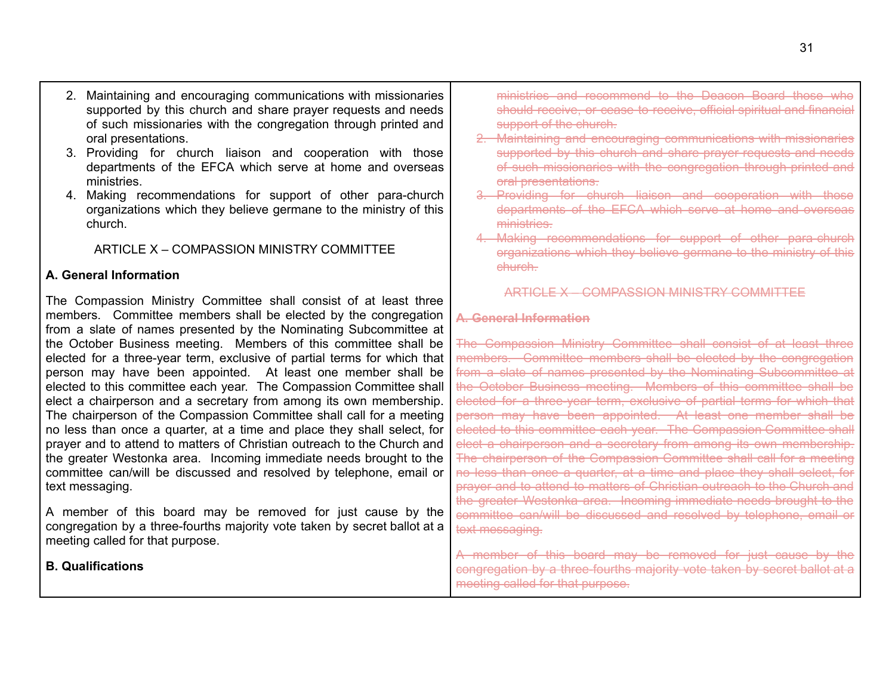- 2. Maintaining and encouraging communications with missionaries supported by this church and share prayer requests and needs of such missionaries with the congregation through printed and oral presentations.
- 3. Providing for church liaison and cooperation with those departments of the EFCA which serve at home and overseas ministries.
- 4. Making recommendations for support of other para-church organizations which they believe germane to the ministry of this church.

## ARTICLE X – COMPASSION MINISTRY COMMITTEE

#### **A. General Information**

The Compassion Ministry Committee shall consist of at least three members. Committee members shall be elected by the congregation from a slate of names presented by the Nominating Subcommittee at the October Business meeting. Members of this committee shall be elected for a three-year term, exclusive of partial terms for which that person may have been appointed. At least one member shall be elected to this committee each year. The Compassion Committee shall elect a chairperson and a secretary from among its own membership. The chairperson of the Compassion Committee shall call for a meeting no less than once a quarter, at a time and place they shall select, for prayer and to attend to matters of Christian outreach to the Church and the greater Westonka area. Incoming immediate needs brought to the committee can/will be discussed and resolved by telephone, email or text messaging.

A member of this board may be removed for just cause by the congregation by a three-fourths majority vote taken by secret ballot at a meeting called for that purpose.

**B. Qualifications**

ministries and recommend to the Deacon Board those who should receive, or cease to receive, official spiritual and financial support of the church.

- 2. Maintaining and encouraging communications with missionaries supported by this church and share prayer requests and needs of such missionaries with the congregation through printed and oral presentations.
- 3. Providing for church liaison and cooperation with those departments of the EFCA which serve at home and overseas ministries.
- 4. Making recommendations for support of other para-church organizations which they believe germane to the ministry of this church.

#### ARTICLE X – COMPASSION MINISTRY COMMITTEE

## **A. General Information**

The Compassion Ministry Committee shall consist of at least three members. Committee members shall be elected by the congregation from a slate of names presented by the Nominating Subcommittee at the October Business meeting. Members of this committee shall be elected for a three-year term, exclusive of partial terms for which that person may have been appointed. At least one member shall be elected to this committee each year. The Compassion Committee shall elect a chairperson and a secretary from among its own membership. The chairperson of the Compassion Committee shall call for a meeting no less than once a quarter, at a time and place they shall select, for prayer and to attend to matters of Christian outreach to the Church and the greater Westonka area. Incoming immediate needs brought to the committee can/will be discussed and resolved by telephone, email or text messaging.

A member of this board may be removed for just cause by the congregation by a three-fourths majority vote taken by secret ballot at a meeting called for that purpose.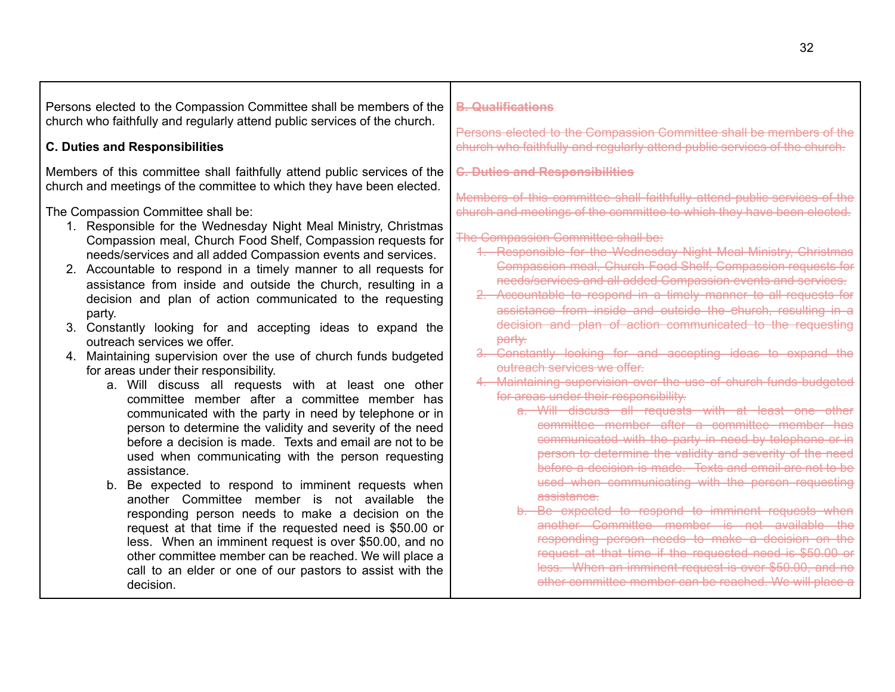| Persons elected to the Compassion Committee shall be members of the<br>church who faithfully and regularly attend public services of the church.                                                                                                                                                                                                                                                                                                                                                                                                                                                                                                                                                                                                                                                                                                                                                                                                                                                                                                                                                                                                                                                                                                                                                                                                                                                                                        | <b>B. Qualifications</b>                                                                                                                                                                                                                                                                                                                                                                                                                                                                                                                                                                                                                                                                                                                                                                                                                                                                                                                                                                                                                                                                                                                                                                                                                                                                                                                                                                                                                                                                                                               |
|-----------------------------------------------------------------------------------------------------------------------------------------------------------------------------------------------------------------------------------------------------------------------------------------------------------------------------------------------------------------------------------------------------------------------------------------------------------------------------------------------------------------------------------------------------------------------------------------------------------------------------------------------------------------------------------------------------------------------------------------------------------------------------------------------------------------------------------------------------------------------------------------------------------------------------------------------------------------------------------------------------------------------------------------------------------------------------------------------------------------------------------------------------------------------------------------------------------------------------------------------------------------------------------------------------------------------------------------------------------------------------------------------------------------------------------------|----------------------------------------------------------------------------------------------------------------------------------------------------------------------------------------------------------------------------------------------------------------------------------------------------------------------------------------------------------------------------------------------------------------------------------------------------------------------------------------------------------------------------------------------------------------------------------------------------------------------------------------------------------------------------------------------------------------------------------------------------------------------------------------------------------------------------------------------------------------------------------------------------------------------------------------------------------------------------------------------------------------------------------------------------------------------------------------------------------------------------------------------------------------------------------------------------------------------------------------------------------------------------------------------------------------------------------------------------------------------------------------------------------------------------------------------------------------------------------------------------------------------------------------|
| <b>C. Duties and Responsibilities</b>                                                                                                                                                                                                                                                                                                                                                                                                                                                                                                                                                                                                                                                                                                                                                                                                                                                                                                                                                                                                                                                                                                                                                                                                                                                                                                                                                                                                   | Persons elected to the Compassion Committee shall be members of the<br>church who faithfully and regularly attend public services of the church.                                                                                                                                                                                                                                                                                                                                                                                                                                                                                                                                                                                                                                                                                                                                                                                                                                                                                                                                                                                                                                                                                                                                                                                                                                                                                                                                                                                       |
| Members of this committee shall faithfully attend public services of the<br>church and meetings of the committee to which they have been elected.                                                                                                                                                                                                                                                                                                                                                                                                                                                                                                                                                                                                                                                                                                                                                                                                                                                                                                                                                                                                                                                                                                                                                                                                                                                                                       | <b>C. Duties and Responsibilities</b>                                                                                                                                                                                                                                                                                                                                                                                                                                                                                                                                                                                                                                                                                                                                                                                                                                                                                                                                                                                                                                                                                                                                                                                                                                                                                                                                                                                                                                                                                                  |
| The Compassion Committee shall be:<br>1. Responsible for the Wednesday Night Meal Ministry, Christmas<br>Compassion meal, Church Food Shelf, Compassion requests for<br>needs/services and all added Compassion events and services.<br>2. Accountable to respond in a timely manner to all requests for<br>assistance from inside and outside the church, resulting in a<br>decision and plan of action communicated to the requesting<br>party.<br>3. Constantly looking for and accepting ideas to expand the<br>outreach services we offer.<br>4. Maintaining supervision over the use of church funds budgeted<br>for areas under their responsibility.<br>a. Will discuss all requests with at least one other<br>committee member after a committee member has<br>communicated with the party in need by telephone or in<br>person to determine the validity and severity of the need<br>before a decision is made. Texts and email are not to be<br>used when communicating with the person requesting<br>assistance.<br>b. Be expected to respond to imminent requests when<br>another Committee member is not available the<br>responding person needs to make a decision on the<br>request at that time if the requested need is \$50.00 or<br>less. When an imminent request is over \$50.00, and no<br>other committee member can be reached. We will place a<br>call to an elder or one of our pastors to assist with the | Members of this committee shall faithfully attend public services of the<br>church and meetings of the committee to which they have been elected.<br>The Compassion Committee shall be:<br>1. Responsible for the Wednesday Night Meal Ministry, Christmas<br><b>Compassion meal, Church Food Shelf, Compassion requests for</b><br>needs/services and all added Compassion events and services.<br>2. Accountable to respond in a timely manner to all requests for<br>assistance from inside and outside the church, resulting in a<br>decision and plan of action communicated to the requesting<br>party.<br>3. Constantly looking for and accepting ideas to expand the<br>outreach services we offer.<br>4. Maintaining supervision over the use of church funds budgeted<br>for areas under their responsibility.<br>a. Will discuss all requests with at least one other<br>committee member after a committee member has<br>communicated with the party in need by telephone or in<br>person to determine the validity and severity of the need<br>before a decision is made. Texts and email are not to be<br>used when communicating with the person requesting<br>assistance.<br>b. Be expected to respond to imminent requests when<br>another Committee member is not available the<br>responding person needs to make a decision on the<br>request at that time if the requested need is \$50.00 or<br>less. When an imminent request is over \$50.00, and no<br>other committee member can be reached. We will place a |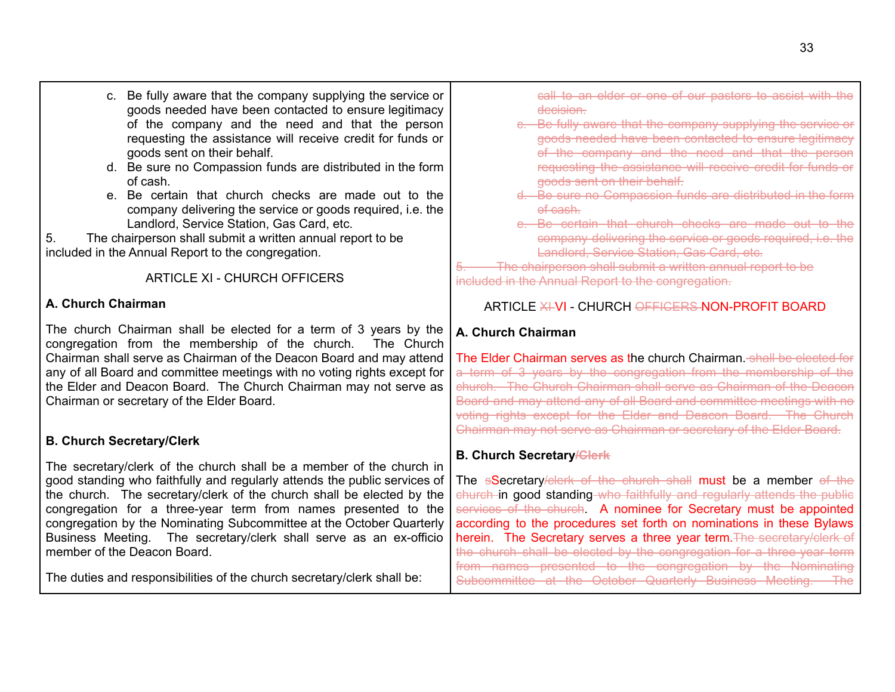- c. Be fully aware that the company supplying the service or goods needed have been contacted to ensure legitimacy of the company and the need and that the person requesting the assistance will receive credit for funds or goods sent on their behalf.
- d. Be sure no Compassion funds are distributed in the form of cash.
- e. Be certain that church checks are made out to the company delivering the service or goods required, i.e. the Landlord, Service Station, Gas Card, etc.
- 5. The chairperson shall submit a written annual report to be included in the Annual Report to the congregation.

ARTICLE XI - CHURCH OFFICERS

## **A. Church Chairman**

The church Chairman shall be elected for a term of 3 years by the congregation from the membership of the church. The Church Chairman shall serve as Chairman of the Deacon Board and may attend any of all Board and committee meetings with no voting rights except for the Elder and Deacon Board. The Church Chairman may not serve as Chairman or secretary of the Elder Board.

# **B. Church Secretary/Clerk**

The secretary/clerk of the church shall be a member of the church in good standing who faithfully and regularly attends the public services of the church. The secretary/clerk of the church shall be elected by the congregation for a three-year term from names presented to the congregation by the Nominating Subcommittee at the October Quarterly Business Meeting. The secretary/clerk shall serve as an ex-officio member of the Deacon Board.

The duties and responsibilities of the church secretary/clerk shall be:

call to an elder or one of our pastors to assist with the decision.

- c. Be fully aware that the company supplying the service or goods needed have been contacted to ensure legitimacy of the company and the need and that the person requesting the assistance will receive credit for funds or goods sent on their behalf.
- d. Be sure no Compassion funds are distributed in the form of cash.
- e. Be certain that church checks are made out to the company delivering the service or goods required, i.e. the Landlord, Service Station, Gas Card, etc.

<span id="page-32-0"></span>The chairperson shall submit a written annual report to be included in the Annual Report to the congregation.

# ARTICLE XIVI - CHURCH OFFICERS NON-PROFIT BOARD

# **A. Church Chairman**

The Elder Chairman serves as the church Chairman. Shall be elected for a term of 3 years by the congregation from the membership of the church. The Church Chairman shall serve as Chairman of the Deacon Board and may attend any of all Board and committee meetings with no voting rights except for the Elder and Deacon Board. The Church Chairman may not serve as Chairman or secretary of the Elder Board.

# **B. Church Secretary/Clerk**

The sSecretary/clerk of the church shall must be a member of the church in good standing who faithfully and regularly attends the public services of the church. A nominee for Secretary must be appointed according to the procedures set forth on nominations in these Bylaws herein. The Secretary serves a three year term. The secretary/clerk of the church shall be elected by the congregation for a three-year term from names presented to the congregation by the Nominating Subcommittee at the October Quarterly Business Meeting. The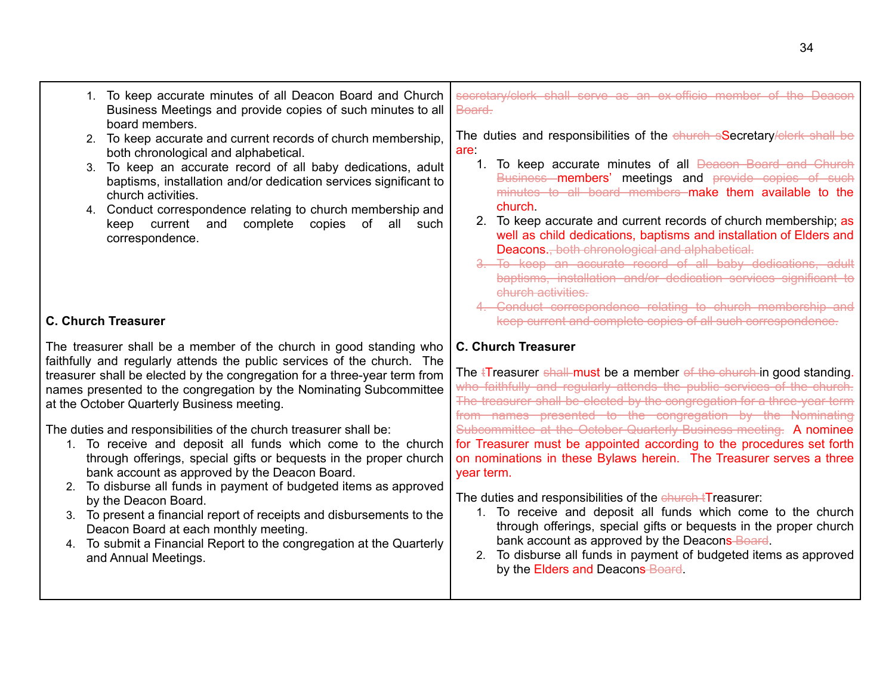| 1. To keep accurate minutes of all Deacon Board and Church<br>Business Meetings and provide copies of such minutes to all<br>board members.                                                                                                                                                                                                                                                                                                                                                                                                                                                                                                                                    | secretary/clerk shall serve as an ex-officio member of the Deacon<br>Board.                                                                                                                                                                                                                                                                                                                                                                                                                                                                                         |
|--------------------------------------------------------------------------------------------------------------------------------------------------------------------------------------------------------------------------------------------------------------------------------------------------------------------------------------------------------------------------------------------------------------------------------------------------------------------------------------------------------------------------------------------------------------------------------------------------------------------------------------------------------------------------------|---------------------------------------------------------------------------------------------------------------------------------------------------------------------------------------------------------------------------------------------------------------------------------------------------------------------------------------------------------------------------------------------------------------------------------------------------------------------------------------------------------------------------------------------------------------------|
| 2. To keep accurate and current records of church membership,<br>both chronological and alphabetical.                                                                                                                                                                                                                                                                                                                                                                                                                                                                                                                                                                          | The duties and responsibilities of the church sSecretary/clerk shall be<br>are                                                                                                                                                                                                                                                                                                                                                                                                                                                                                      |
| 3. To keep an accurate record of all baby dedications, adult<br>baptisms, installation and/or dedication services significant to<br>church activities.                                                                                                                                                                                                                                                                                                                                                                                                                                                                                                                         | 1. To keep accurate minutes of all <b>Deacon Board and Church</b><br>Business members' meetings and provide copies of such<br>minutes to all board members make them available to the                                                                                                                                                                                                                                                                                                                                                                               |
| 4. Conduct correspondence relating to church membership and<br>complete<br>copies<br>keep current and<br>of<br>all<br>correspondence.                                                                                                                                                                                                                                                                                                                                                                                                                                                                                                                                          | church.<br>2. To keep accurate and current records of church membership; as<br>such<br>well as child dedications, baptisms and installation of Elders and<br>Deacons., both chronological and alphabetical.<br>3. To keep an accurate record of all baby dedications, adult<br>baptisms, installation and/or dedication services significant to<br>church activities.<br>4. Conduct correspondence relating to church membership and                                                                                                                                |
| <b>C. Church Treasurer</b>                                                                                                                                                                                                                                                                                                                                                                                                                                                                                                                                                                                                                                                     | keep current and complete copies of all such correspondence.                                                                                                                                                                                                                                                                                                                                                                                                                                                                                                        |
| The treasurer shall be a member of the church in good standing who<br>faithfully and regularly attends the public services of the church. The<br>treasurer shall be elected by the congregation for a three-year term from<br>names presented to the congregation by the Nominating Subcommittee<br>at the October Quarterly Business meeting.<br>The duties and responsibilities of the church treasurer shall be:<br>1. To receive and deposit all funds which come to the church<br>through offerings, special gifts or bequests in the proper church<br>bank account as approved by the Deacon Board.<br>2. To disburse all funds in payment of budgeted items as approved | <b>C. Church Treasurer</b><br>The <i>i</i> Treasurer shall must be a member of the church in good standing.<br>who faithfully and regularly attends the public services of the church.<br>The treasurer shall be elected by the congregation for a three-year term<br>from names presented to the congregation by the Nominating<br>Subcommittee at the October Quarterly Business meeting. A nominee<br>for Treasurer must be appointed according to the procedures set forth<br>on nominations in these Bylaws herein. The Treasurer serves a three<br>year term. |
| by the Deacon Board.<br>3. To present a financial report of receipts and disbursements to the<br>Deacon Board at each monthly meeting.                                                                                                                                                                                                                                                                                                                                                                                                                                                                                                                                         | The duties and responsibilities of the church tTreasurer:<br>1. To receive and deposit all funds which come to the church<br>through offerings, special gifts or bequests in the proper church                                                                                                                                                                                                                                                                                                                                                                      |
| 4. To submit a Financial Report to the congregation at the Quarterly<br>and Annual Meetings.                                                                                                                                                                                                                                                                                                                                                                                                                                                                                                                                                                                   | bank account as approved by the Deacons-Board.<br>2. To disburse all funds in payment of budgeted items as approved<br>by the Elders and Deacons-Board.                                                                                                                                                                                                                                                                                                                                                                                                             |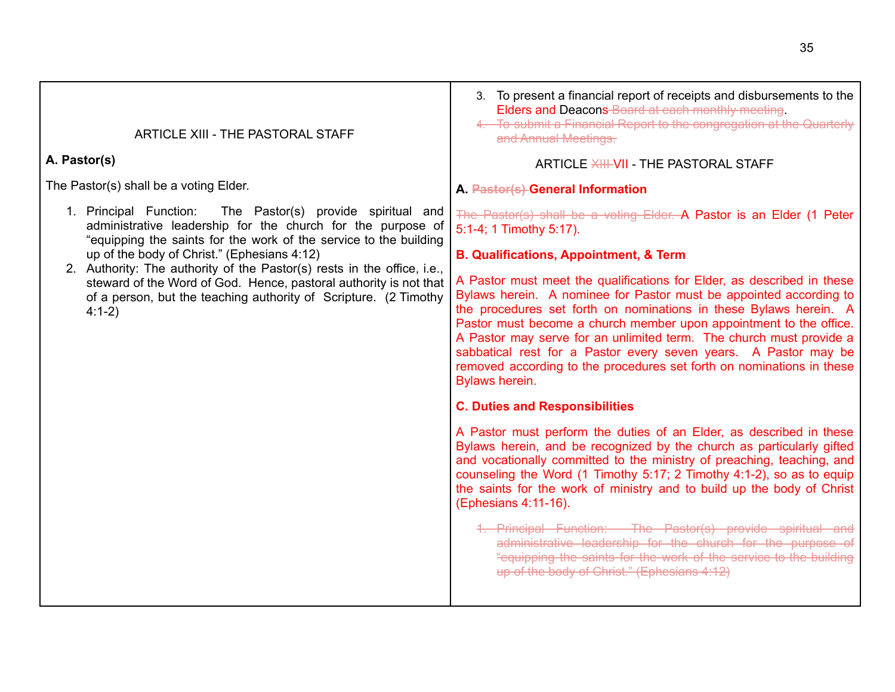<span id="page-34-0"></span>

| ARTICLE XIII - THE PASTORAL STAFF<br>A. Pastor(s)<br>The Pastor(s) shall be a voting Elder.                                                                                                                                                                                                                                                                                                                                                                                   | 3. To present a financial report of receipts and disbursements to the<br>Elders and Deacons-Board at each monthly meeting.<br>4. To submit a Financial Report to the congregation at the Quarterly<br>and Annual Meetings.<br>ARTICLE XIII-VII - THE PASTORAL STAFF<br>A. Pastor(s) General Information                                                                                                                                                                                                                                                                                                                                                                                                                                                                                                                                                                                                                                                                                                                                                                                                                                                                                                                                                                                                                                                                             |
|-------------------------------------------------------------------------------------------------------------------------------------------------------------------------------------------------------------------------------------------------------------------------------------------------------------------------------------------------------------------------------------------------------------------------------------------------------------------------------|-------------------------------------------------------------------------------------------------------------------------------------------------------------------------------------------------------------------------------------------------------------------------------------------------------------------------------------------------------------------------------------------------------------------------------------------------------------------------------------------------------------------------------------------------------------------------------------------------------------------------------------------------------------------------------------------------------------------------------------------------------------------------------------------------------------------------------------------------------------------------------------------------------------------------------------------------------------------------------------------------------------------------------------------------------------------------------------------------------------------------------------------------------------------------------------------------------------------------------------------------------------------------------------------------------------------------------------------------------------------------------------|
| 1. Principal Function: The Pastor(s) provide spiritual and<br>administrative leadership for the church for the purpose of<br>"equipping the saints for the work of the service to the building<br>up of the body of Christ." (Ephesians 4:12)<br>2. Authority: The authority of the Pastor(s) rests in the office, i.e.,<br>steward of the Word of God. Hence, pastoral authority is not that<br>of a person, but the teaching authority of Scripture. (2 Timothy<br>$4:1-2)$ | The Pastor(s) shall be a voting Elder. A Pastor is an Elder (1 Peter<br>5:1-4; 1 Timothy 5:17).<br><b>B. Qualifications, Appointment, &amp; Term</b><br>A Pastor must meet the qualifications for Elder, as described in these<br>Bylaws herein. A nominee for Pastor must be appointed according to<br>the procedures set forth on nominations in these Bylaws herein. A<br>Pastor must become a church member upon appointment to the office.<br>A Pastor may serve for an unlimited term. The church must provide a<br>sabbatical rest for a Pastor every seven years. A Pastor may be<br>removed according to the procedures set forth on nominations in these<br>Bylaws herein.<br><b>C. Duties and Responsibilities</b><br>A Pastor must perform the duties of an Elder, as described in these<br>Bylaws herein, and be recognized by the church as particularly gifted<br>and vocationally committed to the ministry of preaching, teaching, and<br>counseling the Word (1 Timothy 5:17; 2 Timothy 4:1-2), so as to equip<br>the saints for the work of ministry and to build up the body of Christ<br>(Ephesians 4:11-16).<br>1. Principal Function: The Pastor(s) provide spiritual and<br>administrative leadership for the church for the purpose of<br>"equipping the saints for the work of the service to the building<br>up of the body of Christ." (Ephesians 4:12) |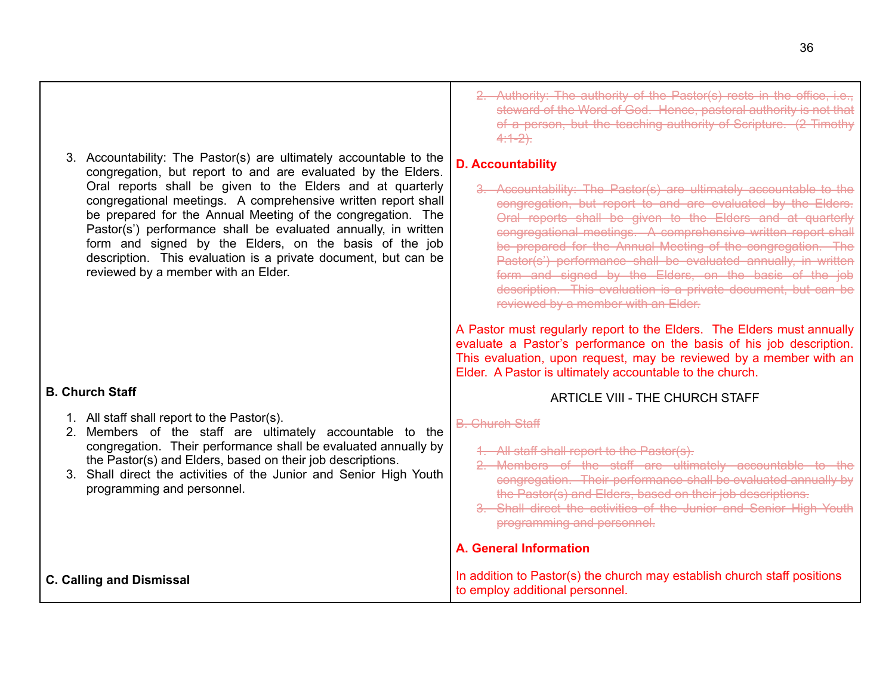<span id="page-35-0"></span>

| 3. Accountability: The Pastor(s) are ultimately accountable to the<br>congregation, but report to and are evaluated by the Elders.<br>Oral reports shall be given to the Elders and at quarterly<br>congregational meetings. A comprehensive written report shall<br>be prepared for the Annual Meeting of the congregation. The<br>Pastor(s') performance shall be evaluated annually, in written<br>form and signed by the Elders, on the basis of the job<br>description. This evaluation is a private document, but can be<br>reviewed by a member with an Elder. | 2. Authority: The authority of the Pastor(s) rests in the office, i.e.,<br>steward of the Word of God. Hence, pastoral authority is not that<br>of a person, but the teaching authority of Scripture. (2 Timothy<br>$4:1-2$ .<br><b>D. Accountability</b><br>3. Accountability: The Pastor(s) are ultimately accountable to the<br>congregation, but report to and are evaluated by the Elders.<br>Oral reports shall be given to the Elders and at quarterly<br>congregational meetings. A comprehensive written report shall<br>be prepared for the Annual Meeting of the congregation. The<br>Pastor(s') performance shall be evaluated annually, in written<br>form and signed by the Elders, on the basis of the job<br>description. This evaluation is a private document, but can be<br>reviewed by a member with an Elder. |
|-----------------------------------------------------------------------------------------------------------------------------------------------------------------------------------------------------------------------------------------------------------------------------------------------------------------------------------------------------------------------------------------------------------------------------------------------------------------------------------------------------------------------------------------------------------------------|------------------------------------------------------------------------------------------------------------------------------------------------------------------------------------------------------------------------------------------------------------------------------------------------------------------------------------------------------------------------------------------------------------------------------------------------------------------------------------------------------------------------------------------------------------------------------------------------------------------------------------------------------------------------------------------------------------------------------------------------------------------------------------------------------------------------------------|
| <b>B. Church Staff</b><br>1. All staff shall report to the Pastor(s).<br>2. Members of the staff are ultimately accountable to the<br>congregation. Their performance shall be evaluated annually by<br>the Pastor(s) and Elders, based on their job descriptions.<br>3. Shall direct the activities of the Junior and Senior High Youth<br>programming and personnel.                                                                                                                                                                                                | A Pastor must regularly report to the Elders. The Elders must annually<br>evaluate a Pastor's performance on the basis of his job description.<br>This evaluation, upon request, may be reviewed by a member with an<br>Elder. A Pastor is ultimately accountable to the church.<br><b>ARTICLE VIII - THE CHURCH STAFF</b><br><b>B.</b> Church Staff<br>1. All staff shall report to the Pastor(s).<br>Members of the staff are ultimately accountable to<br>congregation. Their performance shall be evaluated annually by<br>the Pastor(s) and Elders, based on their job descriptions.<br>3. Shall direct the activities of the Junior and Senior High Youth<br>programming and personnel.<br><b>A. General Information</b>                                                                                                     |
| <b>C. Calling and Dismissal</b>                                                                                                                                                                                                                                                                                                                                                                                                                                                                                                                                       | In addition to Pastor(s) the church may establish church staff positions<br>to employ additional personnel.                                                                                                                                                                                                                                                                                                                                                                                                                                                                                                                                                                                                                                                                                                                        |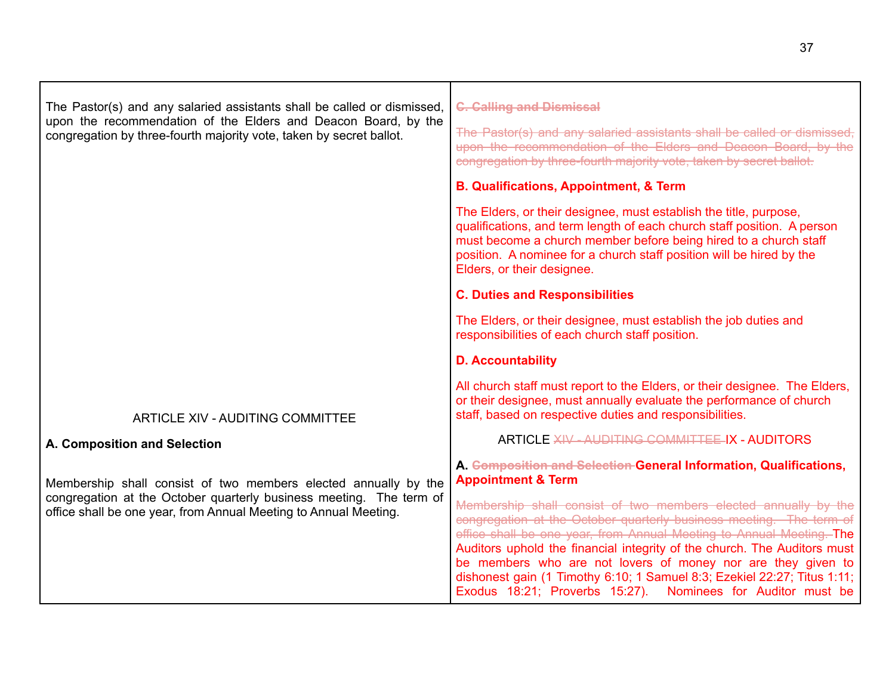<span id="page-36-0"></span>

| The Pastor(s) and any salaried assistants shall be called or dismissed,<br>upon the recommendation of the Elders and Deacon Board, by the<br>congregation by three-fourth majority vote, taken by secret ballot. | <b>C. Calling and Dismissal</b><br>The Pastor(s) and any salaried assistants shall be called or dismissed,<br>upon the recommendation of the Elders and Deacon Board, by the<br>congregation by three-fourth majority vote, taken by secret ballot.                                                                    |
|------------------------------------------------------------------------------------------------------------------------------------------------------------------------------------------------------------------|------------------------------------------------------------------------------------------------------------------------------------------------------------------------------------------------------------------------------------------------------------------------------------------------------------------------|
|                                                                                                                                                                                                                  | <b>B. Qualifications, Appointment, &amp; Term</b>                                                                                                                                                                                                                                                                      |
|                                                                                                                                                                                                                  | The Elders, or their designee, must establish the title, purpose,<br>qualifications, and term length of each church staff position. A person<br>must become a church member before being hired to a church staff<br>position. A nominee for a church staff position will be hired by the<br>Elders, or their designee. |
|                                                                                                                                                                                                                  | <b>C. Duties and Responsibilities</b>                                                                                                                                                                                                                                                                                  |
|                                                                                                                                                                                                                  | The Elders, or their designee, must establish the job duties and<br>responsibilities of each church staff position.                                                                                                                                                                                                    |
|                                                                                                                                                                                                                  | <b>D. Accountability</b>                                                                                                                                                                                                                                                                                               |
| <b>ARTICLE XIV - AUDITING COMMITTEE</b>                                                                                                                                                                          | All church staff must report to the Elders, or their designee. The Elders,<br>or their designee, must annually evaluate the performance of church<br>staff, based on respective duties and responsibilities.                                                                                                           |
| A. Composition and Selection                                                                                                                                                                                     | <b>ARTICLE XIV AUDITING COMMITTEE IX - AUDITORS</b>                                                                                                                                                                                                                                                                    |
| Membership shall consist of two members elected annually by the<br>congregation at the October quarterly business meeting. The term of<br>office shall be one year, from Annual Meeting to Annual Meeting.       | A. Composition and Selection General Information, Qualifications,<br><b>Appointment &amp; Term</b><br>Membership shall consist of two members elected annually by the                                                                                                                                                  |
|                                                                                                                                                                                                                  |                                                                                                                                                                                                                                                                                                                        |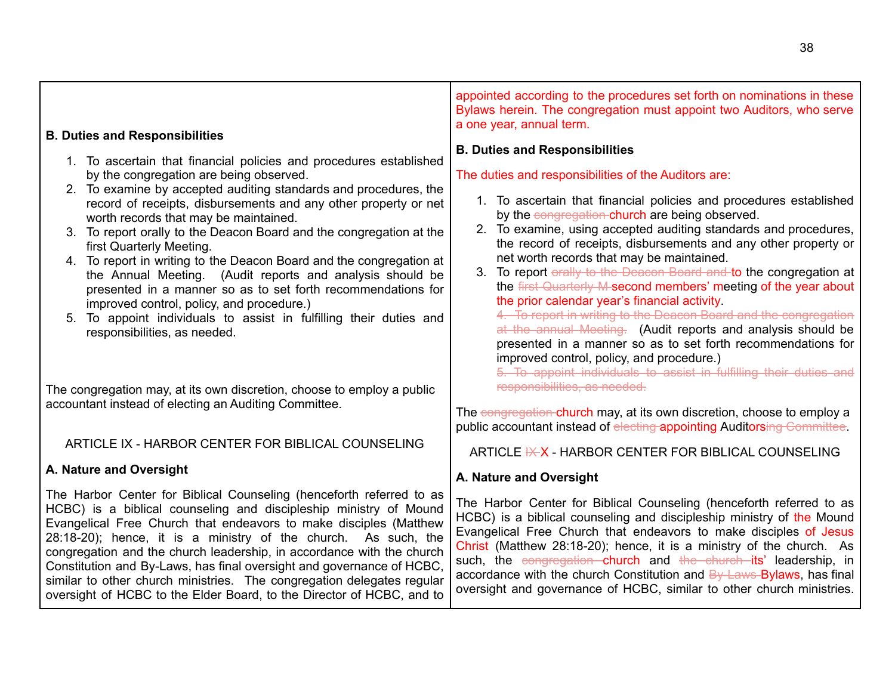<span id="page-37-0"></span>

| <b>B. Duties and Responsibilities</b><br>1. To ascertain that financial policies and procedures established<br>by the congregation are being observed.<br>2. To examine by accepted auditing standards and procedures, the<br>record of receipts, disbursements and any other property or net<br>worth records that may be maintained.<br>3. To report orally to the Deacon Board and the congregation at the<br>first Quarterly Meeting.<br>4. To report in writing to the Deacon Board and the congregation at<br>the Annual Meeting. (Audit reports and analysis should be<br>presented in a manner so as to set forth recommendations for<br>improved control, policy, and procedure.)<br>5. To appoint individuals to assist in fulfilling their duties and<br>responsibilities, as needed. | appointed according to the procedures set forth on nominations in these<br>Bylaws herein. The congregation must appoint two Auditors, who serve<br>a one year, annual term.<br><b>B. Duties and Responsibilities</b><br>The duties and responsibilities of the Auditors are:<br>1. To ascertain that financial policies and procedures established<br>by the congregation-church are being observed.<br>2. To examine, using accepted auditing standards and procedures,<br>the record of receipts, disbursements and any other property or<br>net worth records that may be maintained.<br>3. To report orally to the Deacon Board and to the congregation at<br>the first Quarterly M-second members' meeting of the year about<br>the prior calendar year's financial activity.<br>4. To report in writing to the Deacon Board and the congregation<br>at the annual Meeting. (Audit reports and analysis should be<br>presented in a manner so as to set forth recommendations for<br>improved control, policy, and procedure.)<br>5. To appoint individuals to assist in fulfilling their duties and |
|--------------------------------------------------------------------------------------------------------------------------------------------------------------------------------------------------------------------------------------------------------------------------------------------------------------------------------------------------------------------------------------------------------------------------------------------------------------------------------------------------------------------------------------------------------------------------------------------------------------------------------------------------------------------------------------------------------------------------------------------------------------------------------------------------|-----------------------------------------------------------------------------------------------------------------------------------------------------------------------------------------------------------------------------------------------------------------------------------------------------------------------------------------------------------------------------------------------------------------------------------------------------------------------------------------------------------------------------------------------------------------------------------------------------------------------------------------------------------------------------------------------------------------------------------------------------------------------------------------------------------------------------------------------------------------------------------------------------------------------------------------------------------------------------------------------------------------------------------------------------------------------------------------------------------|
| The congregation may, at its own discretion, choose to employ a public<br>accountant instead of electing an Auditing Committee.                                                                                                                                                                                                                                                                                                                                                                                                                                                                                                                                                                                                                                                                  | responsibilities, as needed.<br>The congregation-church may, at its own discretion, choose to employ a<br>public accountant instead of electing appointing Auditorsing Committee.                                                                                                                                                                                                                                                                                                                                                                                                                                                                                                                                                                                                                                                                                                                                                                                                                                                                                                                         |
| ARTICLE IX - HARBOR CENTER FOR BIBLICAL COUNSELING                                                                                                                                                                                                                                                                                                                                                                                                                                                                                                                                                                                                                                                                                                                                               | ARTICLE K X - HARBOR CENTER FOR BIBLICAL COUNSELING                                                                                                                                                                                                                                                                                                                                                                                                                                                                                                                                                                                                                                                                                                                                                                                                                                                                                                                                                                                                                                                       |
| A. Nature and Oversight                                                                                                                                                                                                                                                                                                                                                                                                                                                                                                                                                                                                                                                                                                                                                                          | A. Nature and Oversight                                                                                                                                                                                                                                                                                                                                                                                                                                                                                                                                                                                                                                                                                                                                                                                                                                                                                                                                                                                                                                                                                   |
| The Harbor Center for Biblical Counseling (henceforth referred to as<br>HCBC) is a biblical counseling and discipleship ministry of Mound<br>Evangelical Free Church that endeavors to make disciples (Matthew<br>28:18-20); hence, it is a ministry of the church. As such, the<br>congregation and the church leadership, in accordance with the church<br>Constitution and By-Laws, has final oversight and governance of HCBC,<br>similar to other church ministries. The congregation delegates regular<br>oversight of HCBC to the Elder Board, to the Director of HCBC, and to                                                                                                                                                                                                            | The Harbor Center for Biblical Counseling (henceforth referred to as<br>HCBC) is a biblical counseling and discipleship ministry of the Mound<br>Evangelical Free Church that endeavors to make disciples of Jesus<br>Christ (Matthew 28:18-20); hence, it is a ministry of the church. As<br>such, the congregation church and the church its' leadership, in<br>accordance with the church Constitution and By-Laws-Bylaws, has final<br>oversight and governance of HCBC, similar to other church ministries.                                                                                                                                                                                                                                                                                                                                                                                                                                                                                                                                                                                          |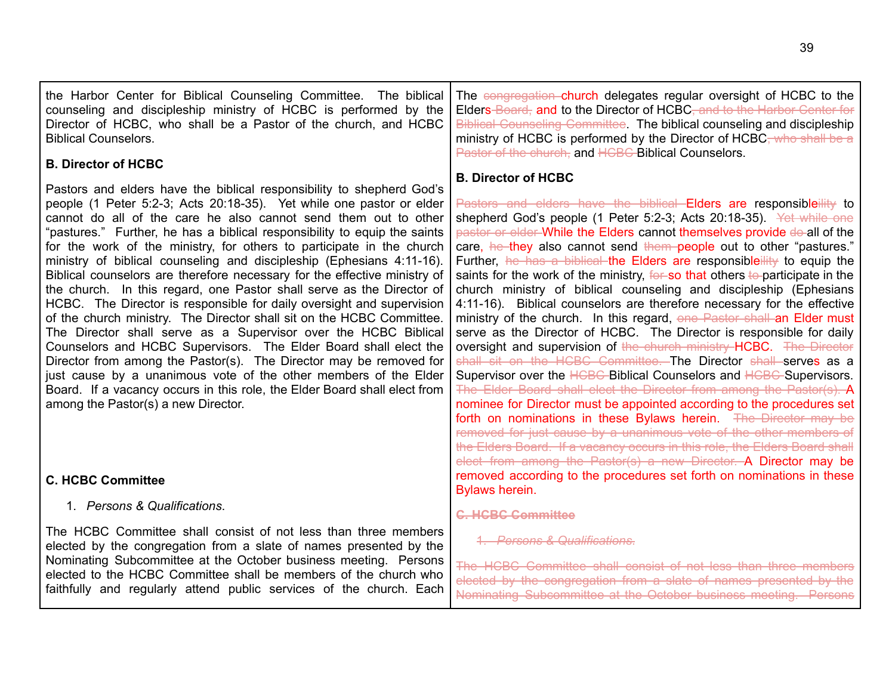| the Harbor Center for Biblical Counseling Committee. The biblical<br>counseling and discipleship ministry of HCBC is performed by the<br>Director of HCBC, who shall be a Pastor of the church, and HCBC<br><b>Biblical Counselors.</b><br><b>B. Director of HCBC</b>                                                                                                                                                                                                                                                                                                                                                                                                                                                                                                                                                                                                                                                                                                                                                                                                                                                                                        | The congregation church delegates regular oversight of HCBC to the<br>Elders-Board, and to the Director of HCBC, and to the Harbor Center for<br><b>Biblical Counseling Committee</b> The biblical counseling and discipleship<br>ministry of HCBC is performed by the Director of HCBC <del>, who shall be a</del><br>Pastor of the church, and HCBC Biblical Counselors.                                                                                                                                                                                                                                                                                                                                                                                                                                                                                                                                                                                                                                                                                                                                                                                                                                                                                                                                                                                                                                                                               |
|--------------------------------------------------------------------------------------------------------------------------------------------------------------------------------------------------------------------------------------------------------------------------------------------------------------------------------------------------------------------------------------------------------------------------------------------------------------------------------------------------------------------------------------------------------------------------------------------------------------------------------------------------------------------------------------------------------------------------------------------------------------------------------------------------------------------------------------------------------------------------------------------------------------------------------------------------------------------------------------------------------------------------------------------------------------------------------------------------------------------------------------------------------------|----------------------------------------------------------------------------------------------------------------------------------------------------------------------------------------------------------------------------------------------------------------------------------------------------------------------------------------------------------------------------------------------------------------------------------------------------------------------------------------------------------------------------------------------------------------------------------------------------------------------------------------------------------------------------------------------------------------------------------------------------------------------------------------------------------------------------------------------------------------------------------------------------------------------------------------------------------------------------------------------------------------------------------------------------------------------------------------------------------------------------------------------------------------------------------------------------------------------------------------------------------------------------------------------------------------------------------------------------------------------------------------------------------------------------------------------------------|
| Pastors and elders have the biblical responsibility to shepherd God's<br>people (1 Peter 5:2-3; Acts 20:18-35). Yet while one pastor or elder<br>cannot do all of the care he also cannot send them out to other<br>"pastures." Further, he has a biblical responsibility to equip the saints<br>for the work of the ministry, for others to participate in the church<br>ministry of biblical counseling and discipleship (Ephesians 4:11-16).<br>Biblical counselors are therefore necessary for the effective ministry of<br>the church. In this regard, one Pastor shall serve as the Director of<br>HCBC. The Director is responsible for daily oversight and supervision<br>of the church ministry. The Director shall sit on the HCBC Committee.<br>The Director shall serve as a Supervisor over the HCBC Biblical<br>Counselors and HCBC Supervisors. The Elder Board shall elect the<br>Director from among the Pastor(s). The Director may be removed for<br>just cause by a unanimous vote of the other members of the Elder<br>Board. If a vacancy occurs in this role, the Elder Board shall elect from<br>among the Pastor(s) a new Director. | <b>B. Director of HCBC</b><br>Pastors and elders have the biblical Elders are responsibleility to<br>shepherd God's people (1 Peter 5:2-3; Acts 20:18-35). Yet while one<br>pastor or elder While the Elders cannot themselves provide do-all of the<br>care, he they also cannot send them people out to other "pastures."<br>Further, he has a biblical the Elders are responsibleility to equip the<br>saints for the work of the ministry, for so that others to participate in the<br>church ministry of biblical counseling and discipleship (Ephesians<br>4:11-16). Biblical counselors are therefore necessary for the effective<br>ministry of the church. In this regard, one Pastor shall an Elder must<br>serve as the Director of HCBC. The Director is responsible for daily<br>oversight and supervision of the church ministry-HCBC. The Director<br>shall sit on the HCBC Committee. The Director shall serves as a<br>Supervisor over the HCBC Biblical Counselors and HCBC Supervisors.<br>The Elder Board shall elect the Director from among the Pastor(s). A<br>nominee for Director must be appointed according to the procedures set<br>forth on nominations in these Bylaws herein. The Director may be<br>removed for just cause by a unanimous vote of the other members of<br>the Elders Board. If a vacancy occurs in this role, the Elders Board shall<br>elect from among the Pastor(s) a new Director. A Director may be |
| <b>C. HCBC Committee</b>                                                                                                                                                                                                                                                                                                                                                                                                                                                                                                                                                                                                                                                                                                                                                                                                                                                                                                                                                                                                                                                                                                                                     | removed according to the procedures set forth on nominations in these<br>Bylaws herein.                                                                                                                                                                                                                                                                                                                                                                                                                                                                                                                                                                                                                                                                                                                                                                                                                                                                                                                                                                                                                                                                                                                                                                                                                                                                                                                                                                  |
| 1. Persons & Qualifications.                                                                                                                                                                                                                                                                                                                                                                                                                                                                                                                                                                                                                                                                                                                                                                                                                                                                                                                                                                                                                                                                                                                                 | <b>C. HCBC Committee</b>                                                                                                                                                                                                                                                                                                                                                                                                                                                                                                                                                                                                                                                                                                                                                                                                                                                                                                                                                                                                                                                                                                                                                                                                                                                                                                                                                                                                                                 |
| The HCBC Committee shall consist of not less than three members<br>elected by the congregation from a slate of names presented by the<br>Nominating Subcommittee at the October business meeting. Persons<br>elected to the HCBC Committee shall be members of the church who<br>faithfully and regularly attend public services of the church. Each                                                                                                                                                                                                                                                                                                                                                                                                                                                                                                                                                                                                                                                                                                                                                                                                         | 1. Persons & Qualifications.<br>mittee shall consist of not less than three members<br>elected by the congregation from a slate of names presented by the<br>Nominating Subcommittee at the October business meeting. Persons                                                                                                                                                                                                                                                                                                                                                                                                                                                                                                                                                                                                                                                                                                                                                                                                                                                                                                                                                                                                                                                                                                                                                                                                                            |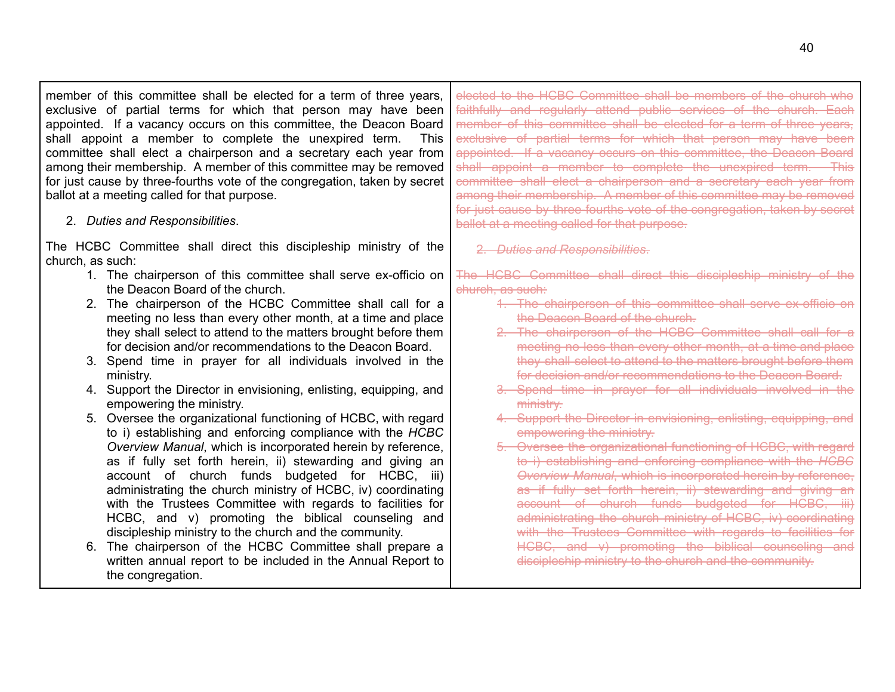member of this committee shall be elected for a term of three years, exclusive of partial terms for which that person may have been appointed. If a vacancy occurs on this committee, the Deacon Board shall appoint a member to complete the unexpired term. This committee shall elect a chairperson and a secretary each year from among their membership. A member of this committee may be removed for just cause by three-fourths vote of the congregation, taken by secret ballot at a meeting called for that purpose.

2. *Duties and Responsibilities*.

The HCBC Committee shall direct this discipleship ministry of the church, as such:

- 1. The chairperson of this committee shall serve ex-officio on the Deacon Board of the church.
- 2. The chairperson of the HCBC Committee shall call for a meeting no less than every other month, at a time and place they shall select to attend to the matters brought before them for decision and/or recommendations to the Deacon Board.
- 3. Spend time in prayer for all individuals involved in the ministry.
- 4. Support the Director in envisioning, enlisting, equipping, and empowering the ministry.
- 5. Oversee the organizational functioning of HCBC, with regard to i) establishing and enforcing compliance with the *HCBC Overview Manual*, which is incorporated herein by reference, as if fully set forth herein, ii) stewarding and giving an account of church funds budgeted for HCBC, iii) administrating the church ministry of HCBC, iv) coordinating with the Trustees Committee with regards to facilities for HCBC, and v) promoting the biblical counseling and discipleship ministry to the church and the community.
- 6. The chairperson of the HCBC Committee shall prepare a written annual report to be included in the Annual Report to the congregation.

elected to the HCBC Committee shall be members of the church who faithfully and regularly attend public services of the church. Each member of this committee shall be elected for a term of three years, exclusive of partial terms for which that person may have been appointed. If a vacancy occurs on this committee, the Deacon Board shall appoint a member to complete the unexpired term. This committee shall elect a chairperson and a secretary each year from among their membership. A member of this committee may be removed for just cause by three fourths vote of the congregation, taken by secret ballot at a meeting called for that purpose.

2. *Duties and Responsibilities*.

The HCBC Committee shall direct this discipleship ministry of the church, as such:

- 1. The chairperson of this committee shall serve ex-officio on the Deacon Board of the church.
- 2. The chairperson of the HCBC Committee shall call for a meeting no less than every other month, at a time and place they shall select to attend to the matters brought before them for decision and/or recommendations to the Deacon Board.
- 3. Spend time in prayer for all individuals involved in the ministry.
- 4. Support the Director in envisioning, enlisting, equipping, and empowering the ministry.
- 5. Oversee the organizational functioning of HCBC, with regard to i) establishing and enforcing compliance with the *HCBC Overview Manual*, which is incorporated herein by reference, as if fully set forth herein, ii) stewarding and giving an account of church funds budgeted for HCBC, iii) administrating the church ministry of HCBC, iv) coordinating with the Trustees Committee with regards to facilities for HCBC, and y) promoting the biblical counseling and discipleship ministry to the church and the community.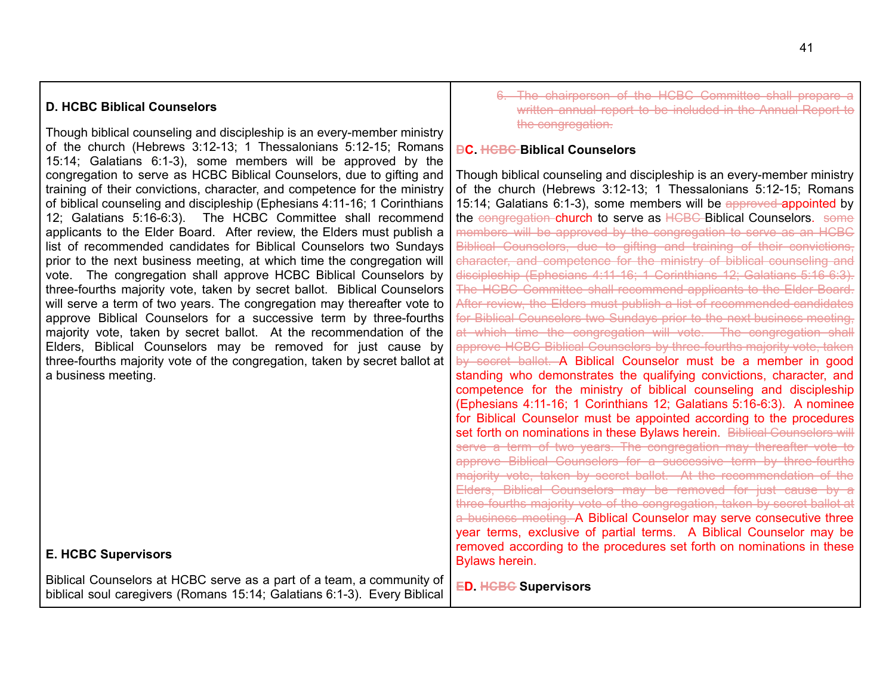## **D. HCBC Biblical Counselors**

Though biblical counseling and discipleship is an every-member ministry of the church (Hebrews 3:12-13; 1 Thessalonians 5:12-15; Romans 15:14; Galatians 6:1-3), some members will be approved by the congregation to serve as HCBC Biblical Counselors, due to gifting and training of their convictions, character, and competence for the ministry of biblical counseling and discipleship (Ephesians 4:11-16; 1 Corinthians 12; Galatians 5:16-6:3). The HCBC Committee shall recommend applicants to the Elder Board. After review, the Elders must publish a list of recommended candidates for Biblical Counselors two Sundays prior to the next business meeting, at which time the congregation will vote. The congregation shall approve HCBC Biblical Counselors by three-fourths majority vote, taken by secret ballot. Biblical Counselors will serve a term of two years. The congregation may thereafter vote to approve Biblical Counselors for a successive term by three-fourths majority vote, taken by secret ballot. At the recommendation of the Elders, Biblical Counselors may be removed for just cause by three-fourths majority vote of the congregation, taken by secret ballot at a business meeting.

## **E. HCBC Supervisors**

Biblical Counselors at HCBC serve as a part of a team, a community of biblical soul caregivers (Romans 15:14; Galatians 6:1-3). Every Biblical 6. The chairperson of the HCBC Committee shall prepare a written annual report to be included in the Annual Report to the congregation.

#### **DC. HCBC Biblical Counselors**

Though biblical counseling and discipleship is an every-member ministry of the church (Hebrews 3:12-13; 1 Thessalonians 5:12-15; Romans 15:14; Galatians 6:1-3), some members will be approved appointed by the congregation-church to serve as HCBC-Biblical Counselors. some members will be approved by the congregation to serve as an HCBC Biblical Counselors, due to gifting and training of their convictions, character, and competence for the ministry of biblical counseling and discipleship (Ephesians 4:11-16; 1 Corinthians 12; Galatians 5:16-6:3). The HCBC Committee shall recommend applicants to the Elder Board. After review, the Elders must publish a list of recommended candidates for Biblical Counselors two Sundays prior to the next business meeting, at which time the congregation will vote. The congregation shall approve HCBC Biblical Counselors by three-fourths majority vote, taken by secret ballot. A Biblical Counselor must be a member in good standing who demonstrates the qualifying convictions, character, and competence for the ministry of biblical counseling and discipleship (Ephesians 4:11-16; 1 Corinthians 12; Galatians 5:16-6:3). A nominee for Biblical Counselor must be appointed according to the procedures set forth on nominations in these Bylaws herein. Biblical Counselors will serve a term of two years. The congregation may thereafter vote to approve Biblical Counselors for a successive term by three-fourths majority vote, taken by secret ballot. At the recommendation of the Elders, Biblical Counselors may be removed for just cause by a three-fourths majority vote of the congregation, taken by secret ballot at a business meeting. A Biblical Counselor may serve consecutive three year terms, exclusive of partial terms. A Biblical Counselor may be removed according to the procedures set forth on nominations in these Bylaws herein.

**ED. HCBC Supervisors**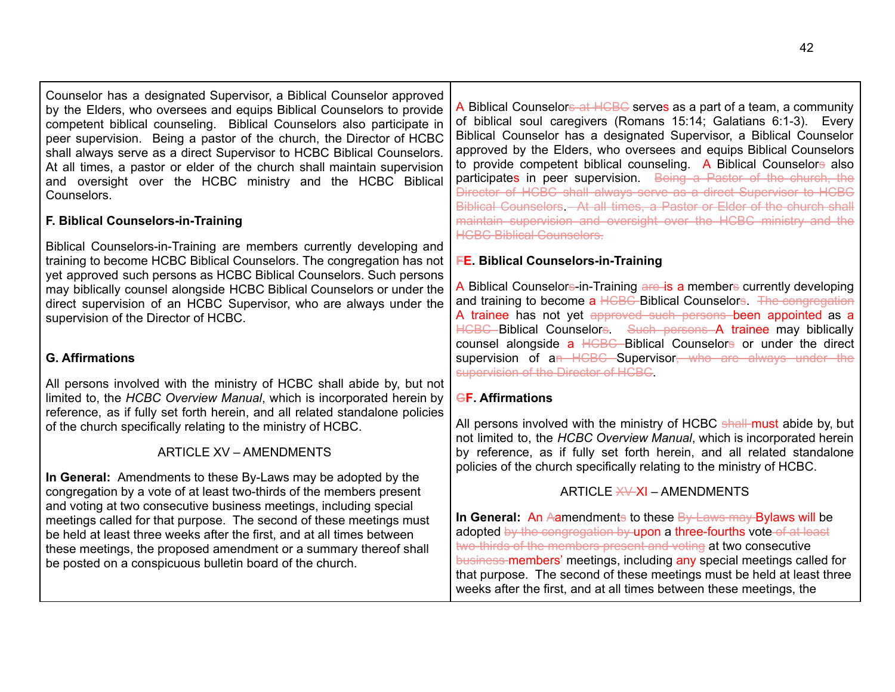Counselor has a designated Supervisor, a Biblical Counselor approved by the Elders, who oversees and equips Biblical Counselors to provide competent biblical counseling. Biblical Counselors also participate in peer supervision. Being a pastor of the church, the Director of HCBC shall always serve as a direct Supervisor to HCBC Biblical Counselors. At all times, a pastor or elder of the church shall maintain supervision and oversight over the HCBC ministry and the HCBC Biblical Counselors.

# **F. Biblical Counselors-in-Training**

Biblical Counselors-in-Training are members currently developing and training to become HCBC Biblical Counselors. The congregation has not yet approved such persons as HCBC Biblical Counselors. Such persons may biblically counsel alongside HCBC Biblical Counselors or under the direct supervision of an HCBC Supervisor, who are always under the supervision of the Director of HCBC.

# **G. Affirmations**

All persons involved with the ministry of HCBC shall abide by, but not limited to, the *HCBC Overview Manual*, which is incorporated herein by reference, as if fully set forth herein, and all related standalone policies of the church specifically relating to the ministry of HCBC.

# ARTICLE XV – AMENDMENTS

**In General:** Amendments to these By-Laws may be adopted by the congregation by a vote of at least two-thirds of the members present and voting at two consecutive business meetings, including special meetings called for that purpose. The second of these meetings must be held at least three weeks after the first, and at all times between these meetings, the proposed amendment or a summary thereof shall be posted on a conspicuous bulletin board of the church.

A Biblical Counselors at HCBC serves as a part of a team, a community of biblical soul caregivers (Romans 15:14; Galatians 6:1-3). Every Biblical Counselor has a designated Supervisor, a Biblical Counselor approved by the Elders, who oversees and equips Biblical Counselors to provide competent biblical counseling. A Biblical Counselors also participates in peer supervision. Being a Pastor of the church, the Director of HCBC shall always serve as a direct Supervisor to HCBC Biblical Counselors - At all times, a Pastor or Elder of the church shall maintain supervision and oversight over the HCBC ministry and the **HCBC Biblical Counselors.** 

# **FE. Biblical Counselors-in-Training**

A Biblical Counselors-in-Training are is a members currently developing and training to become a HCBC Biblical Counselors. The congregation A trainee has not yet approved such persons been appointed as a HCBC Biblical Counselors. Such persons A trainee may biblically counsel alongside a HCBC Biblical Counselors or under the direct supervision of an HCBC Supervisor, who are always under the supervision of the Director of HCBC.

# **GF. Affirmations**

All persons involved with the ministry of HCBC shall must abide by, but not limited to, the *HCBC Overview Manual*, which is incorporated herein by reference, as if fully set forth herein, and all related standalone policies of the church specifically relating to the ministry of HCBC.

# ARTICLE  $\cancel{\mathsf{X} \mathsf{Y}}$  – AMENDMENTS

<span id="page-41-0"></span>**In General:** An Aamendments to these By-Laws may Bylaws will be adopted by the congregation by upon a three-fourths vote of at least two-thirds of the members present and voting at two consecutive business members' meetings, including any special meetings called for that purpose. The second of these meetings must be held at least three weeks after the first, and at all times between these meetings, the